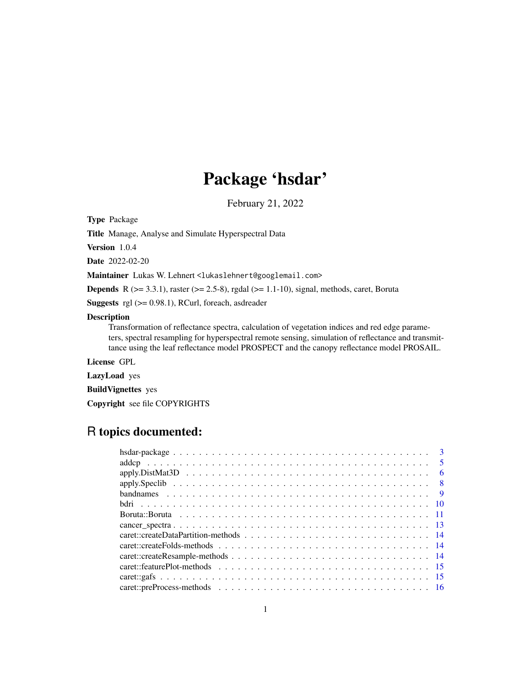# Package 'hsdar'

February 21, 2022

<span id="page-0-0"></span>Type Package

Title Manage, Analyse and Simulate Hyperspectral Data

Version 1.0.4

Date 2022-02-20

Maintainer Lukas W. Lehnert <lukaslehnert@googlemail.com>

**Depends** R  $(>= 3.3.1)$ , raster  $(>= 2.5-8)$ , rgdal  $(>= 1.1-10)$ , signal, methods, caret, Boruta

**Suggests** rgl  $(>= 0.98.1)$ , RCurl, foreach, asdreader

# Description

Transformation of reflectance spectra, calculation of vegetation indices and red edge parameters, spectral resampling for hyperspectral remote sensing, simulation of reflectance and transmittance using the leaf reflectance model PROSPECT and the canopy reflectance model PROSAIL.

License GPL

LazyLoad yes

BuildVignettes yes

Copyright see file COPYRIGHTS

# R topics documented:

| - 6 |
|-----|
|     |
|     |
|     |
|     |
|     |
|     |
|     |
|     |
|     |
|     |
|     |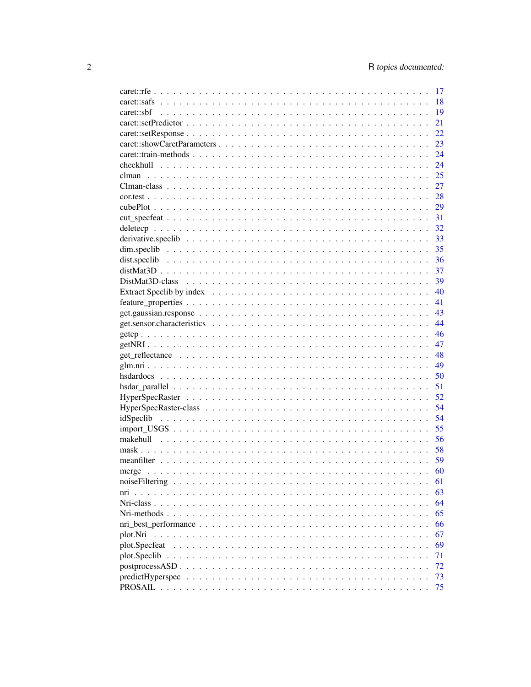|                                                                                                              | 17 |
|--------------------------------------------------------------------------------------------------------------|----|
|                                                                                                              | 18 |
|                                                                                                              | 19 |
|                                                                                                              | 21 |
|                                                                                                              | 22 |
|                                                                                                              | 23 |
|                                                                                                              | 24 |
|                                                                                                              | 24 |
|                                                                                                              | 25 |
|                                                                                                              | 27 |
|                                                                                                              | 28 |
|                                                                                                              | 29 |
|                                                                                                              | 31 |
|                                                                                                              | 32 |
|                                                                                                              | 33 |
|                                                                                                              | 35 |
|                                                                                                              | 36 |
|                                                                                                              | 37 |
|                                                                                                              | 39 |
|                                                                                                              | 40 |
|                                                                                                              | 41 |
|                                                                                                              | 43 |
|                                                                                                              | 44 |
|                                                                                                              | 46 |
|                                                                                                              | 47 |
|                                                                                                              | 48 |
|                                                                                                              | 49 |
|                                                                                                              | 50 |
|                                                                                                              | 51 |
|                                                                                                              | 52 |
|                                                                                                              | 54 |
|                                                                                                              | 54 |
|                                                                                                              | 55 |
|                                                                                                              | 56 |
|                                                                                                              | 58 |
|                                                                                                              | 59 |
|                                                                                                              | 60 |
| noise Filtering $\ldots \ldots \ldots \ldots \ldots \ldots \ldots \ldots \ldots \ldots \ldots \ldots \ldots$ | 61 |
| nri                                                                                                          | 63 |
| Nri-class                                                                                                    | 64 |
|                                                                                                              | 65 |
|                                                                                                              | 66 |
| plot.Nri                                                                                                     | 67 |
| plot.Specfeat                                                                                                | 69 |
|                                                                                                              | 71 |
| postprocessASD.                                                                                              | 72 |
|                                                                                                              | 73 |
|                                                                                                              | 75 |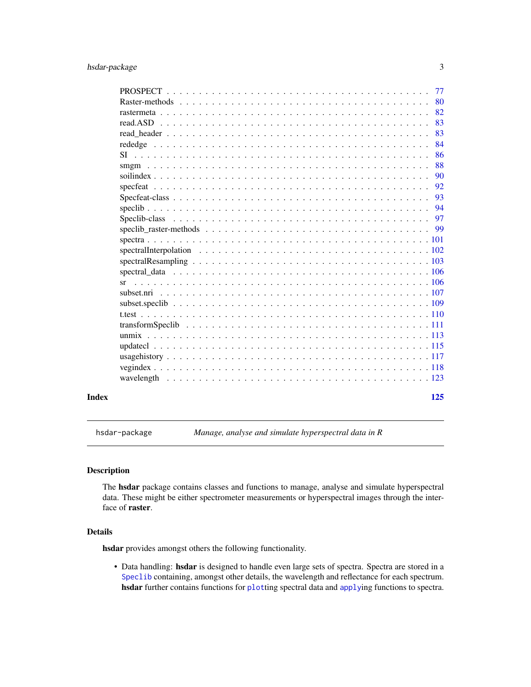<span id="page-2-0"></span>

|       | 77  |  |
|-------|-----|--|
|       | 80  |  |
|       | 82  |  |
|       | 83  |  |
|       | 83  |  |
|       | 84  |  |
|       | 86  |  |
|       | 88  |  |
|       | 90  |  |
|       | 92  |  |
|       | 93  |  |
|       | 94  |  |
|       | 97  |  |
|       |     |  |
|       |     |  |
|       |     |  |
|       |     |  |
|       |     |  |
|       | sr  |  |
|       |     |  |
|       |     |  |
|       |     |  |
|       |     |  |
|       |     |  |
|       |     |  |
|       |     |  |
|       |     |  |
|       |     |  |
| Index | 125 |  |

<span id="page-2-1"></span>hsdar-package *Manage, analyse and simulate hyperspectral data in R*

# Description

The hsdar package contains classes and functions to manage, analyse and simulate hyperspectral data. These might be either spectrometer measurements or hyperspectral images through the interface of raster.

# Details

hsdar provides amongst others the following functionality.

• Data handling: hsdar is designed to handle even large sets of spectra. Spectra are stored in a [Speclib](#page-96-1) containing, amongst other details, the wavelength and reflectance for each spectrum. hsdar further contains functions for [plot](#page-70-1)ting spectral data and [apply](#page-7-1)ing functions to spectra.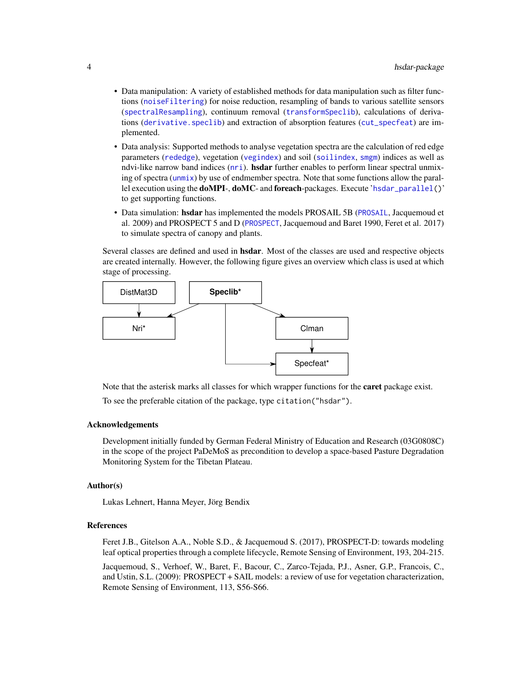- Data manipulation: A variety of established methods for data manipulation such as filter functions ([noiseFiltering](#page-60-1)) for noise reduction, resampling of bands to various satellite sensors ([spectralResampling](#page-102-1)), continuum removal ([transformSpeclib](#page-110-1)), calculations of derivations ([derivative.speclib](#page-32-1)) and extraction of absorption features ([cut\\_specfeat](#page-30-1)) are implemented.
- Data analysis: Supported methods to analyse vegetation spectra are the calculation of red edge parameters ([rededge](#page-83-1)), vegetation ([vegindex](#page-117-1)) and soil ([soilindex](#page-89-1), [smgm](#page-87-1)) indices as well as ndvi-like narrow band indices ([nri](#page-62-1)). **hsdar** further enables to perform linear spectral unmixing of spectra ([unmix](#page-112-1)) by use of endmember spectra. Note that some functions allow the parallel execution using the doMPI-, doMC- and foreach-packages. Execute '[hsdar\\_parallel\(](#page-50-1))' to get supporting functions.
- Data simulation: hsdar has implemented the models [PROSAIL](#page-74-1) 5B (PROSAIL, Jacquemoud et al. 2009) and PROSPECT 5 and D ([PROSPECT](#page-76-1), Jacquemoud and Baret 1990, Feret et al. 2017) to simulate spectra of canopy and plants.

Several classes are defined and used in **hsdar**. Most of the classes are used and respective objects are created internally. However, the following figure gives an overview which class is used at which stage of processing.



Note that the asterisk marks all classes for which wrapper functions for the **caret** package exist. To see the preferable citation of the package, type citation("hsdar").

#### Acknowledgements

Development initially funded by German Federal Ministry of Education and Research (03G0808C) in the scope of the project PaDeMoS as precondition to develop a space-based Pasture Degradation Monitoring System for the Tibetan Plateau.

## Author(s)

Lukas Lehnert, Hanna Meyer, Jörg Bendix

#### References

Feret J.B., Gitelson A.A., Noble S.D., & Jacquemoud S. (2017), PROSPECT-D: towards modeling leaf optical properties through a complete lifecycle, Remote Sensing of Environment, 193, 204-215.

Jacquemoud, S., Verhoef, W., Baret, F., Bacour, C., Zarco-Tejada, P.J., Asner, G.P., Francois, C., and Ustin, S.L. (2009): PROSPECT + SAIL models: a review of use for vegetation characterization, Remote Sensing of Environment, 113, S56-S66.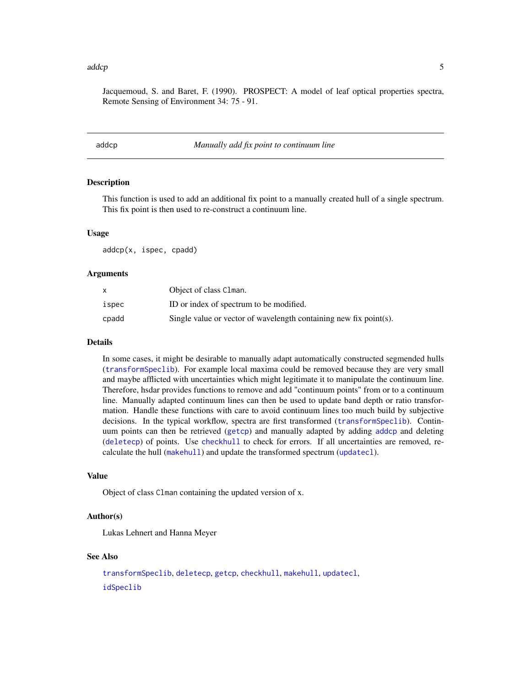#### <span id="page-4-0"></span>addcp 5 and 5 and 5 and 5 and 5 and 5 and 5 and 5 and 5 and 5 and 5 and 5 and 5 and 5 and 5 and 5 and 5 and 5 and 5 and 5 and 5 and 5 and 5 and 5 and 5 and 5 and 5 and 5 and 5 and 5 and 5 and 5 and 5 and 5 and 5 and 5 and

Jacquemoud, S. and Baret, F. (1990). PROSPECT: A model of leaf optical properties spectra, Remote Sensing of Environment 34: 75 - 91.

<span id="page-4-1"></span>addcp *Manually add fix point to continuum line*

#### **Description**

This function is used to add an additional fix point to a manually created hull of a single spectrum. This fix point is then used to re-construct a continuum line.

#### Usage

addcp(x, ispec, cpadd)

#### Arguments

|       | Object of class Clman.                                            |
|-------|-------------------------------------------------------------------|
| ispec | ID or index of spectrum to be modified.                           |
| cpadd | Single value or vector of wavelength containing new fix point(s). |

#### Details

In some cases, it might be desirable to manually adapt automatically constructed segmended hulls ([transformSpeclib](#page-110-1)). For example local maxima could be removed because they are very small and maybe afflicted with uncertainties which might legitimate it to manipulate the continuum line. Therefore, hsdar provides functions to remove and add "continuum points" from or to a continuum line. Manually adapted continuum lines can then be used to update band depth or ratio transformation. Handle these functions with care to avoid continuum lines too much build by subjective decisions. In the typical workflow, spectra are first transformed ([transformSpeclib](#page-110-1)). Continuum points can then be retrieved ([getcp](#page-45-1)) and manually adapted by adding [addcp](#page-4-1) and deleting ([deletecp](#page-31-1)) of points. Use [checkhull](#page-23-1) to check for errors. If all uncertainties are removed, recalculate the hull ([makehull](#page-55-1)) and update the transformed spectrum ([updatecl](#page-114-1)).

#### Value

Object of class Clman containing the updated version of x.

# Author(s)

Lukas Lehnert and Hanna Meyer

# See Also

[transformSpeclib](#page-110-1), [deletecp](#page-31-1), [getcp](#page-45-1), [checkhull](#page-23-1), [makehull](#page-55-1), [updatecl](#page-114-1), [idSpeclib](#page-53-1)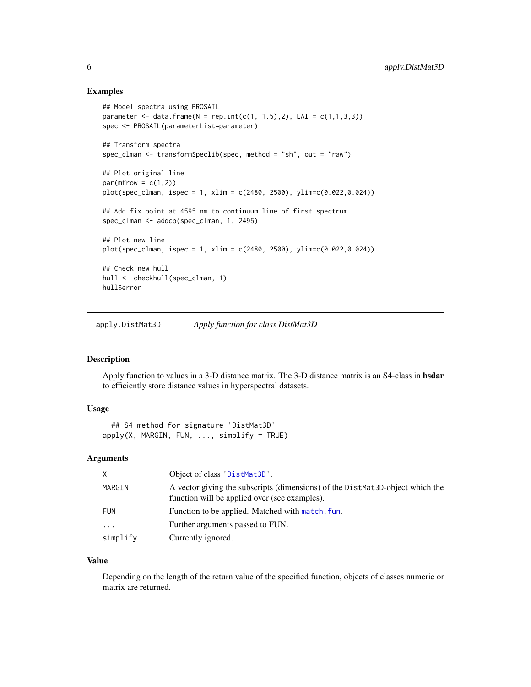## <span id="page-5-0"></span>Examples

```
## Model spectra using PROSAIL
parameter <- data.frame(N = rep.int(c(1, 1.5), 2), LAI = c(1, 1, 3, 3))
spec <- PROSAIL(parameterList=parameter)
## Transform spectra
spec_clman <- transformSpeclib(spec, method = "sh", out = "raw")
## Plot original line
par(mfrow = c(1,2))plot(spec_clman, ispec = 1, xlim = c(2480, 2500), ylim=c(0.022,0.024))
## Add fix point at 4595 nm to continuum line of first spectrum
spec_clman <- addcp(spec_clman, 1, 2495)
## Plot new line
plot(spec_clman, ispec = 1, xlim = c(2480, 2500), ylim = c(0.022, 0.024))## Check new hull
hull <- checkhull(spec_clman, 1)
hull$error
```
apply.DistMat3D *Apply function for class DistMat3D*

#### Description

Apply function to values in a 3-D distance matrix. The 3-D distance matrix is an S4-class in hsdar to efficiently store distance values in hyperspectral datasets.

# Usage

## S4 method for signature 'DistMat3D'  $apply(X, MARGIN, FUN, ..., simplify = TRUE)$ 

# Arguments

| X          | Object of class 'DistMat3D'.                                                                                                   |
|------------|--------------------------------------------------------------------------------------------------------------------------------|
| MARGIN     | A vector giving the subscripts (dimensions) of the DistMat3D-object which the<br>function will be applied over (see examples). |
| <b>FUN</b> | Function to be applied. Matched with match, fun.                                                                               |
| $\cdot$    | Further arguments passed to FUN.                                                                                               |
| simplify   | Currently ignored.                                                                                                             |

#### Value

Depending on the length of the return value of the specified function, objects of classes numeric or matrix are returned.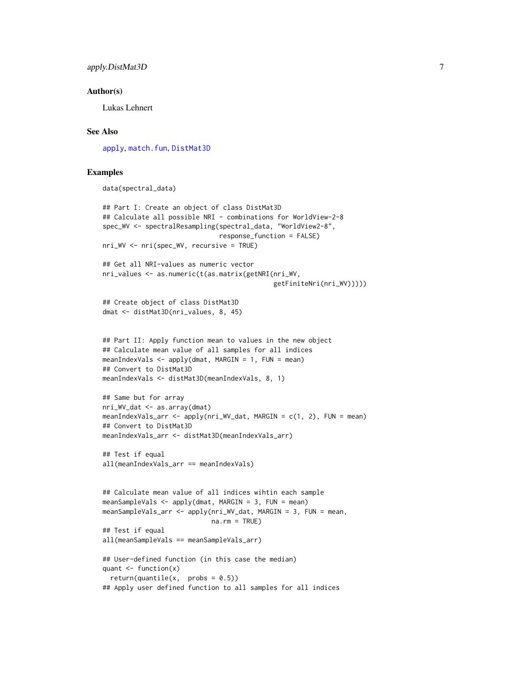# apply.DistMat3D 7 7

#### Author(s)

Lukas Lehnert

# See Also

[apply](#page-0-0), [match.fun](#page-0-0), [DistMat3D](#page-38-1)

# Examples

```
data(spectral_data)
```

```
## Part I: Create an object of class DistMat3D
## Calculate all possible NRI - combinations for WorldView-2-8
spec_WV <- spectralResampling(spectral_data, "WorldView2-8",
                              response_function = FALSE)
nri_WV <- nri(spec_WV, recursive = TRUE)
## Get all NRI-values as numeric vector
nri_values <- as.numeric(t(as.matrix(getNRI(nri_WV,
                                            getFiniteNri(nri_WV)))))
## Create object of class DistMat3D
dmat <- distMat3D(nri_values, 8, 45)
## Part II: Apply function mean to values in the new object
## Calculate mean value of all samples for all indices
meanIndexVals \leq apply(dmat, MARGIN = 1, FUN = mean)
## Convert to DistMat3D
meanIndexVals <- distMat3D(meanIndexVals, 8, 1)
## Same but for array
nri_WV_dat <- as.array(dmat)
meanIndexVals_arr <- apply(nri_WV_dat, MARGIN = c(1, 2), FUN = mean)
## Convert to DistMat3D
meanIndexVals_arr <- distMat3D(meanIndexVals_arr)
## Test if equal
all(meanIndexVals_arr == meanIndexVals)
## Calculate mean value of all indices wihtin each sample
meanSampleVals <- apply(dmat, MARGIN = 3, FUN = mean)
meanSampleVals_arr <- apply(nri_WV_dat, MARGIN = 3, FUN = mean,
                            na.rm = TRUE)
## Test if equal
all(meanSampleVals == meanSampleVals_arr)
## User-defined function (in this case the median)
quant \leq function(x)
  return(quantile(x, probs = 0.5))## Apply user defined function to all samples for all indices
```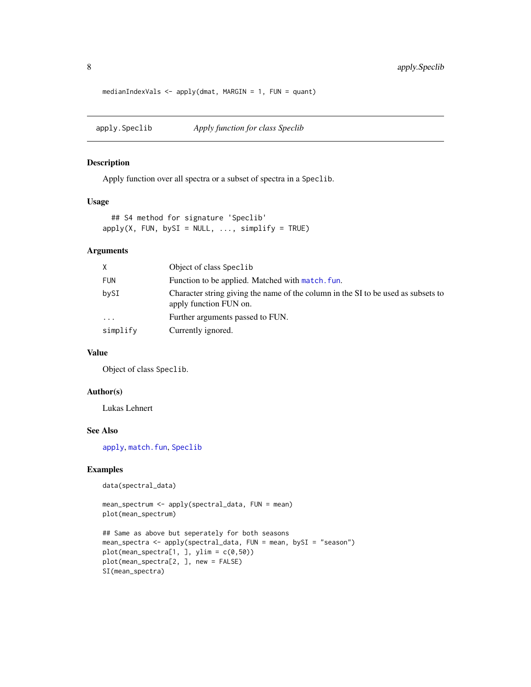```
medianIndexVals \leq apply(dmat, MARGIN = 1, FUN = quant)
```
<span id="page-7-1"></span>apply.Speclib *Apply function for class Speclib*

# Description

Apply function over all spectra or a subset of spectra in a Speclib.

# Usage

```
## S4 method for signature 'Speclib'
apply(X, FUN, bySI = NULL, ..., simplyI = TRUE)
```
# Arguments

| X.         | Object of class Speclib                                                                                     |
|------------|-------------------------------------------------------------------------------------------------------------|
| <b>FUN</b> | Function to be applied. Matched with match, fun.                                                            |
| bySI       | Character string giving the name of the column in the SI to be used as subsets to<br>apply function FUN on. |
| $\ddots$   | Further arguments passed to FUN.                                                                            |
| simplify   | Currently ignored.                                                                                          |

# Value

Object of class Speclib.

# Author(s)

Lukas Lehnert

# See Also

[apply](#page-0-0), [match.fun](#page-0-0), [Speclib](#page-96-1)

#### Examples

```
data(spectral_data)
```

```
mean_spectrum <- apply(spectral_data, FUN = mean)
plot(mean_spectrum)
```

```
## Same as above but seperately for both seasons
mean_spectra <- apply(spectral_data, FUN = mean, bySI = "season")
plot(mean_spectra[1,], ylim = c(0,50))plot(mean_spectra[2, ], new = FALSE)
SI(mean_spectra)
```
<span id="page-7-0"></span>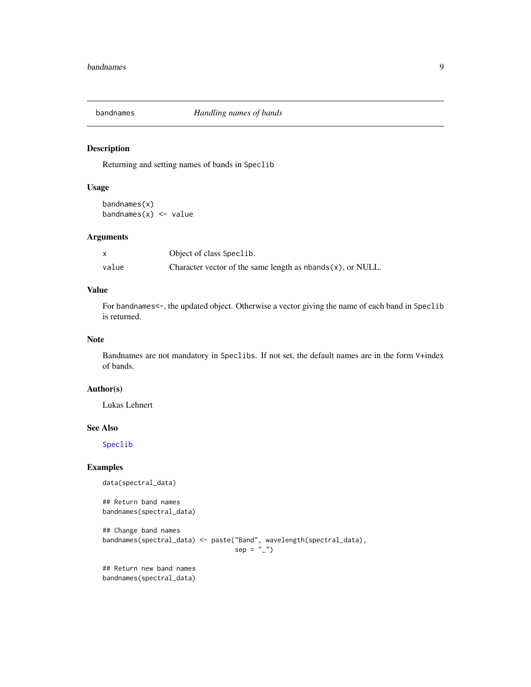<span id="page-8-0"></span>

Returning and setting names of bands in Speclib

#### Usage

bandnames(x) bandnames $(x)$  <- value

#### Arguments

|       | Object of class Speclib.                                          |
|-------|-------------------------------------------------------------------|
| value | Character vector of the same length as $n$ bands $(x)$ , or NULL. |

# Value

For bandnames<-, the updated object. Otherwise a vector giving the name of each band in Speclib is returned.

# Note

Bandnames are not mandatory in Speclibs. If not set, the default names are in the form V+index of bands.

## Author(s)

Lukas Lehnert

# See Also

[Speclib](#page-96-1)

# Examples

```
data(spectral_data)
```
## Return band names bandnames(spectral\_data)

```
## Change band names
bandnames(spectral_data) <- paste("Band", wavelength(spectral_data),
                                  sep = "")
```
## Return new band names bandnames(spectral\_data)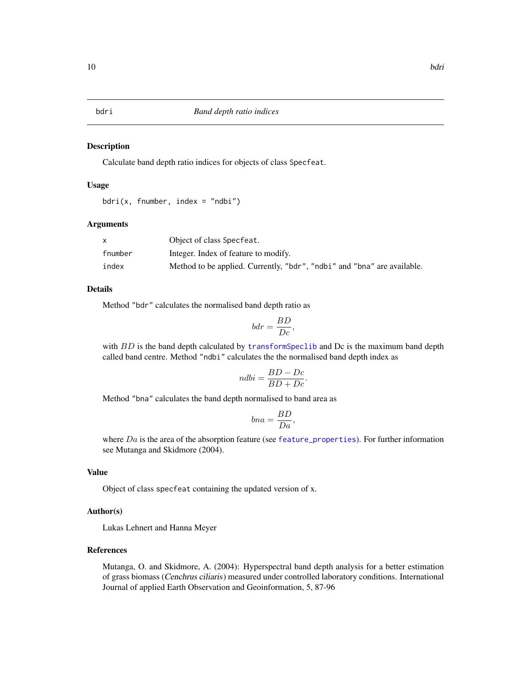<span id="page-9-0"></span>

Calculate band depth ratio indices for objects of class Specfeat.

# Usage

```
bdri(x, fnumber, index = "ndbi")
```
# Arguments

|         | Object of class Specfeat.                                               |
|---------|-------------------------------------------------------------------------|
| fnumber | Integer. Index of feature to modify.                                    |
| index   | Method to be applied. Currently, "bdr", "ndbi" and "bna" are available. |

# Details

Method "bdr" calculates the normalised band depth ratio as

$$
bdr = \frac{BD}{Dc},
$$

with  $BD$  is the band depth calculated by transform Speclib and Dc is the maximum band depth called band centre. Method "ndbi" calculates the the normalised band depth index as

$$
ndbi = \frac{BD - Dc}{BD + Dc}
$$

.

Method "bna" calculates the band depth normalised to band area as

$$
bna = \frac{BD}{Da},
$$

where  $Da$  is the area of the absorption feature (see [feature\\_properties](#page-40-1)). For further information see Mutanga and Skidmore (2004).

# Value

Object of class specfeat containing the updated version of x.

# Author(s)

Lukas Lehnert and Hanna Meyer

# References

Mutanga, O. and Skidmore, A. (2004): Hyperspectral band depth analysis for a better estimation of grass biomass (Cenchrus ciliaris) measured under controlled laboratory conditions. International Journal of applied Earth Observation and Geoinformation, 5, 87-96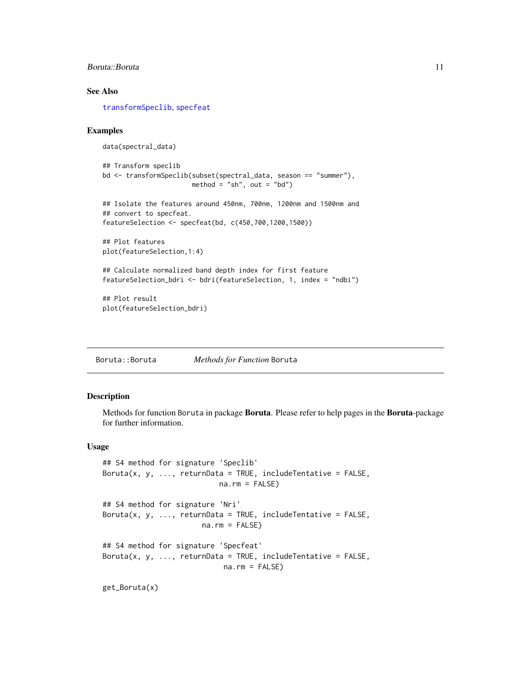# <span id="page-10-0"></span>Boruta::Boruta 11

# See Also

[transformSpeclib](#page-110-1), [specfeat](#page-91-1)

# Examples

```
data(spectral_data)
## Transform speclib
bd <- transformSpeclib(subset(spectral_data, season == "summer"),
                       method = "sh", out = "bd")
## Isolate the features around 450nm, 700nm, 1200nm and 1500nm and
## convert to specfeat.
featureSelection <- specfeat(bd, c(450,700,1200,1500))
## Plot features
plot(featureSelection,1:4)
## Calculate normalized band depth index for first feature
featureSelection_bdri <- bdri(featureSelection, 1, index = "ndbi")
## Plot result
plot(featureSelection_bdri)
```
Boruta::Boruta *Methods for Function* Boruta

# Description

Methods for function Boruta in package Boruta. Please refer to help pages in the Boruta-package for further information.

# Usage

```
## S4 method for signature 'Speclib'
Boruta(x, y, \dots, returnData = TRUE, includeTentative = FALSE,
                           na.rm = FALSE)## S4 method for signature 'Nri'
Boruta(x, y, \dots, returnData = TRUE, includeTentative = FALSE,
                       na.rm = FALSE## S4 method for signature 'Specfeat'
Boruta(x, y, \dots, returnData = TRUE, includeTentative = FALSE,
                            na.rm = FALSE)
```
get\_Boruta(x)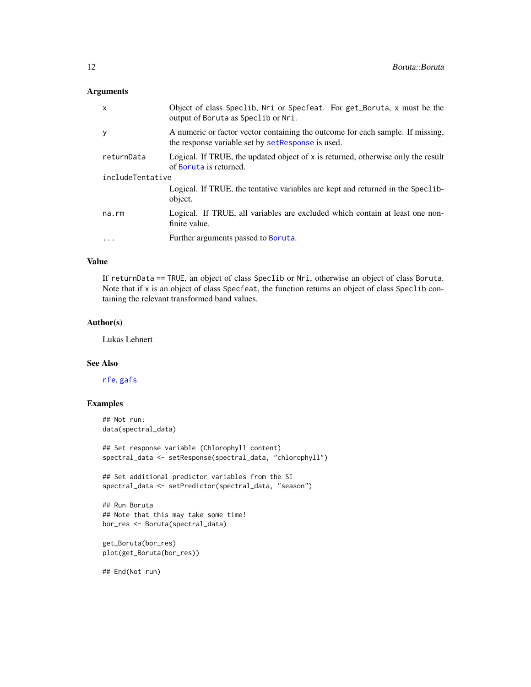# Arguments

| X                 | Object of class Speclib, Nri or Specfeat. For get_Boruta, x must be the<br>output of Boruta as Speclib or Nri.                       |  |
|-------------------|--------------------------------------------------------------------------------------------------------------------------------------|--|
| У                 | A numeric or factor vector containing the outcome for each sample. If missing,<br>the response variable set by set Response is used. |  |
| returnData        | Logical. If TRUE, the updated object of x is returned, otherwise only the result<br>of Boruta is returned.                           |  |
| includeTentative  |                                                                                                                                      |  |
|                   | Logical. If TRUE, the tentative variables are kept and returned in the Speclib-<br>object.                                           |  |
| $na$ . $rm$       | Logical. If TRUE, all variables are excluded which contain at least one non-<br>finite value.                                        |  |
| $\cdot\cdot\cdot$ | Further arguments passed to Boruta.                                                                                                  |  |

# Value

If returnData == TRUE, an object of class Speclib or Nri, otherwise an object of class Boruta. Note that if x is an object of class Specfeat, the function returns an object of class Speclib containing the relevant transformed band values.

#### Author(s)

Lukas Lehnert

# See Also

[rfe](#page-0-0), [gafs](#page-0-0)

# Examples

```
## Not run:
data(spectral_data)
```
## Set response variable (Chlorophyll content) spectral\_data <- setResponse(spectral\_data, "chlorophyll")

```
## Set additional predictor variables from the SI
spectral_data <- setPredictor(spectral_data, "season")
```

```
## Run Boruta
## Note that this may take some time!
bor_res <- Boruta(spectral_data)
```

```
get_Boruta(bor_res)
plot(get_Boruta(bor_res))
```
## End(Not run)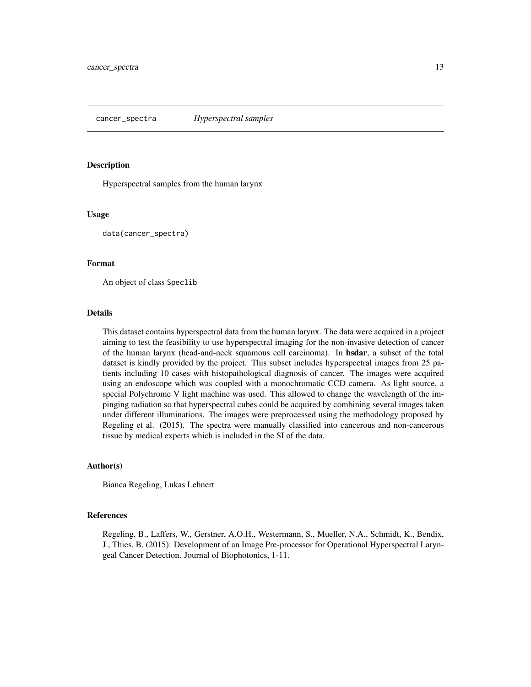<span id="page-12-0"></span>Hyperspectral samples from the human larynx

#### Usage

data(cancer\_spectra)

# Format

An object of class Speclib

#### Details

This dataset contains hyperspectral data from the human larynx. The data were acquired in a project aiming to test the feasibility to use hyperspectral imaging for the non-invasive detection of cancer of the human larynx (head-and-neck squamous cell carcinoma). In hsdar, a subset of the total dataset is kindly provided by the project. This subset includes hyperspectral images from 25 patients including 10 cases with histopathological diagnosis of cancer. The images were acquired using an endoscope which was coupled with a monochromatic CCD camera. As light source, a special Polychrome V light machine was used. This allowed to change the wavelength of the impinging radiation so that hyperspectral cubes could be acquired by combining several images taken under different illuminations. The images were preprocessed using the methodology proposed by Regeling et al. (2015). The spectra were manually classified into cancerous and non-cancerous tissue by medical experts which is included in the SI of the data.

# Author(s)

Bianca Regeling, Lukas Lehnert

# References

Regeling, B., Laffers, W., Gerstner, A.O.H., Westermann, S., Mueller, N.A., Schmidt, K., Bendix, J., Thies, B. (2015): Development of an Image Pre-processor for Operational Hyperspectral Laryngeal Cancer Detection. Journal of Biophotonics, 1-11.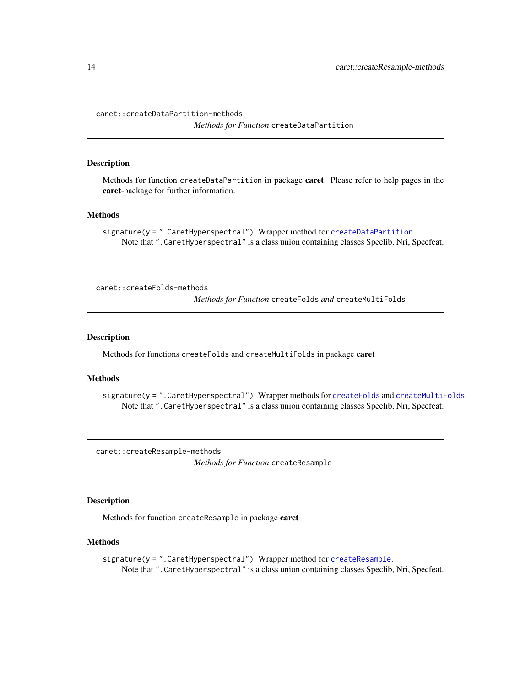<span id="page-13-0"></span>caret::createDataPartition-methods

*Methods for Function* createDataPartition

#### Description

Methods for function createDataPartition in package **caret**. Please refer to help pages in the caret-package for further information.

#### Methods

```
signature(y = ".CaretHyperspectral") Wrapper method for createDataPartition.
    Note that ".CaretHyperspectral" is a class union containing classes Speclib, Nri, Specfeat.
```
caret::createFolds-methods *Methods for Function* createFolds *and* createMultiFolds

#### Description

Methods for functions createFolds and createMultiFolds in package caret

#### **Methods**

signature(y = ".CaretHyperspectral") Wrapper methods for [createFolds](#page-0-0) and [createMultiFolds](#page-0-0). Note that ".CaretHyperspectral" is a class union containing classes Speclib, Nri, Specfeat.

caret::createResample-methods

*Methods for Function* createResample

# **Description**

Methods for function createResample in package caret

#### Methods

```
createResample.
   Note that ".CaretHyperspectral" is a class union containing classes Speclib, Nri, Specfeat.
```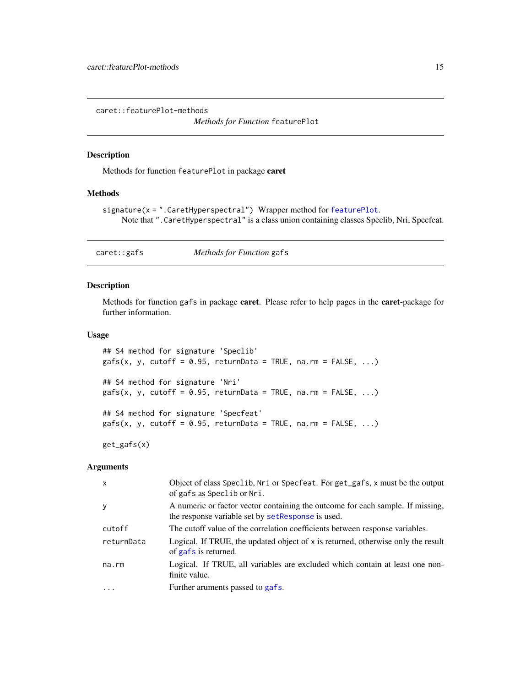<span id="page-14-0"></span>caret::featurePlot-methods

*Methods for Function* featurePlot

# Description

Methods for function featurePlot in package caret

# Methods

```
signature(x = ".CaretHyperspectral") Wrapper method for featurePlot.
    Note that ".CaretHyperspectral" is a class union containing classes Speclib, Nri, Specfeat.
```
caret::gafs *Methods for Function* gafs

# Description

Methods for function gafs in package caret. Please refer to help pages in the caret-package for further information.

# Usage

```
## S4 method for signature 'Speclib'
gafs(x, y, cutoff = 0.95, returnData = TRUE, na.rm = FALSE, ...)## S4 method for signature 'Nri'
gafs(x, y, cutoff = 0.95, returnData = TRUE, na.rm = FALSE, ...)## S4 method for signature 'Specfeat'
gafs(x, y, cutoff = 0.95, returnData = TRUE, na.rm = FALSE, ...)
```
get\_gafs(x)

# Arguments

| $\mathsf{x}$ | Object of class Speclib, Nri or Specfeat. For get_gafs, x must be the output<br>of gafs as Speclib or Nri.                           |
|--------------|--------------------------------------------------------------------------------------------------------------------------------------|
| <b>y</b>     | A numeric or factor vector containing the outcome for each sample. If missing,<br>the response variable set by set Response is used. |
| cutoff       | The cutoff value of the correlation coefficients between response variables.                                                         |
| returnData   | Logical. If TRUE, the updated object of x is returned, otherwise only the result<br>of gafs is returned.                             |
| na.rm        | Logical. If TRUE, all variables are excluded which contain at least one non-<br>finite value.                                        |
| $\cdots$     | Further aruments passed to gafs.                                                                                                     |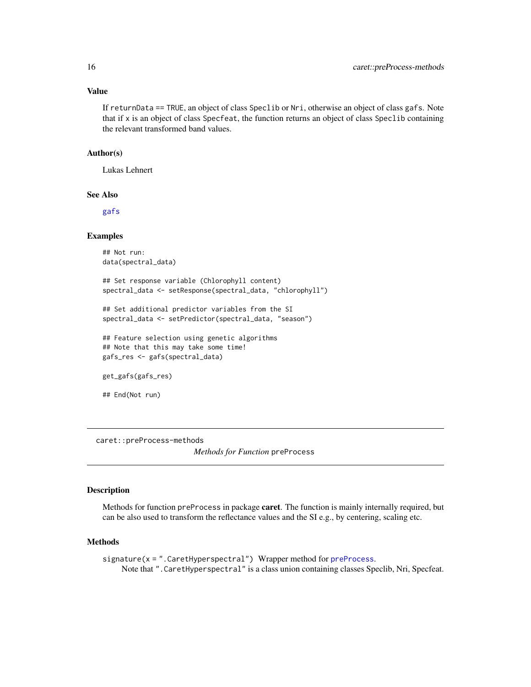# <span id="page-15-0"></span>Value

If returnData == TRUE, an object of class Speclib or Nri, otherwise an object of class gafs. Note that if x is an object of class Specfeat, the function returns an object of class Speclib containing the relevant transformed band values.

# Author(s)

Lukas Lehnert

# See Also

[gafs](#page-0-0)

#### Examples

## Not run: data(spectral\_data)

```
## Set response variable (Chlorophyll content)
spectral_data <- setResponse(spectral_data, "chlorophyll")
```

```
## Set additional predictor variables from the SI
spectral_data <- setPredictor(spectral_data, "season")
```

```
## Feature selection using genetic algorithms
## Note that this may take some time!
gafs_res <- gafs(spectral_data)
```
get\_gafs(gafs\_res)

## End(Not run)

caret::preProcess-methods

*Methods for Function* preProcess

#### Description

Methods for function preProcess in package caret. The function is mainly internally required, but can be also used to transform the reflectance values and the SI e.g., by centering, scaling etc.

# Methods

signature(x = ".CaretHyperspectral") Wrapper method for [preProcess](#page-0-0). Note that ".CaretHyperspectral" is a class union containing classes Speclib, Nri, Specfeat.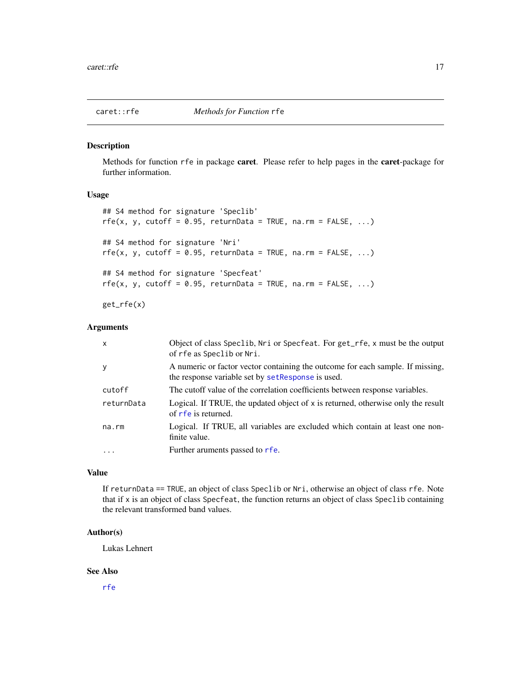<span id="page-16-0"></span>

Methods for function rfe in package caret. Please refer to help pages in the caret-package for further information.

# Usage

```
## S4 method for signature 'Speclib'
rfe(x, y, cutoff = 0.95, returnData = TRUE, na.rm = FALSE, ...)## S4 method for signature 'Nri'
rfe(x, y, cutoff = 0.95, returnData = TRUE, na.rm = FALSE, ...)## S4 method for signature 'Specfeat'
rfe(x, y, cutoff = 0.95, returnData = TRUE, na.rm = FALSE, ...)
```
get\_rfe(x)

# Arguments

| $\mathsf{x}$ | Object of class Speclib, Nri or Specfeat. For get_rfe, x must be the output<br>of rfe as Speclib or Nri.                             |
|--------------|--------------------------------------------------------------------------------------------------------------------------------------|
| y            | A numeric or factor vector containing the outcome for each sample. If missing,<br>the response variable set by set Response is used. |
| cutoff       | The cutoff value of the correlation coefficients between response variables.                                                         |
| returnData   | Logical. If TRUE, the updated object of x is returned, otherwise only the result<br>of r f e is returned.                            |
| na.rm        | Logical. If TRUE, all variables are excluded which contain at least one non-<br>finite value.                                        |
| $\cdots$     | Further aruments passed to rfe.                                                                                                      |

# Value

If returnData == TRUE, an object of class Speclib or Nri, otherwise an object of class rfe. Note that if x is an object of class Specfeat, the function returns an object of class Speclib containing the relevant transformed band values.

# Author(s)

Lukas Lehnert

# See Also

[rfe](#page-0-0)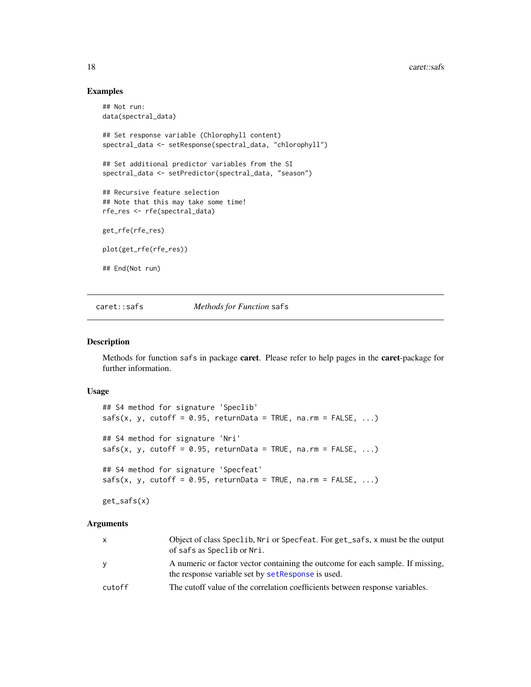#### <span id="page-17-0"></span>18 caret::safs

# Examples

```
## Not run:
data(spectral_data)
## Set response variable (Chlorophyll content)
spectral_data <- setResponse(spectral_data, "chlorophyll")
## Set additional predictor variables from the SI
spectral_data <- setPredictor(spectral_data, "season")
## Recursive feature selection
## Note that this may take some time!
rfe_res <- rfe(spectral_data)
get_rfe(rfe_res)
plot(get_rfe(rfe_res))
## End(Not run)
```
caret::safs *Methods for Function* safs

#### Description

Methods for function safs in package caret. Please refer to help pages in the caret-package for further information.

# Usage

```
## S4 method for signature 'Speclib'
safs(x, y, cutoff = 0.95, returnData = TRUE, na.rm = FALSE, ...)## S4 method for signature 'Nri'
safs(x, y, cutoff = 0.95, returnData = TRUE, na.rm = FALSE, ...)## S4 method for signature 'Specfeat'
safs(x, y, cutoff = 0.95, returnData = TRUE, na.rm = FALSE, ...)
```
get\_safs(x)

#### Arguments

| $\mathsf{x}$ | Object of class Speclib, Nri or Specfeat. For get_safs, x must be the output<br>of safs as Speclib or Nri.                           |
|--------------|--------------------------------------------------------------------------------------------------------------------------------------|
| y            | A numeric or factor vector containing the outcome for each sample. If missing,<br>the response variable set by set Response is used. |
| cutoff       | The cutoff value of the correlation coefficients between response variables.                                                         |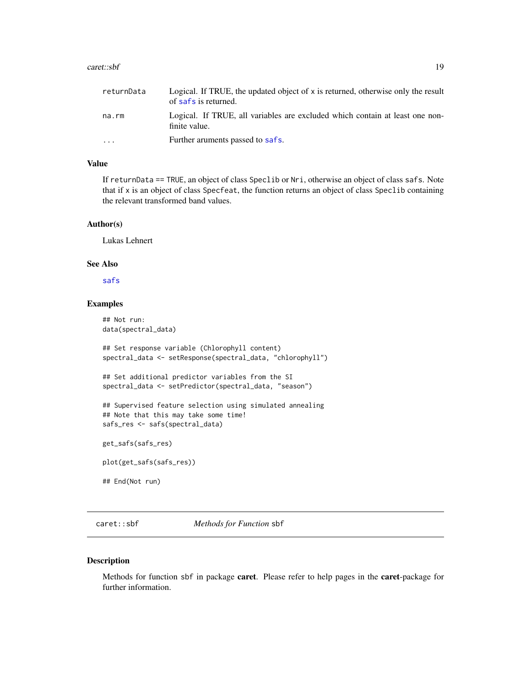#### <span id="page-18-0"></span>caret::sbf 19

| returnData | Logical. If TRUE, the updated object of $x$ is returned, otherwise only the result<br>of safs is returned. |
|------------|------------------------------------------------------------------------------------------------------------|
| na.rm      | Logical. If TRUE, all variables are excluded which contain at least one non-<br>finite value.              |
| $\cdot$    | Further aruments passed to safs.                                                                           |

# Value

If returnData == TRUE, an object of class Speclib or Nri, otherwise an object of class safs. Note that if x is an object of class Specfeat, the function returns an object of class Speclib containing the relevant transformed band values.

#### Author(s)

Lukas Lehnert

# See Also

# [safs](#page-0-0)

# Examples

```
## Not run:
data(spectral_data)
## Set response variable (Chlorophyll content)
spectral_data <- setResponse(spectral_data, "chlorophyll")
## Set additional predictor variables from the SI
spectral_data <- setPredictor(spectral_data, "season")
## Supervised feature selection using simulated annealing
## Note that this may take some time!
safs_res <- safs(spectral_data)
get_safs(safs_res)
plot(get_safs(safs_res))
## End(Not run)
```
caret::sbf *Methods for Function* sbf

#### Description

Methods for function sbf in package caret. Please refer to help pages in the caret-package for further information.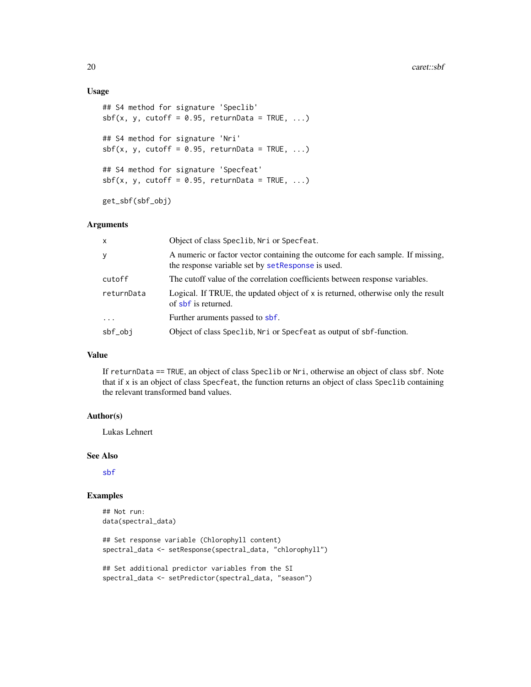# Usage

```
## S4 method for signature 'Speclib'
sbf(x, y, cutoff = 0.95, returnData = TRUE, ...)## S4 method for signature 'Nri'
sbf(x, y, cutoff = 0.95, returnData = TRUE, ...)## S4 method for signature 'Specfeat'
sbf(x, y, cutoff = 0.95, returnData = TRUE, ...)
```
get\_sbf(sbf\_obj)

# Arguments

| x          | Object of class Speclib, Nri or Specfeat.                                                                                           |
|------------|-------------------------------------------------------------------------------------------------------------------------------------|
| y          | A numeric or factor vector containing the outcome for each sample. If missing,<br>the response variable set by setResponse is used. |
| cutoff     | The cutoff value of the correlation coefficients between response variables.                                                        |
| returnData | Logical. If TRUE, the updated object of x is returned, otherwise only the result<br>of sbf is returned.                             |
| $\ddots$ . | Further aruments passed to sbf.                                                                                                     |
| sbf_obj    | Object of class Speclib, Nri or Specfeat as output of sbf-function.                                                                 |

# Value

If returnData == TRUE, an object of class Speclib or Nri, otherwise an object of class sbf. Note that if x is an object of class Specfeat, the function returns an object of class Speclib containing the relevant transformed band values.

#### Author(s)

Lukas Lehnert

# See Also

[sbf](#page-0-0)

# Examples

```
## Not run:
data(spectral_data)
```
## Set response variable (Chlorophyll content) spectral\_data <- setResponse(spectral\_data, "chlorophyll")

```
## Set additional predictor variables from the SI
spectral_data <- setPredictor(spectral_data, "season")
```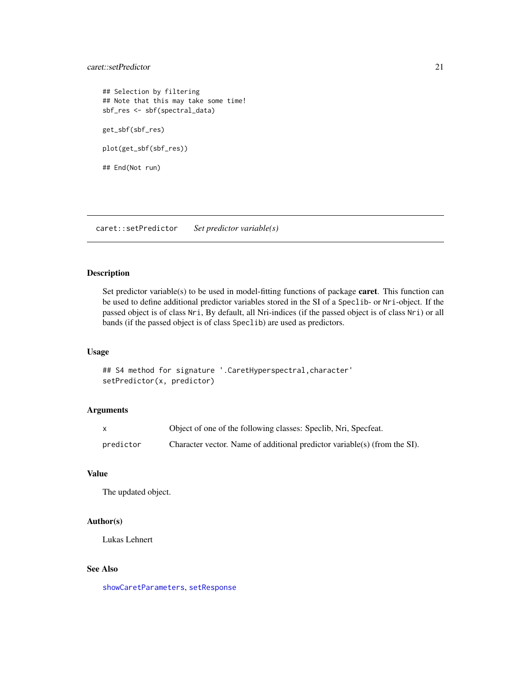# <span id="page-20-0"></span>caret::setPredictor 21

## Selection by filtering ## Note that this may take some time! sbf\_res <- sbf(spectral\_data) get\_sbf(sbf\_res) plot(get\_sbf(sbf\_res)) ## End(Not run)

caret::setPredictor *Set predictor variable(s)*

# <span id="page-20-1"></span>Description

Set predictor variable(s) to be used in model-fitting functions of package caret. This function can be used to define additional predictor variables stored in the SI of a Speclib- or Nri-object. If the passed object is of class Nri, By default, all Nri-indices (if the passed object is of class Nri) or all bands (if the passed object is of class Speclib) are used as predictors.

#### Usage

```
## S4 method for signature '.CaretHyperspectral,character'
setPredictor(x, predictor)
```
# Arguments

|           | Object of one of the following classes: Speclib, Nri, Specfeat.           |
|-----------|---------------------------------------------------------------------------|
| predictor | Character vector. Name of additional predictor variable(s) (from the SI). |

# Value

The updated object.

#### Author(s)

Lukas Lehnert

# See Also

[showCaretParameters](#page-22-1), [setResponse](#page-21-1)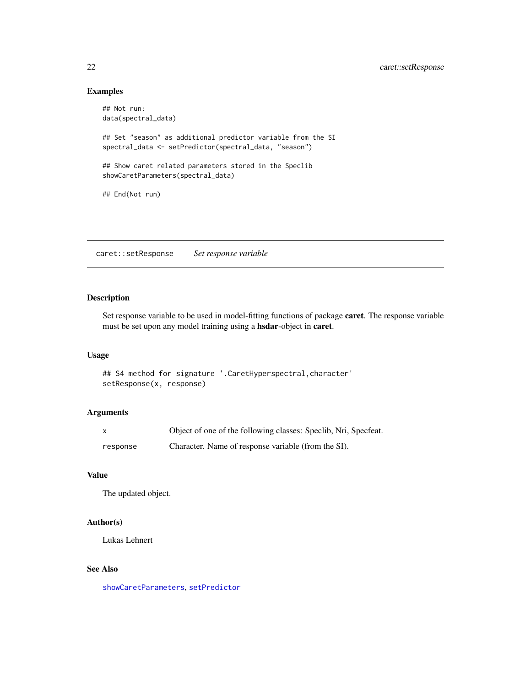# Examples

```
## Not run:
data(spectral_data)
## Set "season" as additional predictor variable from the SI
spectral_data <- setPredictor(spectral_data, "season")
## Show caret related parameters stored in the Speclib
showCaretParameters(spectral_data)
## End(Not run)
```
caret::setResponse *Set response variable*

# <span id="page-21-1"></span>Description

Set response variable to be used in model-fitting functions of package caret. The response variable must be set upon any model training using a hsdar-object in caret.

# Usage

```
## S4 method for signature '.CaretHyperspectral,character'
setResponse(x, response)
```
# Arguments

|          | Object of one of the following classes: Speclib, Nri, Specfeat. |
|----------|-----------------------------------------------------------------|
| response | Character. Name of response variable (from the SI).             |

# Value

The updated object.

# Author(s)

Lukas Lehnert

# See Also

[showCaretParameters](#page-22-1), [setPredictor](#page-20-1)

<span id="page-21-0"></span>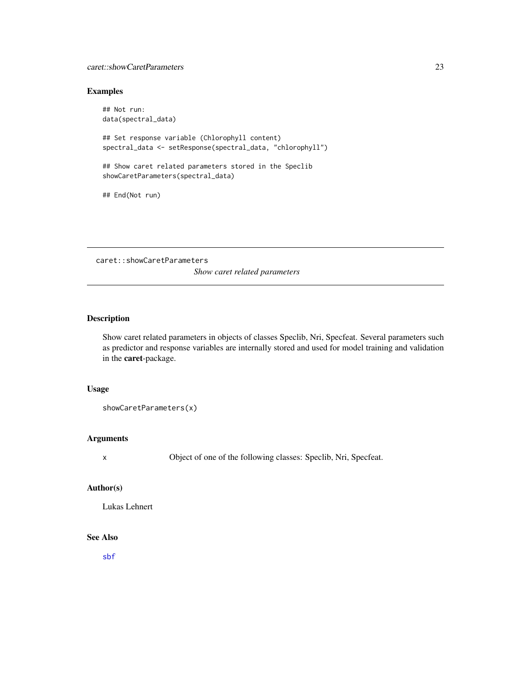# <span id="page-22-0"></span>caret::showCaretParameters 23

# Examples

## Not run: data(spectral\_data) ## Set response variable (Chlorophyll content) spectral\_data <- setResponse(spectral\_data, "chlorophyll") ## Show caret related parameters stored in the Speclib showCaretParameters(spectral\_data) ## End(Not run)

caret::showCaretParameters *Show caret related parameters*

# <span id="page-22-1"></span>Description

Show caret related parameters in objects of classes Speclib, Nri, Specfeat. Several parameters such as predictor and response variables are internally stored and used for model training and validation in the caret-package.

#### Usage

```
showCaretParameters(x)
```
# Arguments

x Object of one of the following classes: Speclib, Nri, Specfeat.

# Author(s)

Lukas Lehnert

#### See Also

[sbf](#page-0-0)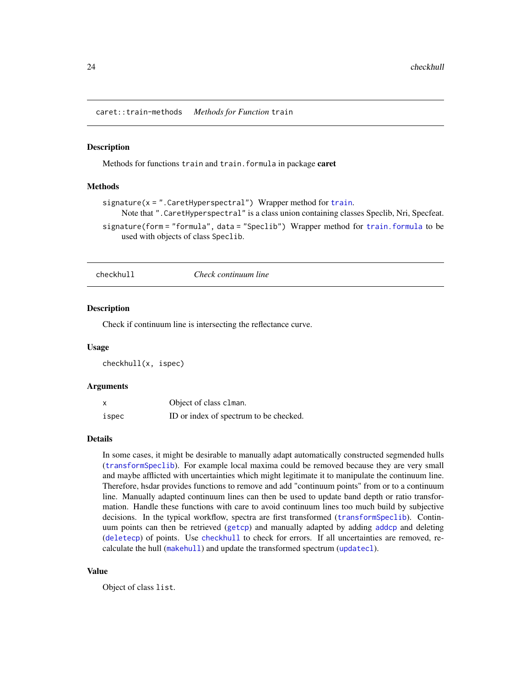<span id="page-23-0"></span>caret::train-methods *Methods for Function* train

#### Description

Methods for functions train and train.formula in package caret

#### Methods

```
signature(x =train.
    Note that ".CaretHyperspectral" is a class union containing classes Speclib, Nri, Specfeat.
signature(form = "formula", data = "Speclib") Wrapper method for train.formula to be
    used with objects of class Speclib.
```
<span id="page-23-1"></span>

checkhull *Check continuum line*

## Description

Check if continuum line is intersecting the reflectance curve.

#### Usage

checkhull(x, ispec)

# Arguments

|       | Object of class clman.                 |
|-------|----------------------------------------|
| ispec | ID or index of spectrum to be checked. |

#### Details

In some cases, it might be desirable to manually adapt automatically constructed segmended hulls ([transformSpeclib](#page-110-1)). For example local maxima could be removed because they are very small and maybe afflicted with uncertainties which might legitimate it to manipulate the continuum line. Therefore, hsdar provides functions to remove and add "continuum points" from or to a continuum line. Manually adapted continuum lines can then be used to update band depth or ratio transformation. Handle these functions with care to avoid continuum lines too much build by subjective decisions. In the typical workflow, spectra are first transformed ([transformSpeclib](#page-110-1)). Continuum points can then be retrieved ([getcp](#page-45-1)) and manually adapted by adding [addcp](#page-4-1) and deleting ([deletecp](#page-31-1)) of points. Use [checkhull](#page-23-1) to check for errors. If all uncertainties are removed, recalculate the hull ([makehull](#page-55-1)) and update the transformed spectrum ([updatecl](#page-114-1)).

#### Value

Object of class list.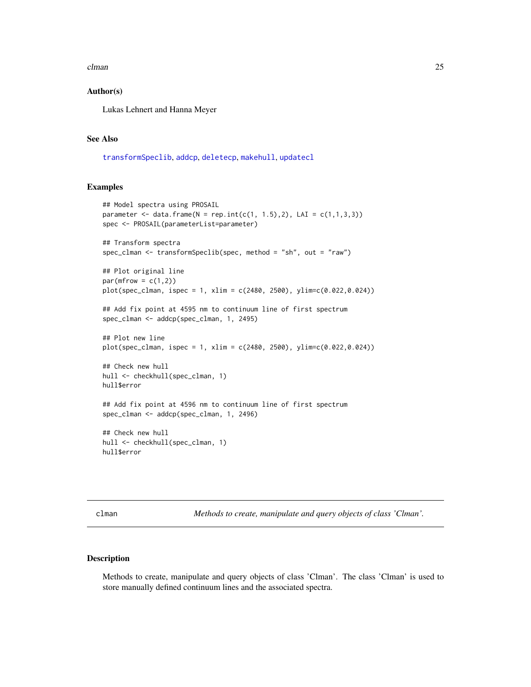#### <span id="page-24-0"></span>clman 25

# Author(s)

Lukas Lehnert and Hanna Meyer

### See Also

[transformSpeclib](#page-110-1), [addcp](#page-4-1), [deletecp](#page-31-1), [makehull](#page-55-1), [updatecl](#page-114-1)

#### Examples

```
## Model spectra using PROSAIL
parameter <- data.frame(N = rep.int(c(1, 1.5),2), LAI = c(1,1,3,3))
spec <- PROSAIL(parameterList=parameter)
## Transform spectra
spec_clman <- transformSpeclib(spec, method = "sh", out = "raw")
## Plot original line
par(mfrow = c(1,2))plot(spec_clman, ispec = 1, xlim = c(2480, 2500), ylim=c(0.022,0.024))
## Add fix point at 4595 nm to continuum line of first spectrum
spec_clman <- addcp(spec_clman, 1, 2495)
## Plot new line
plot(spec_clman, ispec = 1, xlim = c(2480, 2500), ylim=c(0.022,0.024))
## Check new hull
hull <- checkhull(spec_clman, 1)
hull$error
## Add fix point at 4596 nm to continuum line of first spectrum
spec_clman <- addcp(spec_clman, 1, 2496)
## Check new hull
hull <- checkhull(spec_clman, 1)
hull$error
```
clman *Methods to create, manipulate and query objects of class 'Clman'.*

# Description

Methods to create, manipulate and query objects of class 'Clman'. The class 'Clman' is used to store manually defined continuum lines and the associated spectra.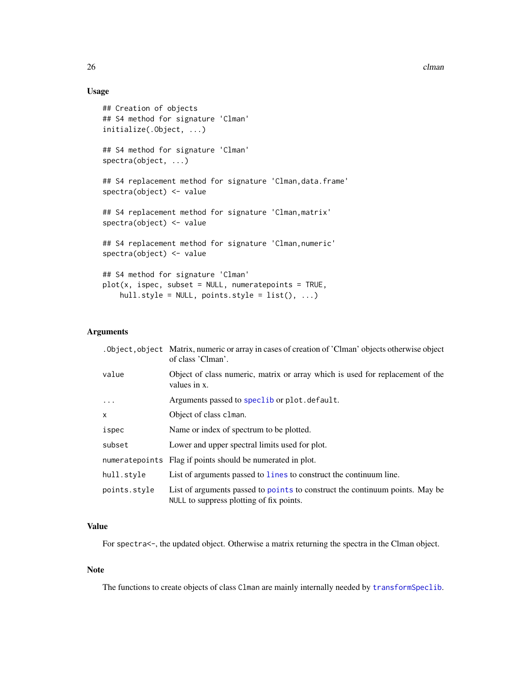# Usage

```
## Creation of objects
## S4 method for signature 'Clman'
initialize(.Object, ...)
## S4 method for signature 'Clman'
spectra(object, ...)
## S4 replacement method for signature 'Clman,data.frame'
spectra(object) <- value
## S4 replacement method for signature 'Clman,matrix'
spectra(object) <- value
## S4 replacement method for signature 'Clman,numeric'
spectra(object) <- value
## S4 method for signature 'Clman'
plot(x, ispec, subset = NULL, numeratepoints = TRUE,hull-style = NULL, points-style = list(), ...)
```
# Arguments

|              | . Object, object Matrix, numeric or array in cases of creation of 'Clman' objects otherwise object<br>of class 'Clman'. |
|--------------|-------------------------------------------------------------------------------------------------------------------------|
| value        | Object of class numeric, matrix or array which is used for replacement of the<br>values in x.                           |
| $\ddots$     | Arguments passed to speclib or plot. default.                                                                           |
| X.           | Object of class clman.                                                                                                  |
| ispec        | Name or index of spectrum to be plotted.                                                                                |
| subset       | Lower and upper spectral limits used for plot.                                                                          |
|              | numeratepoints Flag if points should be numerated in plot.                                                              |
| hull.style   | List of arguments passed to lines to construct the continuum line.                                                      |
| points.style | List of arguments passed to point to construct the continuum points. May be<br>NULL to suppress plotting of fix points. |

#### Value

For spectra<-, the updated object. Otherwise a matrix returning the spectra in the Clman object.

#### Note

The functions to create objects of class Clman are mainly internally needed by [transformSpeclib](#page-110-1).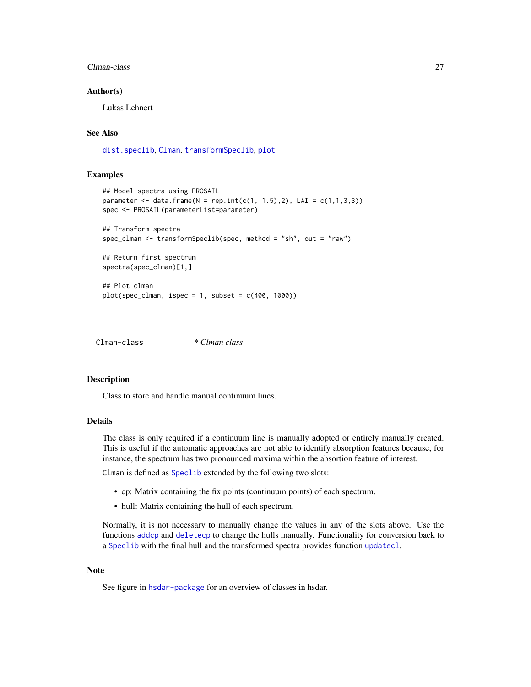#### <span id="page-26-0"></span>Clman-class 27

## Author(s)

Lukas Lehnert

# See Also

[dist.speclib](#page-35-1), [Clman](#page-26-1), [transformSpeclib](#page-110-1), [plot](#page-70-1)

# Examples

```
## Model spectra using PROSAIL
parameter <- data.frame(N = rep.int(c(1, 1.5),2), LAI = c(1,1,3,3))
spec <- PROSAIL(parameterList=parameter)
## Transform spectra
spec_clman <- transformSpeclib(spec, method = "sh", out = "raw")
## Return first spectrum
spectra(spec_clman)[1,]
## Plot clman
plot(spec_clman, ispec = 1, subset = c(400, 1000))
```
<span id="page-26-2"></span>Clman-class *\* Clman class*

#### <span id="page-26-1"></span>**Description**

Class to store and handle manual continuum lines.

# Details

The class is only required if a continuum line is manually adopted or entirely manually created. This is useful if the automatic approaches are not able to identify absorption features because, for instance, the spectrum has two pronounced maxima within the absortion feature of interest.

Clman is defined as [Speclib](#page-96-1) extended by the following two slots:

- cp: Matrix containing the fix points (continuum points) of each spectrum.
- hull: Matrix containing the hull of each spectrum.

Normally, it is not necessary to manually change the values in any of the slots above. Use the functions [addcp](#page-4-1) and [deletecp](#page-31-1) to change the hulls manually. Functionality for conversion back to a [Speclib](#page-96-1) with the final hull and the transformed spectra provides function [updatecl](#page-114-1).

#### **Note**

See figure in [hsdar-package](#page-2-1) for an overview of classes in hsdar.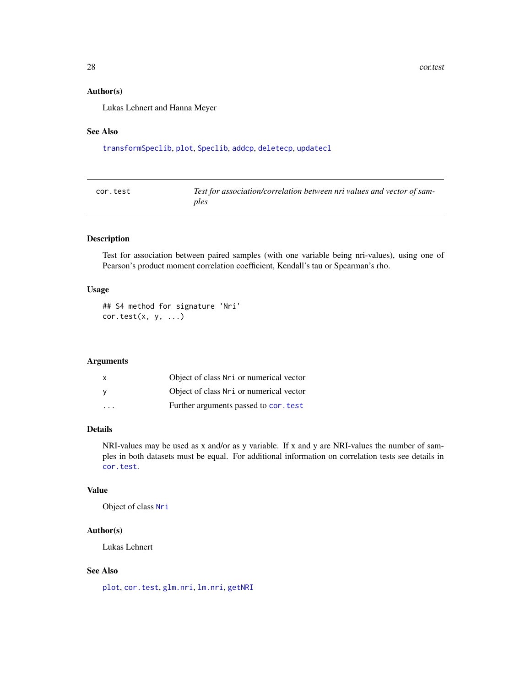#### <span id="page-27-0"></span>Author(s)

Lukas Lehnert and Hanna Meyer

# See Also

[transformSpeclib](#page-110-1), [plot](#page-70-1), [Speclib](#page-96-1), [addcp](#page-4-1), [deletecp](#page-31-1), [updatecl](#page-114-1)

<span id="page-27-1"></span>

| cor.test | Test for association/correlation between nri values and vector of sam- |
|----------|------------------------------------------------------------------------|
|          | ples                                                                   |

# Description

Test for association between paired samples (with one variable being nri-values), using one of Pearson's product moment correlation coefficient, Kendall's tau or Spearman's rho.

# Usage

```
## S4 method for signature 'Nri'
cor.test(x, y, ...)
```
#### Arguments

| X                       | Object of class Nri or numerical vector  |
|-------------------------|------------------------------------------|
| <b>V</b>                | Object of class Nr i or numerical vector |
| $\cdot$ $\cdot$ $\cdot$ | Further arguments passed to cor. test    |

# Details

NRI-values may be used as x and/or as y variable. If x and y are NRI-values the number of samples in both datasets must be equal. For additional information on correlation tests see details in [cor.test](#page-27-1).

#### Value

Object of class [Nri](#page-63-1)

# Author(s)

Lukas Lehnert

# See Also

[plot](#page-66-1), [cor.test](#page-27-1), [glm.nri](#page-48-1), [lm.nri](#page-48-2), [getNRI](#page-46-1)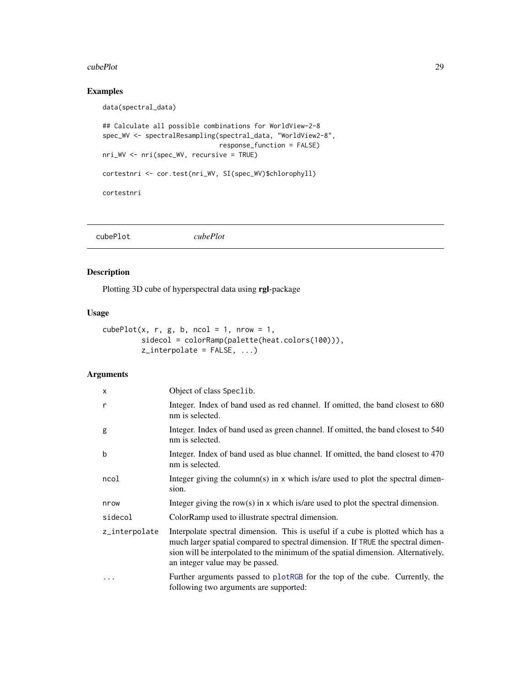#### <span id="page-28-0"></span>cubePlot 29

# Examples

```
data(spectral_data)
## Calculate all possible combinations for WorldView-2-8
spec_WV <- spectralResampling(spectral_data, "WorldView2-8",
                             response_function = FALSE)
nri_WV <- nri(spec_WV, recursive = TRUE)
cortestnri <- cor.test(nri_WV, SI(spec_WV)$chlorophyll)
cortestnri
```

| cubePlot<br>cubePlot |  |
|----------------------|--|
|----------------------|--|

# Description

Plotting 3D cube of hyperspectral data using rgl-package

# Usage

```
cubePlot(x, r, g, b, ncol = 1, nrow = 1,sidecol = colorRamp(palette(heat.colors(100))),
        z_interpolate = FALSE, ...)
```
# Arguments

| $\mathsf{x}$  | Object of class Speclib.                                                                                                                                                                                                                                                                   |
|---------------|--------------------------------------------------------------------------------------------------------------------------------------------------------------------------------------------------------------------------------------------------------------------------------------------|
| $\mathsf{r}$  | Integer. Index of band used as red channel. If omitted, the band closest to 680<br>nm is selected.                                                                                                                                                                                         |
| g             | Integer. Index of band used as green channel. If omitted, the band closest to 540<br>nm is selected.                                                                                                                                                                                       |
| $\mathbf b$   | Integer. Index of band used as blue channel. If omitted, the band closest to 470<br>nm is selected.                                                                                                                                                                                        |
| ncol          | Integer giving the column(s) in x which is/are used to plot the spectral dimen-<br>sion.                                                                                                                                                                                                   |
| nrow          | Integer giving the row(s) in $x$ which is/are used to plot the spectral dimension.                                                                                                                                                                                                         |
| sidecol       | ColorRamp used to illustrate spectral dimension.                                                                                                                                                                                                                                           |
| z_interpolate | Interpolate spectral dimension. This is useful if a cube is plotted which has a<br>much larger spatial compared to spectral dimension. If TRUE the spectral dimen-<br>sion will be interpolated to the minimum of the spatial dimension. Alternatively,<br>an integer value may be passed. |
|               | Further arguments passed to plotRGB for the top of the cube. Currently, the<br>following two arguments are supported:                                                                                                                                                                      |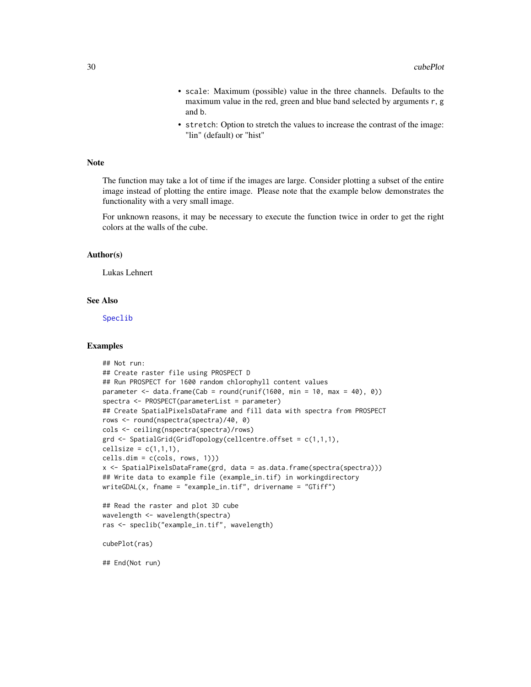- scale: Maximum (possible) value in the three channels. Defaults to the maximum value in the red, green and blue band selected by arguments r, g and b.
- stretch: Option to stretch the values to increase the contrast of the image: "lin" (default) or "hist"

# Note

The function may take a lot of time if the images are large. Consider plotting a subset of the entire image instead of plotting the entire image. Please note that the example below demonstrates the functionality with a very small image.

For unknown reasons, it may be necessary to execute the function twice in order to get the right colors at the walls of the cube.

## Author(s)

Lukas Lehnert

# See Also

[Speclib](#page-96-1)

## Examples

```
## Not run:
## Create raster file using PROSPECT D
## Run PROSPECT for 1600 random chlorophyll content values
parameter \leq data.frame(Cab = round(runif(1600, min = 10, max = 40), 0))
spectra <- PROSPECT(parameterList = parameter)
## Create SpatialPixelsDataFrame and fill data with spectra from PROSPECT
rows <- round(nspectra(spectra)/40, 0)
cols <- ceiling(nspectra(spectra)/rows)
grd <- SpatialGrid(GridTopology(cellcentre.offset = c(1,1,1),
cellsize = c(1,1,1),cells.dim = c(cols, rows, 1)))
x <- SpatialPixelsDataFrame(grd, data = as.data.frame(spectra(spectra)))
## Write data to example file (example_in.tif) in workingdirectory
writeGDAL(x, fname = "example_in.tif", drivername = "GTiff")
## Read the raster and plot 3D cube
wavelength <- wavelength(spectra)
ras <- speclib("example_in.tif", wavelength)
cubePlot(ras)
## End(Not run)
```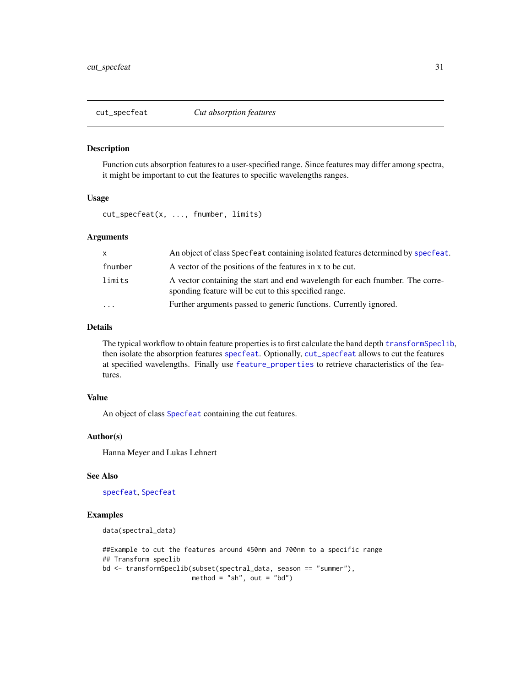<span id="page-30-1"></span><span id="page-30-0"></span>

Function cuts absorption features to a user-specified range. Since features may differ among spectra, it might be important to cut the features to specific wavelengths ranges.

# Usage

cut\_specfeat(x, ..., fnumber, limits)

#### Arguments

| $\mathsf{x}$      | An object of class Specfeat containing isolated features determined by specfeat.                                                      |
|-------------------|---------------------------------------------------------------------------------------------------------------------------------------|
| fnumber           | A vector of the positions of the features in x to be cut.                                                                             |
| limits            | A vector containing the start and end wavelength for each final entireption-<br>sponding feature will be cut to this specified range. |
| $\cdot\cdot\cdot$ | Further arguments passed to generic functions. Currently ignored.                                                                     |

#### Details

The typical workflow to obtain feature properties is to first calculate the band depth [transformSpeclib](#page-110-1), then isolate the absorption features [specfeat](#page-91-1). Optionally, [cut\\_specfeat](#page-30-1) allows to cut the features at specified wavelengths. Finally use [feature\\_properties](#page-40-1) to retrieve characteristics of the features.

# Value

An object of class [Specfeat](#page-92-1) containing the cut features.

# Author(s)

Hanna Meyer and Lukas Lehnert

# See Also

[specfeat](#page-91-1), [Specfeat](#page-92-1)

#### Examples

```
data(spectral_data)
```
##Example to cut the features around 450nm and 700nm to a specific range ## Transform speclib bd <- transformSpeclib(subset(spectral\_data, season == "summer"), method = "sh", out = "bd")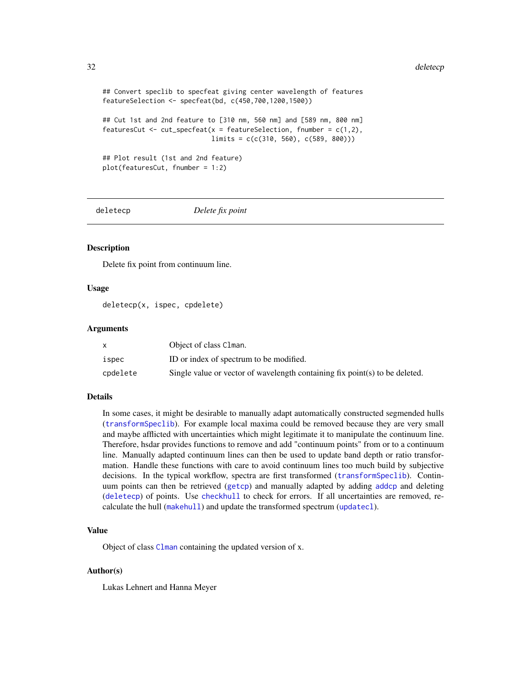```
## Convert speclib to specfeat giving center wavelength of features
featureSelection <- specfeat(bd, c(450,700,1200,1500))
## Cut 1st and 2nd feature to [310 nm, 560 nm] and [589 nm, 800 nm]
featuresCut \leq cut_specfeat(x = featureSelection, fnumber = c(1,2),
                            limits = c(c(310, 560), c(589, 800)))
## Plot result (1st and 2nd feature)
plot(featuresCut, fnumber = 1:2)
```
<span id="page-31-1"></span>

deletecp *Delete fix point*

# **Description**

Delete fix point from continuum line.

#### Usage

deletecp(x, ispec, cpdelete)

#### Arguments

|          | Object of class Clman.                                                      |
|----------|-----------------------------------------------------------------------------|
| ispec    | ID or index of spectrum to be modified.                                     |
| cpdelete | Single value or vector of wavelength containing fix point(s) to be deleted. |

# Details

In some cases, it might be desirable to manually adapt automatically constructed segmended hulls ([transformSpeclib](#page-110-1)). For example local maxima could be removed because they are very small and maybe afflicted with uncertainties which might legitimate it to manipulate the continuum line. Therefore, hsdar provides functions to remove and add "continuum points" from or to a continuum line. Manually adapted continuum lines can then be used to update band depth or ratio transformation. Handle these functions with care to avoid continuum lines too much build by subjective decisions. In the typical workflow, spectra are first transformed ([transformSpeclib](#page-110-1)). Continuum points can then be retrieved ([getcp](#page-45-1)) and manually adapted by adding [addcp](#page-4-1) and deleting ([deletecp](#page-31-1)) of points. Use [checkhull](#page-23-1) to check for errors. If all uncertainties are removed, recalculate the hull ([makehull](#page-55-1)) and update the transformed spectrum ([updatecl](#page-114-1)).

#### Value

Object of class [Clman](#page-26-2) containing the updated version of x.

#### Author(s)

Lukas Lehnert and Hanna Meyer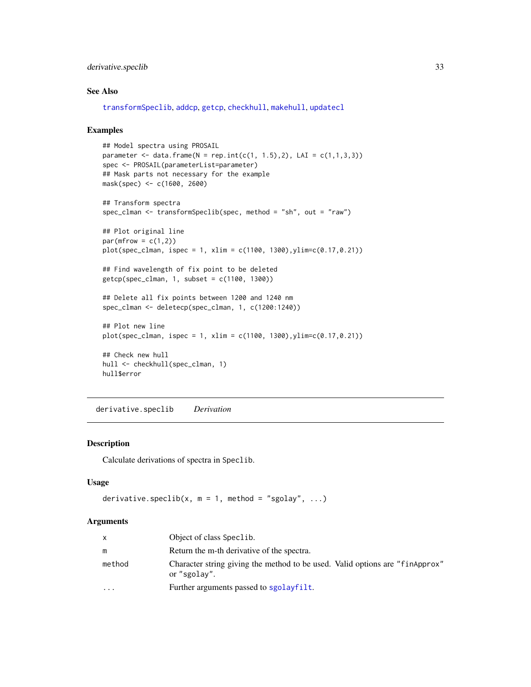# <span id="page-32-0"></span>derivative.speclib 33

# See Also

[transformSpeclib](#page-110-1), [addcp](#page-4-1), [getcp](#page-45-1), [checkhull](#page-23-1), [makehull](#page-55-1), [updatecl](#page-114-1)

#### Examples

```
## Model spectra using PROSAIL
parameter <- data.frame(N = rep.int(c(1, 1.5), 2), LAI = c(1,1,3,3))
spec <- PROSAIL(parameterList=parameter)
## Mask parts not necessary for the example
mask(spec) <- c(1600, 2600)
## Transform spectra
spec_clman <- transformSpeclib(spec, method = "sh", out = "raw")
## Plot original line
par(mfrow = c(1,2))plot(spec_clman, ispec = 1, xlim = c(1100, 1300),ylim=c(0.17,0.21))
## Find wavelength of fix point to be deleted
getcp(spec_clman, 1, subset = c(1100, 1300))
## Delete all fix points between 1200 and 1240 nm
spec_clman <- deletecp(spec_clman, 1, c(1200:1240))
## Plot new line
plot(spec_clman, ispec = 1, xlim = c(1100, 1300), ylim = c(0.17, 0.21))## Check new hull
hull <- checkhull(spec_clman, 1)
hull$error
```
<span id="page-32-1"></span>derivative.speclib *Derivation*

# Description

Calculate derivations of spectra in Speclib.

# Usage

```
derivative.speclib(x, m = 1, method = "sgolay", ...)
```
#### Arguments

| $\mathsf{x}$ | Object of class Speclib.                                                                     |
|--------------|----------------------------------------------------------------------------------------------|
| m            | Return the m-th derivative of the spectra.                                                   |
| method       | Character string giving the method to be used. Valid options are "finapprox"<br>or "sgolay". |
| $\cdots$     | Further arguments passed to sgolayfilt.                                                      |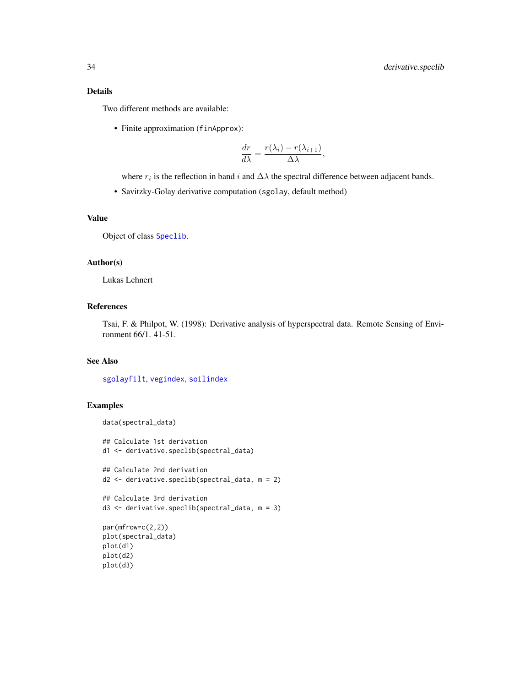# Details

Two different methods are available:

• Finite approximation (finApprox):

$$
\frac{dr}{d\lambda} = \frac{r(\lambda_i) - r(\lambda_{i+1})}{\Delta \lambda},
$$

where  $r_i$  is the reflection in band i and  $\Delta\lambda$  the spectral difference between adjacent bands.

• Savitzky-Golay derivative computation (sgolay, default method)

# Value

Object of class [Speclib](#page-96-1).

# Author(s)

Lukas Lehnert

# References

Tsai, F. & Philpot, W. (1998): Derivative analysis of hyperspectral data. Remote Sensing of Environment 66/1. 41-51.

# See Also

[sgolayfilt](#page-0-0), [vegindex](#page-117-1), [soilindex](#page-89-1)

# Examples

```
data(spectral_data)
```

```
## Calculate 1st derivation
d1 <- derivative.speclib(spectral_data)
## Calculate 2nd derivation
d2 <- derivative.speclib(spectral_data, m = 2)
## Calculate 3rd derivation
d3 <- derivative.speclib(spectral_data, m = 3)
par(mfrow=c(2,2))
plot(spectral_data)
plot(d1)
```

```
plot(d2)
plot(d3)
```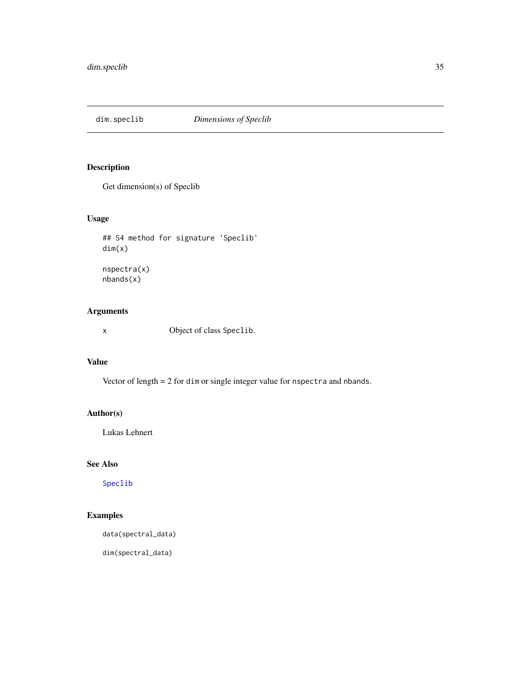<span id="page-34-0"></span>

Get dimension(s) of Speclib

# Usage

```
## S4 method for signature 'Speclib'
dim(x)
nspectra(x)
nbands(x)
```
# Arguments

x Object of class Speclib.

# Value

Vector of length = 2 for dim or single integer value for nspectra and nbands.

# Author(s)

Lukas Lehnert

# See Also

[Speclib](#page-96-1)

# Examples

data(spectral\_data)

dim(spectral\_data)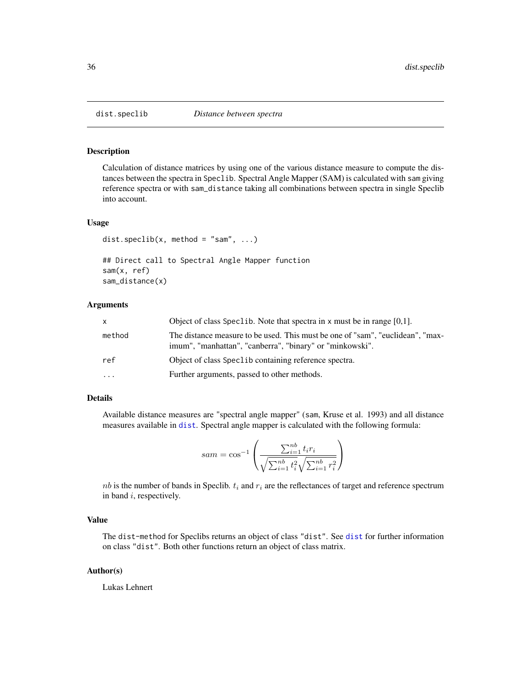<span id="page-35-1"></span><span id="page-35-0"></span>

Calculation of distance matrices by using one of the various distance measure to compute the distances between the spectra in Speclib. Spectral Angle Mapper (SAM) is calculated with sam giving reference spectra or with sam\_distance taking all combinations between spectra in single Speclib into account.

#### Usage

```
dist.speclib(x, method = "sam", \dots)
## Direct call to Spectral Angle Mapper function
sam(x, ref)
sam_distance(x)
```
# Arguments

| x         | Object of class Spec1ib. Note that spectra in x must be in range $[0,1]$ .                                                                 |
|-----------|--------------------------------------------------------------------------------------------------------------------------------------------|
| method    | The distance measure to be used. This must be one of "sam", "euclidean", "max-<br>imum", "manhattan", "canberra", "binary" or "minkowski". |
| ref       | Object of class Spec1 ib containing reference spectra.                                                                                     |
| $\ddotsc$ | Further arguments, passed to other methods.                                                                                                |

# Details

Available distance measures are "spectral angle mapper" (sam, Kruse et al. 1993) and all distance measures available in [dist](#page-0-0). Spectral angle mapper is calculated with the following formula:

$$
sam = \cos^{-1}\left(\frac{\sum_{i=1}^{nb} t_i r_i}{\sqrt{\sum_{i=1}^{nb} t_i^2} \sqrt{\sum_{i=1}^{nb} r_i^2}}\right)
$$

 $nb$  is the number of bands in Speclib.  $t_i$  and  $r_i$  are the reflectances of target and reference spectrum in band i, respectively.

# Value

The dist-method for Speclibs returns an object of class "dist". See [dist](#page-0-0) for further information on class "dist". Both other functions return an object of class matrix.

#### Author(s)

Lukas Lehnert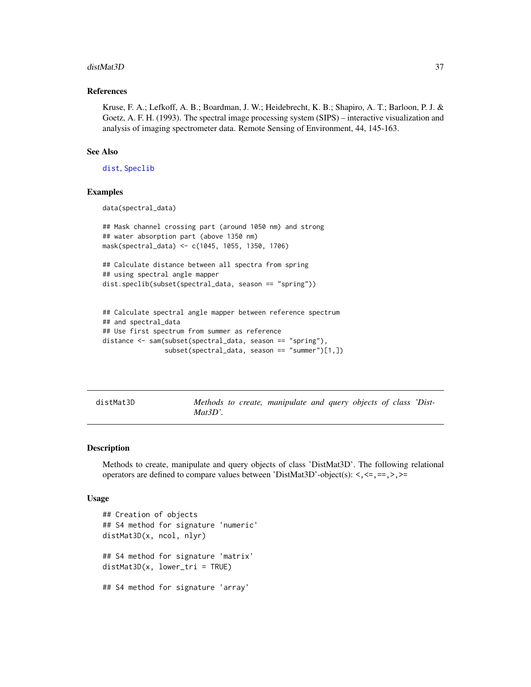#### distMat3D 37

#### References

Kruse, F. A.; Lefkoff, A. B.; Boardman, J. W.; Heidebrecht, K. B.; Shapiro, A. T.; Barloon, P. J. & Goetz, A. F. H. (1993). The spectral image processing system (SIPS) – interactive visualization and analysis of imaging spectrometer data. Remote Sensing of Environment, 44, 145-163.

# See Also

[dist](#page-0-0), [Speclib](#page-96-0)

#### Examples

data(spectral\_data)

```
## Mask channel crossing part (around 1050 nm) and strong
## water absorption part (above 1350 nm)
mask(spectral_data) <- c(1045, 1055, 1350, 1706)
```

```
## Calculate distance between all spectra from spring
## using spectral angle mapper
dist.speclib(subset(spectral_data, season == "spring"))
```

```
## Calculate spectral angle mapper between reference spectrum
## and spectral_data
## Use first spectrum from summer as reference
distance <- sam(subset(spectral_data, season == "spring"),
                subset(spectral_data, season == "summer")[1,])
```
<span id="page-36-0"></span>distMat3D *Methods to create, manipulate and query objects of class 'Dist-Mat3D'.*

## **Description**

Methods to create, manipulate and query objects of class 'DistMat3D'. The following relational operators are defined to compare values between 'DistMat3D'-object(s): <,<=,==,>,>=

#### Usage

```
## Creation of objects
## S4 method for signature 'numeric'
distMat3D(x, ncol, nlyr)
## S4 method for signature 'matrix'
distMat3D(x, lower_tri = TRUE)
## S4 method for signature 'array'
```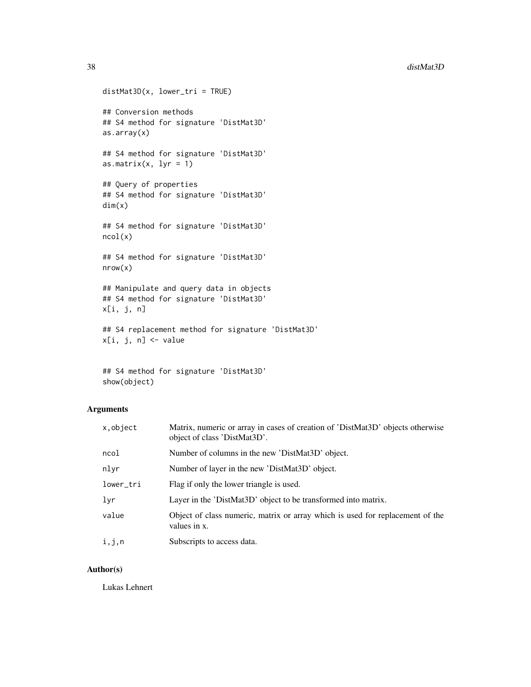```
distMat3D(x, lower_tri = TRUE)## Conversion methods
## S4 method for signature 'DistMat3D'
as.array(x)
## S4 method for signature 'DistMat3D'
as.matrix(x, lyr = 1)
## Query of properties
## S4 method for signature 'DistMat3D'
dim(x)
## S4 method for signature 'DistMat3D'
ncol(x)
## S4 method for signature 'DistMat3D'
nrow(x)
## Manipulate and query data in objects
## S4 method for signature 'DistMat3D'
x[i, j, n]
## S4 replacement method for signature 'DistMat3D'
x[i, j, n] <- value
```

```
## S4 method for signature 'DistMat3D'
show(object)
```
# Arguments

| x,object  | Matrix, numeric or array in cases of creation of 'DistMat3D' objects otherwise<br>object of class 'DistMat3D'. |
|-----------|----------------------------------------------------------------------------------------------------------------|
| ncol      | Number of columns in the new 'DistMat3D' object.                                                               |
| nlyr      | Number of layer in the new 'DistMat3D' object.                                                                 |
| lower_tri | Flag if only the lower triangle is used.                                                                       |
| lyr       | Layer in the 'DistMat3D' object to be transformed into matrix.                                                 |
| value     | Object of class numeric, matrix or array which is used for replacement of the<br>values in x.                  |
| i,j,n     | Subscripts to access data.                                                                                     |

## Author(s)

Lukas Lehnert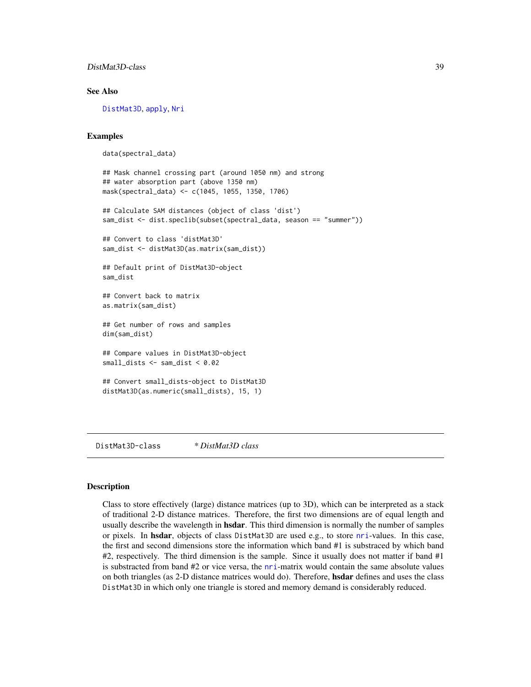# DistMat3D-class 39

### See Also

[DistMat3D](#page-38-0), [apply](#page-5-0), [Nri](#page-63-0)

#### Examples

```
data(spectral_data)
```

```
## Mask channel crossing part (around 1050 nm) and strong
## water absorption part (above 1350 nm)
mask(spectral_data) <- c(1045, 1055, 1350, 1706)
```

```
## Calculate SAM distances (object of class 'dist')
sam_dist <- dist.speclib(subset(spectral_data, season == "summer"))
```

```
## Convert to class 'distMat3D'
sam_dist <- distMat3D(as.matrix(sam_dist))
```
## Default print of DistMat3D-object sam\_dist

```
## Convert back to matrix
as.matrix(sam_dist)
```
## Get number of rows and samples dim(sam\_dist)

## Compare values in DistMat3D-object small\_dists <- sam\_dist < 0.02

```
## Convert small_dists-object to DistMat3D
distMat3D(as.numeric(small_dists), 15, 1)
```
<span id="page-38-0"></span>DistMat3D-class *\* DistMat3D class*

# Description

Class to store effectively (large) distance matrices (up to 3D), which can be interpreted as a stack of traditional 2-D distance matrices. Therefore, the first two dimensions are of equal length and usually describe the wavelength in **hsdar**. This third dimension is normally the number of samples or pixels. In hsdar, objects of class DistMat3D are used e.g., to store [nri](#page-62-0)-values. In this case, the first and second dimensions store the information which band #1 is substraced by which band #2, respectively. The third dimension is the sample. Since it usually does not matter if band #1 is substracted from band #2 or vice versa, the [nri](#page-62-0)-matrix would contain the same absolute values on both triangles (as 2-D distance matrices would do). Therefore, **hsdar** defines and uses the class DistMat3D in which only one triangle is stored and memory demand is considerably reduced.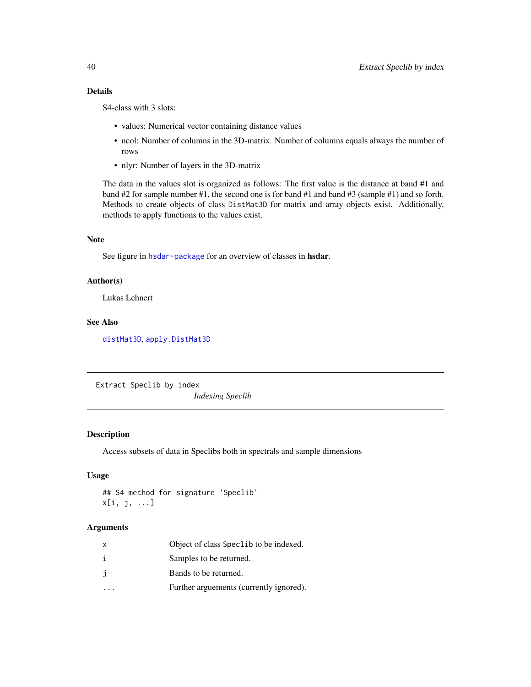# Details

S4-class with 3 slots:

- values: Numerical vector containing distance values
- ncol: Number of columns in the 3D-matrix. Number of columns equals always the number of rows
- nlyr: Number of layers in the 3D-matrix

The data in the values slot is organized as follows: The first value is the distance at band #1 and band #2 for sample number #1, the second one is for band #1 and band #3 (sample #1) and so forth. Methods to create objects of class DistMat3D for matrix and array objects exist. Additionally, methods to apply functions to the values exist.

#### Note

See figure in [hsdar-package](#page-2-0) for an overview of classes in hsdar.

# Author(s)

Lukas Lehnert

## See Also

[distMat3D](#page-36-0), [apply.DistMat3D](#page-5-0)

Extract Speclib by index *Indexing Speclib*

# Description

Access subsets of data in Speclibs both in spectrals and sample dimensions

#### Usage

```
## S4 method for signature 'Speclib'
x[i, j, ...]
```
#### Arguments

| x  | Object of class Speclib to be indexed.  |
|----|-----------------------------------------|
| i. | Samples to be returned.                 |
| j  | Bands to be returned.                   |
|    | Further arguements (currently ignored). |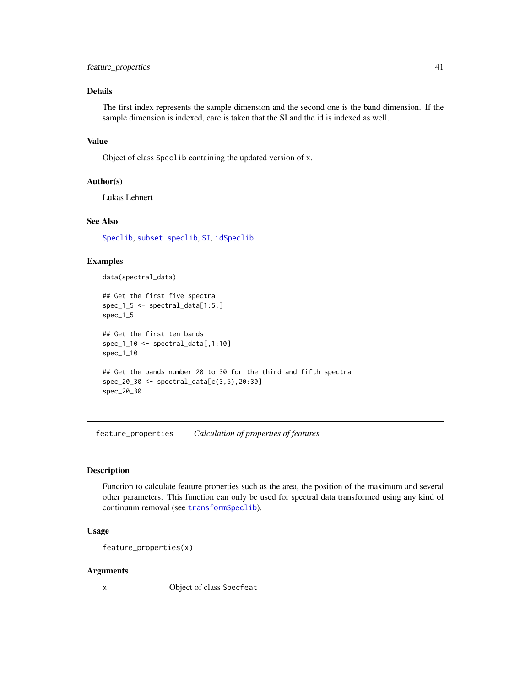# feature\_properties 41

# Details

The first index represents the sample dimension and the second one is the band dimension. If the sample dimension is indexed, care is taken that the SI and the id is indexed as well.

## Value

Object of class Speclib containing the updated version of x.

# Author(s)

Lukas Lehnert

# See Also

[Speclib](#page-96-0), [subset.speclib](#page-108-0), [SI](#page-85-0), [idSpeclib](#page-53-0)

#### Examples

data(spectral\_data)

```
## Get the first five spectra
spec_1_5 <- spectral_data[1:5,]
spec_1_5
## Get the first ten bands
spec_1_10 <- spectral_data[,1:10]
spec_1_10
## Get the bands number 20 to 30 for the third and fifth spectra
spec_20_30 <- spectral_data[c(3,5),20:30]
spec_20_30
```
<span id="page-40-0"></span>feature\_properties *Calculation of properties of features*

#### Description

Function to calculate feature properties such as the area, the position of the maximum and several other parameters. This function can only be used for spectral data transformed using any kind of continuum removal (see [transformSpeclib](#page-110-0)).

## Usage

```
feature_properties(x)
```
#### Arguments

x Object of class Specfeat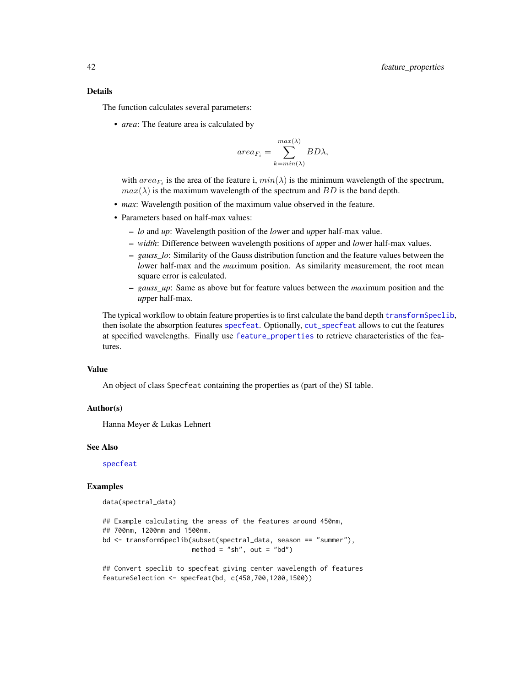#### Details

The function calculates several parameters:

• *area*: The feature area is calculated by

$$
area_{F_i} = \sum_{k=min(\lambda)}^{max(\lambda)} BD\lambda,
$$

with  $area_{F_i}$  is the area of the feature i,  $min(\lambda)$  is the minimum wavelength of the spectrum,  $max(\lambda)$  is the maximum wavelength of the spectrum and BD is the band depth.

- *max*: Wavelength position of the maximum value observed in the feature.
- Parameters based on half-max values:
	- *lo* and *up*: Wavelength position of the *lo*wer and *up*per half-max value.
	- *width*: Difference between wavelength positions of *up*per and *lo*wer half-max values.
	- *gauss\_lo*: Similarity of the Gauss distribution function and the feature values between the *lo*wer half-max and the *max*imum position. As similarity measurement, the root mean square error is calculated.
	- *gauss\_up*: Same as above but for feature values between the *max*imum position and the *up*per half-max.

The typical workflow to obtain feature properties is to first calculate the band depth [transformSpeclib](#page-110-0), then isolate the absorption features [specfeat](#page-91-0). Optionally, [cut\\_specfeat](#page-30-0) allows to cut the features at specified wavelengths. Finally use [feature\\_properties](#page-40-0) to retrieve characteristics of the features.

#### Value

An object of class Specfeat containing the properties as (part of the) SI table.

#### Author(s)

Hanna Meyer & Lukas Lehnert

#### See Also

[specfeat](#page-91-0)

#### Examples

data(spectral\_data)

```
## Example calculating the areas of the features around 450nm,
## 700nm, 1200nm and 1500nm.
bd <- transformSpeclib(subset(spectral_data, season == "summer"),
                       method = "sh", out = "bd")
```

```
## Convert speclib to specfeat giving center wavelength of features
featureSelection <- specfeat(bd, c(450,700,1200,1500))
```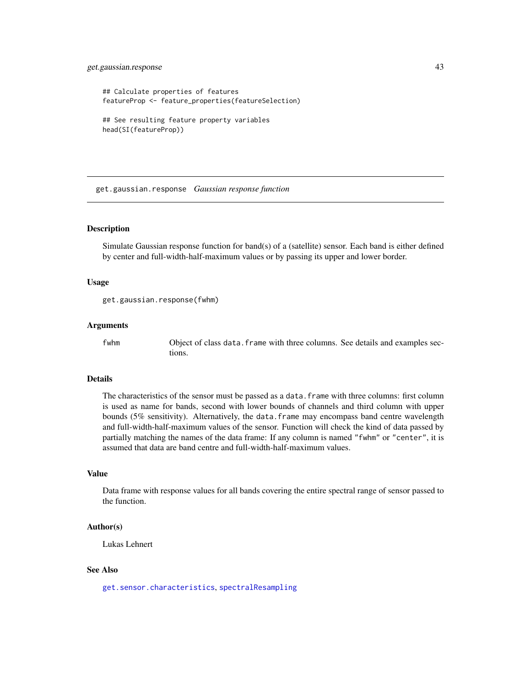# get.gaussian.response 43

```
## Calculate properties of features
featureProp <- feature_properties(featureSelection)
## See resulting feature property variables
head(SI(featureProp))
```
get.gaussian.response *Gaussian response function*

# Description

Simulate Gaussian response function for band(s) of a (satellite) sensor. Each band is either defined by center and full-width-half-maximum values or by passing its upper and lower border.

#### Usage

```
get.gaussian.response(fwhm)
```
#### Arguments

fwhm Object of class data. frame with three columns. See details and examples sections.

#### Details

The characteristics of the sensor must be passed as a data.frame with three columns: first column is used as name for bands, second with lower bounds of channels and third column with upper bounds (5% sensitivity). Alternatively, the data.frame may encompass band centre wavelength and full-width-half-maximum values of the sensor. Function will check the kind of data passed by partially matching the names of the data frame: If any column is named "fwhm" or "center", it is assumed that data are band centre and full-width-half-maximum values.

#### Value

Data frame with response values for all bands covering the entire spectral range of sensor passed to the function.

# Author(s)

Lukas Lehnert

#### See Also

[get.sensor.characteristics](#page-43-0), [spectralResampling](#page-102-0)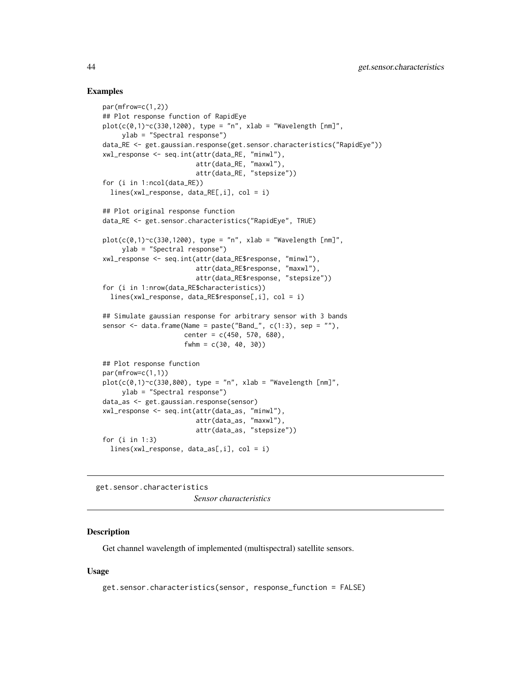#### Examples

```
par(mfrow=c(1,2))
## Plot response function of RapidEye
plot(c(\emptyset,1) \sim c(33\emptyset,12\emptyset)), type = "n", xlab = "Wavelength [nm]",
     ylab = "Spectral response")
data_RE <- get.gaussian.response(get.sensor.characteristics("RapidEye"))
xwl_response <- seq.int(attr(data_RE, "minwl"),
                         attr(data_RE, "maxwl"),
                         attr(data_RE, "stepsize"))
for (i in 1:ncol(data_RE))
  lines(xwl_response, data_RE[,i], col = i)
## Plot original response function
data_RE <- get.sensor.characteristics("RapidEye", TRUE)
plot(c(\theta,1) \sim c(33\theta,12\theta)), type = "n", xlab = "Wavelength [nm]",
     ylab = "Spectral response")
xwl_response <- seq.int(attr(data_RE$response, "minwl"),
                         attr(data_RE$response, "maxwl"),
                         attr(data_RE$response, "stepsize"))
for (i in 1:nrow(data_RE$characteristics))
  lines(xwl_response, data_RE$response[,i], col = i)
## Simulate gaussian response for arbitrary sensor with 3 bands
sensor \leq data.frame(Name = paste("Band_", c(1:3), sep = ""),
                      center = c(450, 570, 680),
                      fwhm = c(30, 40, 30)## Plot response function
par(mfrow=c(1,1))
plot(c(\emptyset,1)^{c}(330,800), type = "n", xlab = "Wavelength [nm]",ylab = "Spectral response")
data_as <- get.gaussian.response(sensor)
xwl_response <- seq.int(attr(data_as, "minwl"),
                         attr(data_as, "maxwl"),
                         attr(data_as, "stepsize"))
for (i in 1:3)
  lines(xwl_response, data_as[,i], col = i)
```
<span id="page-43-0"></span>get.sensor.characteristics *Sensor characteristics*

# **Description**

Get channel wavelength of implemented (multispectral) satellite sensors.

#### Usage

```
get.sensor.characteristics(sensor, response_function = FALSE)
```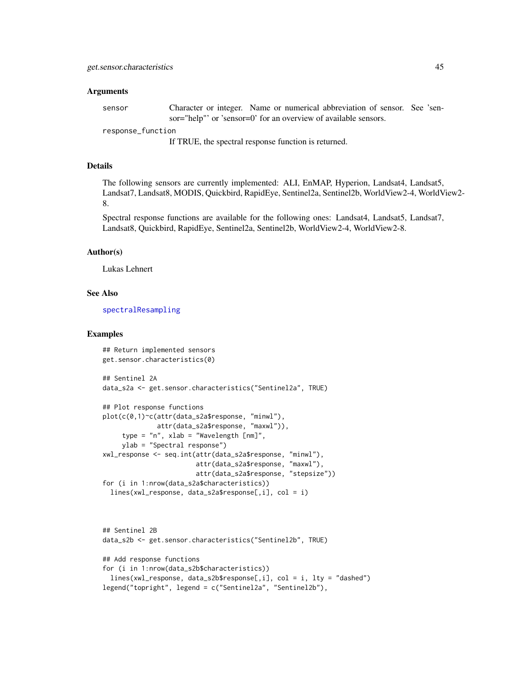#### Arguments

sensor Character or integer. Name or numerical abbreviation of sensor. See 'sensor="help"' or 'sensor=0' for an overview of available sensors.

response\_function

If TRUE, the spectral response function is returned.

#### Details

The following sensors are currently implemented: ALI, EnMAP, Hyperion, Landsat4, Landsat5, Landsat7, Landsat8, MODIS, Quickbird, RapidEye, Sentinel2a, Sentinel2b, WorldView2-4, WorldView2- 8.

Spectral response functions are available for the following ones: Landsat4, Landsat5, Landsat7, Landsat8, Quickbird, RapidEye, Sentinel2a, Sentinel2b, WorldView2-4, WorldView2-8.

#### Author(s)

Lukas Lehnert

#### See Also

[spectralResampling](#page-102-0)

#### Examples

```
## Return implemented sensors
get.sensor.characteristics(0)
## Sentinel 2A
data_s2a <- get.sensor.characteristics("Sentinel2a", TRUE)
## Plot response functions
plot(c(0,1)~c(attr(data_s2a$response, "minwl"),
              attr(data_s2a$response, "maxwl")),
     type = "n", xlab = "Wavelength [nm]",
     ylab = "Spectral response")
xwl_response <- seq.int(attr(data_s2a$response, "minwl"),
                        attr(data_s2a$response, "maxwl"),
                        attr(data_s2a$response, "stepsize"))
for (i in 1:nrow(data_s2a$characteristics))
 lines(xwl_response, data_s2a$response[,i], col = i)
```

```
## Sentinel 2B
data_s2b <- get.sensor.characteristics("Sentinel2b", TRUE)
## Add response functions
for (i in 1:nrow(data_s2b$characteristics))
 lines(xwl_response, data_s2b$response[,i], col = i, lty = "dashed")
legend("topright", legend = c("Sentinel2a", "Sentinel2b"),
```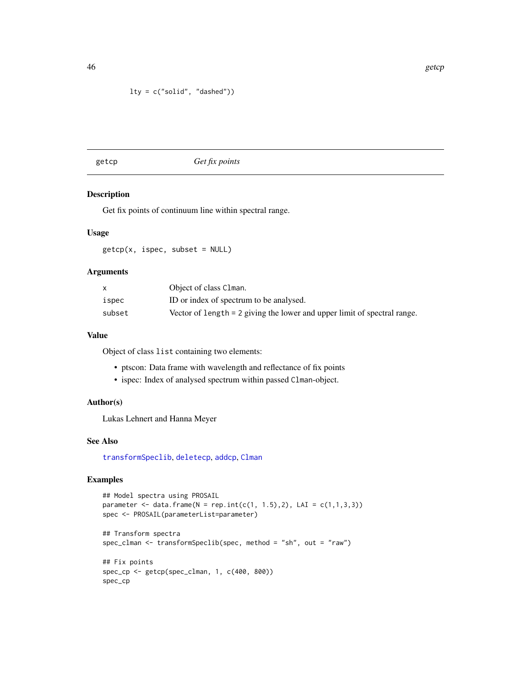# lty = c("solid", "dashed"))

## <span id="page-45-0"></span>getcp *Get fix points*

#### Description

Get fix points of continuum line within spectral range.

# Usage

 $getcp(x, ispec, subset = NULL)$ 

# Arguments

|        | Object of class Clman.                                                   |
|--------|--------------------------------------------------------------------------|
| ispec  | ID or index of spectrum to be analysed.                                  |
| subset | Vector of length = 2 giving the lower and upper limit of spectral range. |

# Value

Object of class list containing two elements:

- ptscon: Data frame with wavelength and reflectance of fix points
- ispec: Index of analysed spectrum within passed Clman-object.

## Author(s)

Lukas Lehnert and Hanna Meyer

# See Also

[transformSpeclib](#page-110-0), [deletecp](#page-31-0), [addcp](#page-4-0), [Clman](#page-26-0)

# Examples

```
## Model spectra using PROSAIL
parameter <- data.frame(N = rep.int(c(1, 1.5),2), LAI = c(1,1,3,3))
spec <- PROSAIL(parameterList=parameter)
```

```
## Transform spectra
spec_clman <- transformSpeclib(spec, method = "sh", out = "raw")
```

```
## Fix points
spec_cp <- getcp(spec_clman, 1, c(400, 800))
spec_cp
```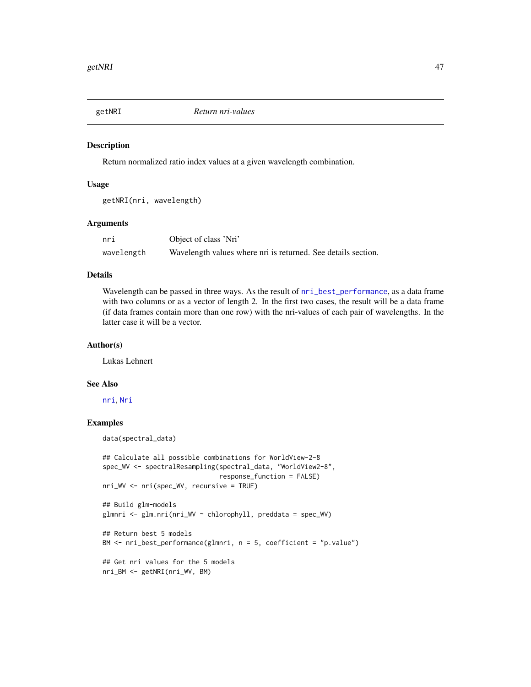<span id="page-46-0"></span>

## Description

Return normalized ratio index values at a given wavelength combination.

## Usage

getNRI(nri, wavelength)

## Arguments

| nri        | Object of class 'Nri'                                         |  |
|------------|---------------------------------------------------------------|--|
| wavelength | Wavelength values where nri is returned. See details section. |  |

#### Details

Wavelength can be passed in three ways. As the result of  $nri\_best\_performance$ , as a data frame with two columns or as a vector of length 2. In the first two cases, the result will be a data frame (if data frames contain more than one row) with the nri-values of each pair of wavelengths. In the latter case it will be a vector.

#### Author(s)

Lukas Lehnert

# See Also

[nri](#page-62-0), [Nri](#page-63-0)

#### Examples

data(spectral\_data)

```
## Calculate all possible combinations for WorldView-2-8
spec_WV <- spectralResampling(spectral_data, "WorldView2-8",
                              response_function = FALSE)
nri_WV <- nri(spec_WV, recursive = TRUE)
## Build glm-models
glmnri <- glm.nri(nri_WV ~ chlorophyll, preddata = spec_WV)
## Return best 5 models
BM <- nri_best_performance(glmnri, n = 5, coefficient = "p.value")
## Get nri values for the 5 models
nri_BM <- getNRI(nri_WV, BM)
```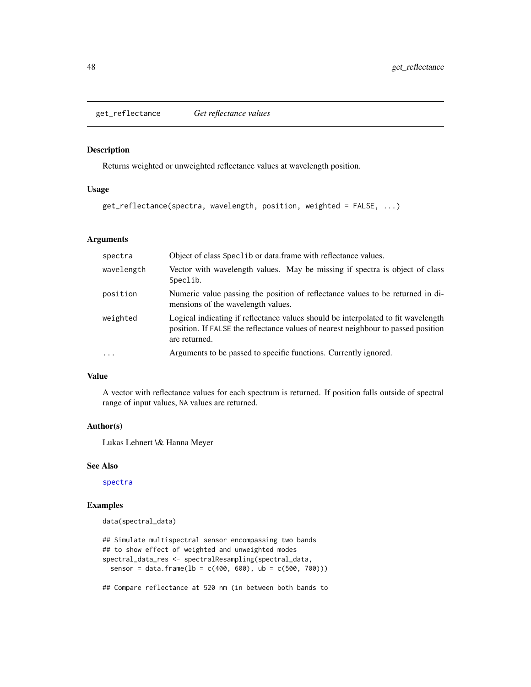get\_reflectance *Get reflectance values*

# Description

Returns weighted or unweighted reflectance values at wavelength position.

## Usage

```
get_reflectance(spectra, wavelength, position, weighted = FALSE, ...)
```
# Arguments

| spectra    | Object of class Spec1ib or data. frame with reflectance values.                                                                                                                         |
|------------|-----------------------------------------------------------------------------------------------------------------------------------------------------------------------------------------|
| wavelength | Vector with wavelength values. May be missing if spectra is object of class<br>Speclib.                                                                                                 |
| position   | Numeric value passing the position of reflectance values to be returned in di-<br>mensions of the wavelength values.                                                                    |
| weighted   | Logical indicating if reflectance values should be interpolated to fit wavelength<br>position. If FALSE the reflectance values of nearest neighbour to passed position<br>are returned. |
| $\ddots$   | Arguments to be passed to specific functions. Currently ignored.                                                                                                                        |

## Value

A vector with reflectance values for each spectrum is returned. If position falls outside of spectral range of input values, NA values are returned.

#### Author(s)

Lukas Lehnert \& Hanna Meyer

# See Also

[spectra](#page-100-0)

# Examples

data(spectral\_data)

```
## Simulate multispectral sensor encompassing two bands
## to show effect of weighted and unweighted modes
spectral_data_res <- spectralResampling(spectral_data,
 sensor = data.frame(1b = c(400, 600), ub = c(500, 700))
```
## Compare reflectance at 520 nm (in between both bands to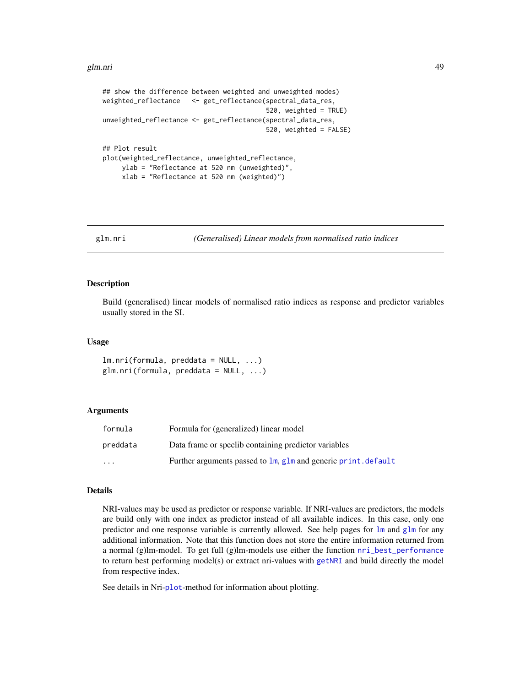#### glm.nri 49

```
## show the difference between weighted and unweighted modes)
weighted_reflectance <- get_reflectance(spectral_data_res,
                                          520, weighted = TRUE)
unweighted_reflectance <- get_reflectance(spectral_data_res,
                                          520, weighted = FALSE)
## Plot result
plot(weighted_reflectance, unweighted_reflectance,
    ylab = "Reflectance at 520 nm (unweighted)",
     xlab = "Reflectance at 520 nm (weighted)")
```
<span id="page-48-0"></span>glm.nri *(Generalised) Linear models from normalised ratio indices*

#### **Description**

Build (generalised) linear models of normalised ratio indices as response and predictor variables usually stored in the SI.

#### Usage

 $lm.nri(formula, preddata = NULL, ...)$  $glm.nri(formula, preddata = NULL, ...)$ 

# Arguments

| formula                 | Formula for (generalized) linear model                         |
|-------------------------|----------------------------------------------------------------|
| preddata                | Data frame or specific containing predictor variables          |
| $\cdot$ $\cdot$ $\cdot$ | Further arguments passed to 1m, g1m and generic print, default |

#### Details

NRI-values may be used as predictor or response variable. If NRI-values are predictors, the models are build only with one index as predictor instead of all available indices. In this case, only one predictor and one response variable is currently allowed. See help pages for [lm](#page-0-0) and [glm](#page-0-0) for any additional information. Note that this function does not store the entire information returned from a normal (g)lm-model. To get full (g)lm-models use either the function [nri\\_best\\_performance](#page-65-0) to return best performing model(s) or extract nri-values with [getNRI](#page-46-0) and build directly the model from respective index.

See details in Nri-[plot](#page-66-0)-method for information about plotting.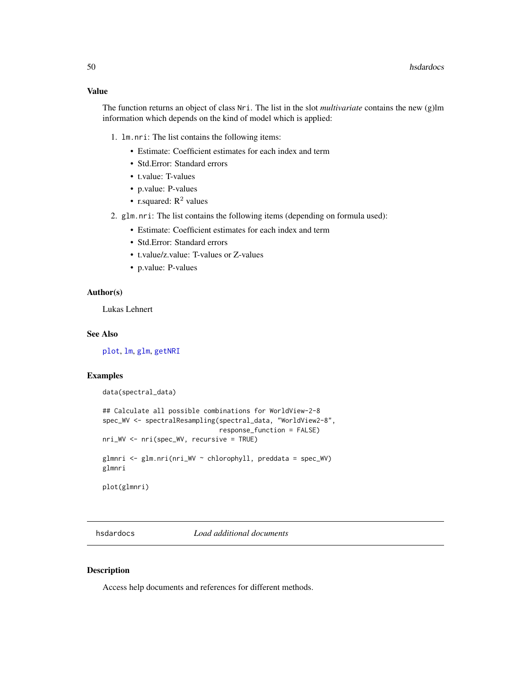## Value

The function returns an object of class Nri. The list in the slot *multivariate* contains the new (g)lm information which depends on the kind of model which is applied:

- 1. lm.nri: The list contains the following items:
	- Estimate: Coefficient estimates for each index and term
	- Std.Error: Standard errors
	- t.value: T-values
	- p.value: P-values
	- r.squared:  $R^2$  values
- 2. glm.nri: The list contains the following items (depending on formula used):
	- Estimate: Coefficient estimates for each index and term
	- Std.Error: Standard errors
	- t.value/z.value: T-values or Z-values
	- p.value: P-values

## Author(s)

Lukas Lehnert

# See Also

[plot](#page-66-0), [lm](#page-0-0), [glm](#page-0-0), [getNRI](#page-46-0)

# Examples

data(spectral\_data)

```
## Calculate all possible combinations for WorldView-2-8
spec_WV <- spectralResampling(spectral_data, "WorldView2-8",
                              response_function = FALSE)
nri_WV <- nri(spec_WV, recursive = TRUE)
glmnri <- glm.nri(nri_WV ~ chlorophyll, preddata = spec_WV)
glmnri
plot(glmnri)
```
hsdardocs *Load additional documents*

#### Description

Access help documents and references for different methods.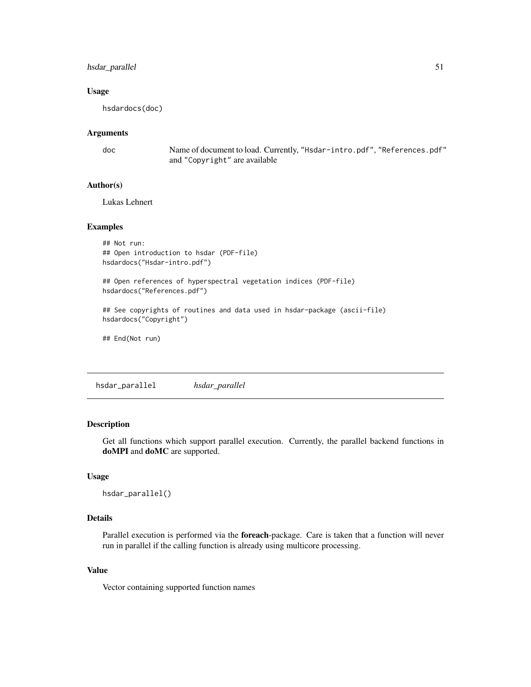# hsdar\_parallel 51

#### Usage

hsdardocs(doc)

# Arguments

doc Name of document to load. Currently, "Hsdar-intro.pdf", "References.pdf" and "Copyright" are available

# Author(s)

Lukas Lehnert

#### Examples

```
## Not run:
## Open introduction to hsdar (PDF-file)
hsdardocs("Hsdar-intro.pdf")
```

```
## Open references of hyperspectral vegetation indices (PDF-file)
hsdardocs("References.pdf")
```
## See copyrights of routines and data used in hsdar-package (ascii-file) hsdardocs("Copyright")

```
## End(Not run)
```
hsdar\_parallel *hsdar\_parallel*

# **Description**

Get all functions which support parallel execution. Currently, the parallel backend functions in doMPI and doMC are supported.

# Usage

```
hsdar_parallel()
```
# Details

Parallel execution is performed via the foreach-package. Care is taken that a function will never run in parallel if the calling function is already using multicore processing.

#### Value

Vector containing supported function names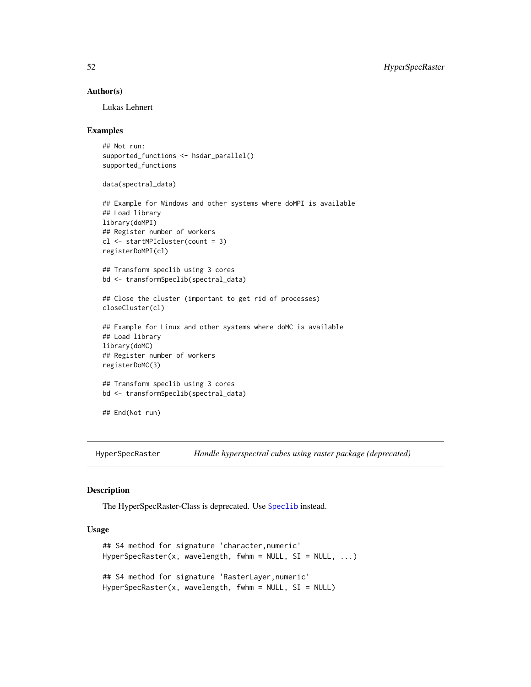#### Author(s)

Lukas Lehnert

# Examples

```
## Not run:
supported_functions <- hsdar_parallel()
supported_functions
data(spectral_data)
## Example for Windows and other systems where doMPI is available
## Load library
library(doMPI)
## Register number of workers
cl <- startMPIcluster(count = 3)
registerDoMPI(cl)
## Transform speclib using 3 cores
bd <- transformSpeclib(spectral_data)
## Close the cluster (important to get rid of processes)
closeCluster(cl)
## Example for Linux and other systems where doMC is available
## Load library
library(doMC)
## Register number of workers
registerDoMC(3)
## Transform speclib using 3 cores
bd <- transformSpeclib(spectral_data)
## End(Not run)
```
HyperSpecRaster *Handle hyperspectral cubes using raster package (deprecated)*

## Description

The HyperSpecRaster-Class is deprecated. Use [Speclib](#page-96-0) instead.

# Usage

```
## S4 method for signature 'character,numeric'
HyperSpecRaster(x, wavelength, fwhm = NULL, SI = NULL, ...)
## S4 method for signature 'RasterLayer,numeric'
HyperSpecRaster(x, wavelength, fwhm = NULL, SI = NULL)
```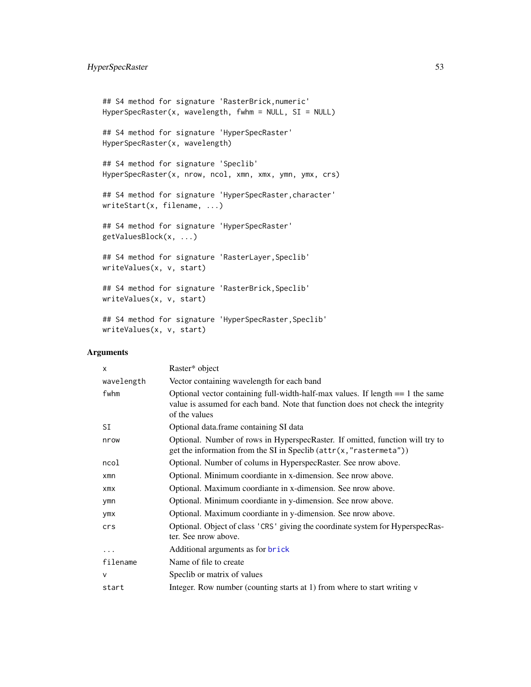```
## S4 method for signature 'RasterBrick,numeric'
HyperSpecRaster(x, wavelength, fwhm = NULL, SI = NULL)
## S4 method for signature 'HyperSpecRaster'
HyperSpecRaster(x, wavelength)
## S4 method for signature 'Speclib'
HyperSpecRaster(x, nrow, ncol, xmn, xmx, ymn, ymx, crs)
## S4 method for signature 'HyperSpecRaster, character'
writeStart(x, filename, ...)
## S4 method for signature 'HyperSpecRaster'
getValuesBlock(x, ...)
## S4 method for signature 'RasterLayer, Speclib'
writeValues(x, v, start)
## S4 method for signature 'RasterBrick,Speclib'
writeValues(x, v, start)
## S4 method for signature 'HyperSpecRaster, Speclib'
writeValues(x, v, start)
```
# Arguments

| $\mathsf{x}$ | Raster* object                                                                                                                                                                       |
|--------------|--------------------------------------------------------------------------------------------------------------------------------------------------------------------------------------|
| wavelength   | Vector containing wavelength for each band                                                                                                                                           |
| fwhm         | Optional vector containing full-width-half-max values. If length $== 1$ the same<br>value is assumed for each band. Note that function does not check the integrity<br>of the values |
| SI           | Optional data.frame containing SI data                                                                                                                                               |
| nrow         | Optional. Number of rows in HyperspecRaster. If omitted, function will try to<br>get the information from the SI in Speclib $(\text{attr}(x, "rastermeta"))$                         |
| ncol         | Optional. Number of colums in HyperspecRaster. See nrow above.                                                                                                                       |
| $x$ mn       | Optional. Minimum coordiante in x-dimension. See nrow above.                                                                                                                         |
| $x$ m $x$    | Optional. Maximum coordiante in x-dimension. See nrow above.                                                                                                                         |
| ymn          | Optional. Minimum coordiante in y-dimension. See nrow above.                                                                                                                         |
| ymx          | Optional. Maximum coordiante in y-dimension. See nrow above.                                                                                                                         |
| crs          | Optional. Object of class 'CRS' giving the coordinate system for HyperspecRas-<br>ter. See nrow above.                                                                               |
| .            | Additional arguments as for brick                                                                                                                                                    |
| filename     | Name of file to create                                                                                                                                                               |
| $\mathsf{V}$ | Specib or matrix of values                                                                                                                                                           |
| start        | Integer. Row number (counting starts at 1) from where to start writing v                                                                                                             |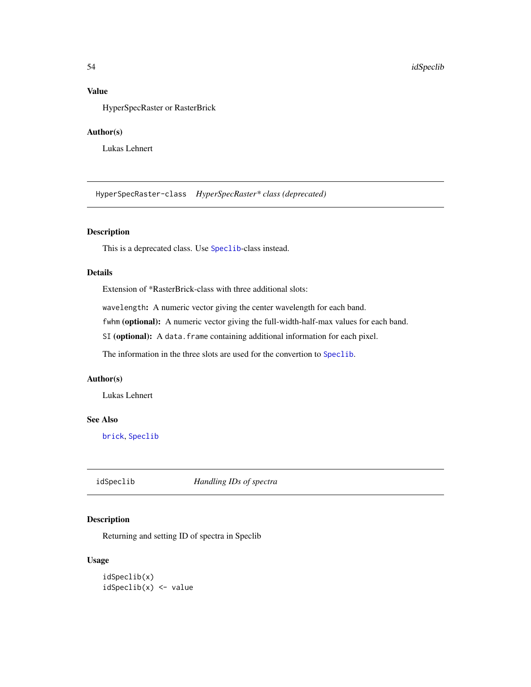# Value

HyperSpecRaster or RasterBrick

# Author(s)

Lukas Lehnert

HyperSpecRaster-class *HyperSpecRaster\* class (deprecated)*

# Description

This is a deprecated class. Use [Speclib](#page-96-0)-class instead.

# Details

Extension of \*RasterBrick-class with three additional slots:

wavelength: A numeric vector giving the center wavelength for each band.

fwhm (optional): A numeric vector giving the full-width-half-max values for each band.

SI (optional): A data.frame containing additional information for each pixel.

The information in the three slots are used for the convertion to [Speclib](#page-96-0).

#### Author(s)

Lukas Lehnert

# See Also

[brick](#page-0-0), [Speclib](#page-96-0)

<span id="page-53-0"></span>idSpeclib *Handling IDs of spectra*

# Description

Returning and setting ID of spectra in Speclib

#### Usage

idSpeclib(x) idSpeclib(x) <- value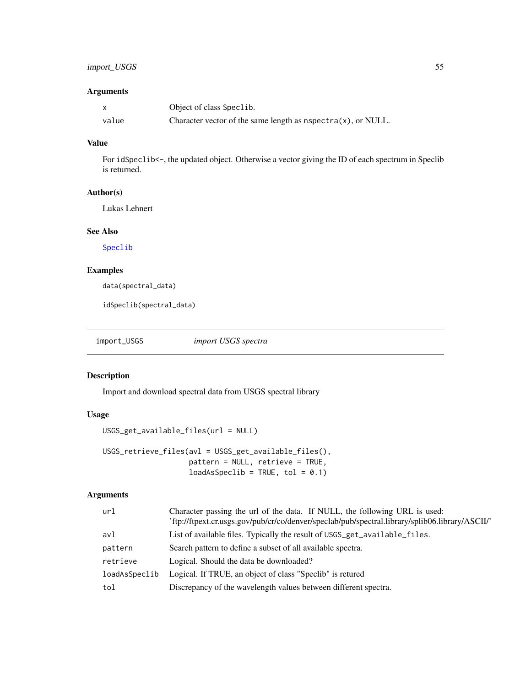# import\_USGS 55

# Arguments

|       | Object of class Speclib.                                            |
|-------|---------------------------------------------------------------------|
| value | Character vector of the same length as $n$ spectra $(x)$ , or NULL. |

# Value

For idSpeclib<-, the updated object. Otherwise a vector giving the ID of each spectrum in Speclib is returned.

# Author(s)

Lukas Lehnert

#### See Also

[Speclib](#page-96-0)

# Examples

data(spectral\_data)

idSpeclib(spectral\_data)

import\_USGS *import USGS spectra*

# Description

Import and download spectral data from USGS spectral library

# Usage

```
USGS_get_available_files(url = NULL)
```

```
USGS_retrieve_files(avl = USGS_get_available_files(),
                   pattern = NULL, retrieve = TRUE,
                   loadAsSpeclib = TRUE, tol = 0.1)
```
# Arguments

| url           | Character passing the url of the data. If NULL, the following URL is used:<br>'ftp://ftpext.cr.usgs.gov/pub/cr/co/denver/speclab/pub/spectral.library/splib06.library/ASCII/' |
|---------------|-------------------------------------------------------------------------------------------------------------------------------------------------------------------------------|
| avl           | List of available files. Typically the result of USGS_get_available_files.                                                                                                    |
| pattern       | Search pattern to define a subset of all available spectra.                                                                                                                   |
| retrieve      | Logical. Should the data be downloaded?                                                                                                                                       |
| loadAsSpeclib | Logical. If TRUE, an object of class "Speclib" is retured                                                                                                                     |
| tol           | Discrepancy of the wavelength values between different spectra.                                                                                                               |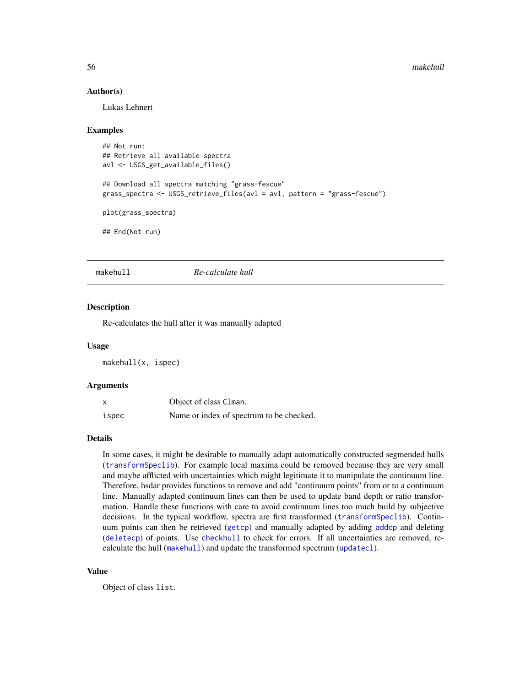#### Author(s)

Lukas Lehnert

#### Examples

```
## Not run:
## Retrieve all available spectra
avl <- USGS_get_available_files()
## Download all spectra matching "grass-fescue"
grass_spectra <- USGS_retrieve_files(avl = avl, pattern = "grass-fescue")
plot(grass_spectra)
## End(Not run)
```
<span id="page-55-0"></span>

makehull *Re-calculate hull*

#### **Description**

Re-calculates the hull after it was manually adapted

#### Usage

makehull(x, ispec)

#### Arguments

|       | Object of class Clman.                   |
|-------|------------------------------------------|
| ispec | Name or index of spectrum to be checked. |

# Details

In some cases, it might be desirable to manually adapt automatically constructed segmended hulls ([transformSpeclib](#page-110-0)). For example local maxima could be removed because they are very small and maybe afflicted with uncertainties which might legitimate it to manipulate the continuum line. Therefore, hsdar provides functions to remove and add "continuum points" from or to a continuum line. Manually adapted continuum lines can then be used to update band depth or ratio transformation. Handle these functions with care to avoid continuum lines too much build by subjective decisions. In the typical workflow, spectra are first transformed ([transformSpeclib](#page-110-0)). Continuum points can then be retrieved ([getcp](#page-45-0)) and manually adapted by adding [addcp](#page-4-0) and deleting ([deletecp](#page-31-0)) of points. Use [checkhull](#page-23-0) to check for errors. If all uncertainties are removed, recalculate the hull ([makehull](#page-55-0)) and update the transformed spectrum ([updatecl](#page-114-0)).

# Value

Object of class list.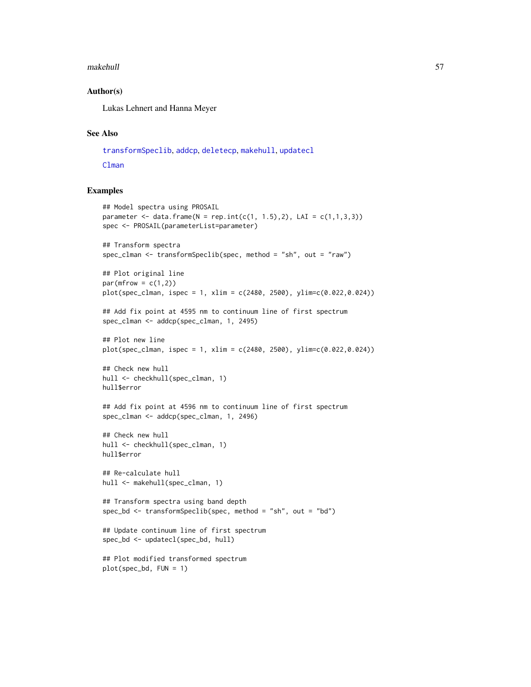#### makehull 57

## Author(s)

Lukas Lehnert and Hanna Meyer

# See Also

[transformSpeclib](#page-110-0), [addcp](#page-4-0), [deletecp](#page-31-0), [makehull](#page-55-0), [updatecl](#page-114-0) [Clman](#page-26-0)

# Examples

```
## Model spectra using PROSAIL
parameter <- data.frame(N = rep.int(c(1, 1.5), 2), LAI = c(1, 1, 3, 3))
spec <- PROSAIL(parameterList=parameter)
## Transform spectra
spec_clman <- transformSpeclib(spec, method = "sh", out = "raw")
## Plot original line
par(mfrow = c(1,2))plot(specclman, ispec = 1, xlim = c(2480, 2500), ylim =c(0.022, 0.024))## Add fix point at 4595 nm to continuum line of first spectrum
spec_clman <- addcp(spec_clman, 1, 2495)
## Plot new line
plot(spec_clman, ispec = 1, xlim = c(2480, 2500), ylim=c(0.022,0.024))
## Check new hull
hull <- checkhull(spec_clman, 1)
hull$error
## Add fix point at 4596 nm to continuum line of first spectrum
spec_clman <- addcp(spec_clman, 1, 2496)
## Check new hull
hull <- checkhull(spec_clman, 1)
hull$error
## Re-calculate hull
hull <- makehull(spec_clman, 1)
## Transform spectra using band depth
spec_bd <- transformSpeclib(spec, method = "sh", out = "bd")
## Update continuum line of first spectrum
spec_bd <- updatecl(spec_bd, hull)
## Plot modified transformed spectrum
plot(spec_bd, FUN = 1)
```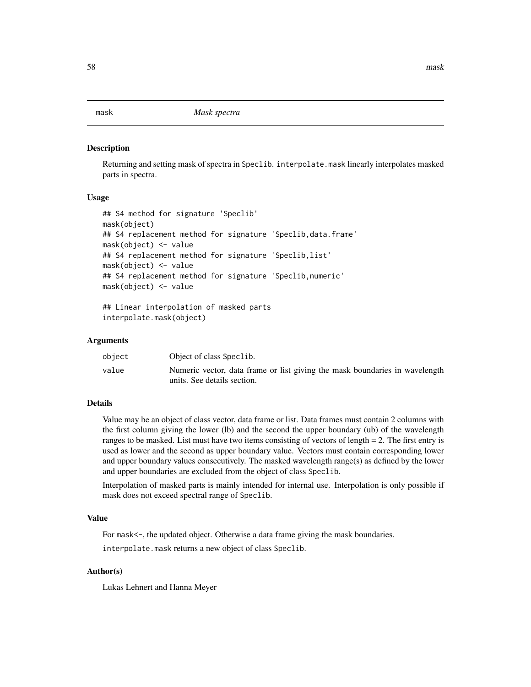mask *Mask spectra*

#### Description

Returning and setting mask of spectra in Speclib. interpolate.mask linearly interpolates masked parts in spectra.

#### Usage

```
## S4 method for signature 'Speclib'
mask(object)
## S4 replacement method for signature 'Speclib,data.frame'
mask(object) <- value
## S4 replacement method for signature 'Speclib,list'
mask(object) <- value
## S4 replacement method for signature 'Speclib,numeric'
mask(object) <- value
## Linear interpolation of masked parts
```

```
interpolate.mask(object)
```
## Arguments

| object | Object of class Speclib.                                                                                   |
|--------|------------------------------------------------------------------------------------------------------------|
| value  | Numeric vector, data frame or list giving the mask boundaries in wavelength<br>units. See details section. |

## Details

Value may be an object of class vector, data frame or list. Data frames must contain 2 columns with the first column giving the lower (lb) and the second the upper boundary (ub) of the wavelength ranges to be masked. List must have two items consisting of vectors of length = 2. The first entry is used as lower and the second as upper boundary value. Vectors must contain corresponding lower and upper boundary values consecutively. The masked wavelength range(s) as defined by the lower and upper boundaries are excluded from the object of class Speclib.

Interpolation of masked parts is mainly intended for internal use. Interpolation is only possible if mask does not exceed spectral range of Speclib.

# Value

For mask<-, the updated object. Otherwise a data frame giving the mask boundaries.

interpolate.mask returns a new object of class Speclib.

# Author(s)

Lukas Lehnert and Hanna Meyer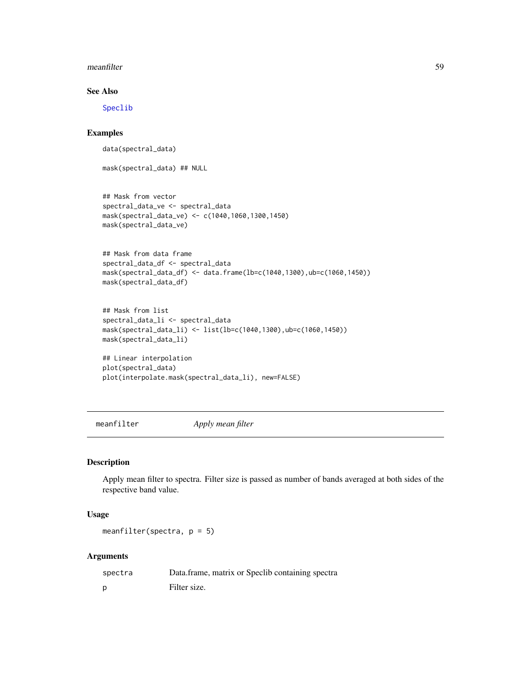#### meanfilter 59

# See Also

[Speclib](#page-96-0)

# Examples

data(spectral\_data)

mask(spectral\_data) ## NULL

```
## Mask from vector
spectral_data_ve <- spectral_data
mask(spectral_data_ve) <- c(1040,1060,1300,1450)
mask(spectral_data_ve)
```

```
## Mask from data frame
spectral_data_df <- spectral_data
mask(spectral_data_df) <- data.frame(lb=c(1040,1300),ub=c(1060,1450))
mask(spectral_data_df)
```

```
## Mask from list
spectral_data_li <- spectral_data
mask(spectral_data_li) <- list(lb=c(1040,1300),ub=c(1060,1450))
mask(spectral_data_li)
```

```
## Linear interpolation
plot(spectral_data)
plot(interpolate.mask(spectral_data_li), new=FALSE)
```
<span id="page-58-0"></span>meanfilter *Apply mean filter*

## Description

Apply mean filter to spectra. Filter size is passed as number of bands averaged at both sides of the respective band value.

## Usage

meanfilter(spectra, p = 5)

#### Arguments

| spectra | Data.frame, matrix or Speclib containing spectra |
|---------|--------------------------------------------------|
| D       | Filter size.                                     |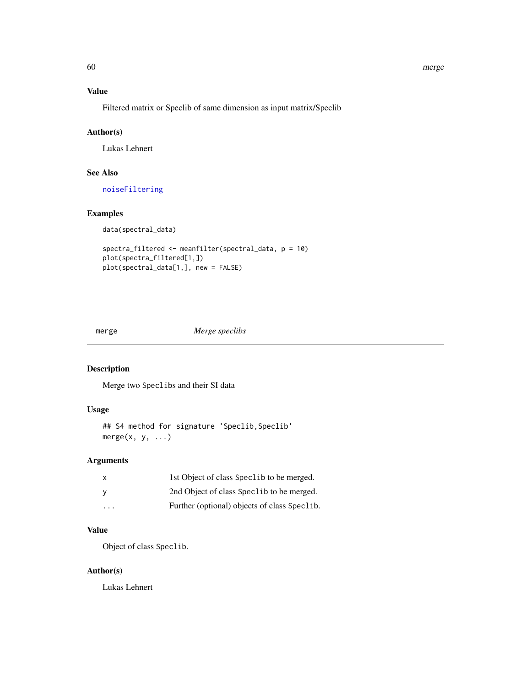#### 60 merge

# Value

Filtered matrix or Speclib of same dimension as input matrix/Speclib

# Author(s)

Lukas Lehnert

# See Also

[noiseFiltering](#page-60-0)

# Examples

data(spectral\_data)

```
spectra_filtered <- meanfilter(spectral_data, p = 10)
plot(spectra_filtered[1,])
plot(spectral_data[1,], new = FALSE)
```
merge *Merge speclibs*

# Description

Merge two Speclibs and their SI data

# Usage

```
## S4 method for signature 'Speclib, Speclib'
merge(x, y, ...)
```
# Arguments

|   | 1st Object of class Speclib to be merged.    |
|---|----------------------------------------------|
|   | 2nd Object of class Speclib to be merged.    |
| . | Further (optional) objects of class Speclib. |

# Value

Object of class Speclib.

# Author(s)

Lukas Lehnert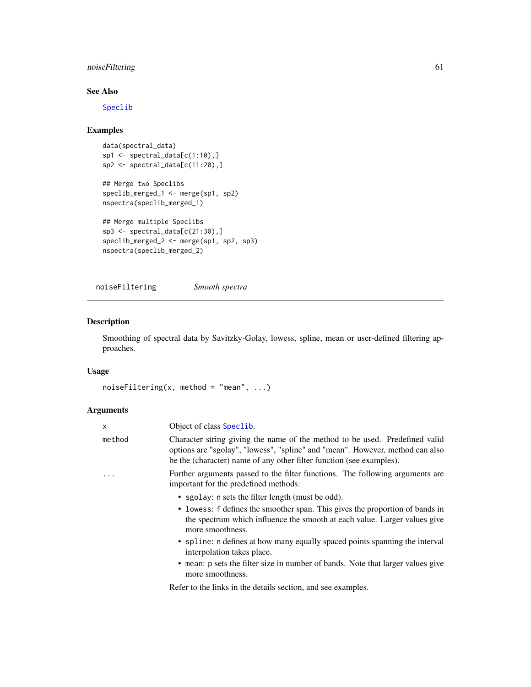# noiseFiltering 61

# See Also

[Speclib](#page-96-0)

# Examples

```
data(spectral_data)
sp1 \leftarrow spectral_data[c(1:10),]sp2 <- spectral_data[c(11:20),]
```

```
## Merge two Speclibs
speclib_merged_1 <- merge(sp1, sp2)
nspectra(speclib_merged_1)
```

```
## Merge multiple Speclibs
sp3 <- spectral_data[c(21:30),]
speclib_merged_2 <- merge(sp1, sp2, sp3)
nspectra(speclib_merged_2)
```
<span id="page-60-0"></span>noiseFiltering *Smooth spectra*

# Description

Smoothing of spectral data by Savitzky-Golay, lowess, spline, mean or user-defined filtering approaches.

# Usage

```
noiseFiltering(x, method = "mean", ...)
```
# Arguments

| X      | Object of class Speclib.                                                                                                                                                                                                             |
|--------|--------------------------------------------------------------------------------------------------------------------------------------------------------------------------------------------------------------------------------------|
| method | Character string giving the name of the method to be used. Predefined valid<br>options are "sgolay", "lowess", "spline" and "mean". However, method can also<br>be the (character) name of any other filter function (see examples). |
| .      | Further arguments passed to the filter functions. The following arguments are<br>important for the predefined methods:                                                                                                               |
|        | • sgolay: n sets the filter length (must be odd).                                                                                                                                                                                    |
|        | • lowess: f defines the smoother span. This gives the proportion of bands in<br>the spectrum which influence the smooth at each value. Larger values give<br>more smoothness.                                                        |
|        | • spline: n defines at how many equally spaced points spanning the interval<br>interpolation takes place.                                                                                                                            |
|        | • mean: p sets the filter size in number of bands. Note that larger values give<br>more smoothness.                                                                                                                                  |

Refer to the links in the details section, and see examples.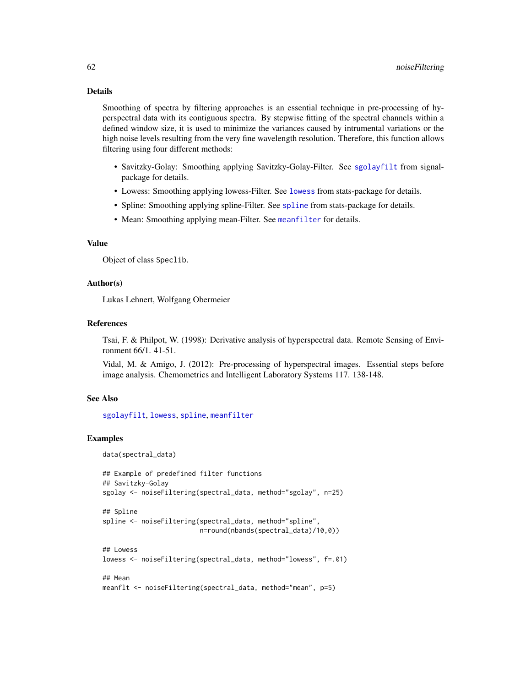# Details

Smoothing of spectra by filtering approaches is an essential technique in pre-processing of hyperspectral data with its contiguous spectra. By stepwise fitting of the spectral channels within a defined window size, it is used to minimize the variances caused by intrumental variations or the high noise levels resulting from the very fine wavelength resolution. Therefore, this function allows filtering using four different methods:

- Savitzky-Golay: Smoothing applying Savitzky-Golay-Filter. See [sgolayfilt](#page-0-0) from signalpackage for details.
- Lowess: Smoothing applying lowess-Filter. See [lowess](#page-0-0) from stats-package for details.
- Spline: Smoothing applying spline-Filter. See [spline](#page-0-0) from stats-package for details.
- Mean: Smoothing applying mean-Filter. See [meanfilter](#page-58-0) for details.

# Value

Object of class Speclib.

#### Author(s)

Lukas Lehnert, Wolfgang Obermeier

## References

Tsai, F. & Philpot, W. (1998): Derivative analysis of hyperspectral data. Remote Sensing of Environment 66/1. 41-51.

Vidal, M. & Amigo, J. (2012): Pre-processing of hyperspectral images. Essential steps before image analysis. Chemometrics and Intelligent Laboratory Systems 117. 138-148.

# See Also

[sgolayfilt](#page-0-0), [lowess](#page-0-0), [spline](#page-0-0), [meanfilter](#page-58-0)

#### Examples

```
data(spectral_data)
```

```
## Example of predefined filter functions
## Savitzky-Golay
sgolay <- noiseFiltering(spectral_data, method="sgolay", n=25)
## Spline
spline <- noiseFiltering(spectral_data, method="spline",
                         n=round(nbands(spectral_data)/10,0))
## Lowess
lowess <- noiseFiltering(spectral_data, method="lowess", f=.01)
## Mean
meanflt <- noiseFiltering(spectral_data, method="mean", p=5)
```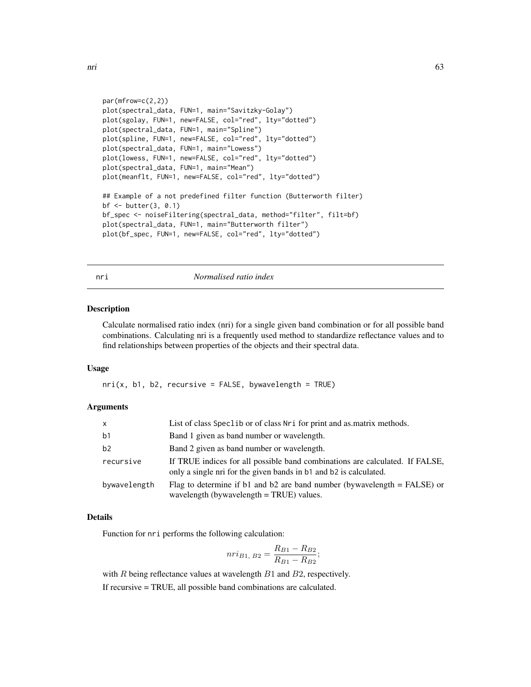```
par(mfrow=c(2,2))
plot(spectral_data, FUN=1, main="Savitzky-Golay")
plot(sgolay, FUN=1, new=FALSE, col="red", lty="dotted")
plot(spectral_data, FUN=1, main="Spline")
plot(spline, FUN=1, new=FALSE, col="red", lty="dotted")
plot(spectral_data, FUN=1, main="Lowess")
plot(lowess, FUN=1, new=FALSE, col="red", lty="dotted")
plot(spectral_data, FUN=1, main="Mean")
plot(meanflt, FUN=1, new=FALSE, col="red", lty="dotted")
## Example of a not predefined filter function (Butterworth filter)
bf <- butter(3, 0.1)
bf_spec <- noiseFiltering(spectral_data, method="filter", filt=bf)
plot(spectral_data, FUN=1, main="Butterworth filter")
plot(bf_spec, FUN=1, new=FALSE, col="red", lty="dotted")
```
<span id="page-62-0"></span>

nri *Normalised ratio index*

#### Description

Calculate normalised ratio index (nri) for a single given band combination or for all possible band combinations. Calculating nri is a frequently used method to standardize reflectance values and to find relationships between properties of the objects and their spectral data.

#### Usage

 $nri(x, b1, b2, recursive = FALSE, by wavelength = TRUE)$ 

#### Arguments

| $\mathsf{x}$   | List of class Speclib or of class Nri for print and as matrix methods.                                                                            |
|----------------|---------------------------------------------------------------------------------------------------------------------------------------------------|
| b <sub>1</sub> | Band 1 given as band number or wavelength.                                                                                                        |
| b2             | Band 2 given as band number or wavelength.                                                                                                        |
| recursive      | If TRUE indices for all possible band combinations are calculated. If FALSE,<br>only a single nri for the given bands in b1 and b2 is calculated. |
| bywavelength   | Flag to determine if b1 and b2 are band number (bywavelength $=$ FALSE) or<br>wavelength (bywavelength $=$ TRUE) values.                          |

#### Details

Function for nri performs the following calculation:

$$
nri_{B1, B2} = \frac{R_{B1} - R_{B2}}{R_{B1} - R_{B2}};
$$

with  $R$  being reflectance values at wavelength  $B1$  and  $B2$ , respectively.

If recursive = TRUE, all possible band combinations are calculated.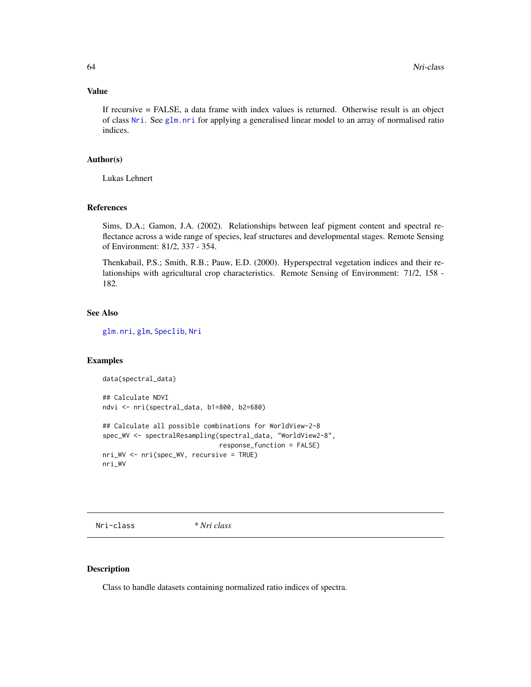## Value

If recursive = FALSE, a data frame with index values is returned. Otherwise result is an object of class [Nri](#page-63-0). See [glm.nri](#page-48-0) for applying a generalised linear model to an array of normalised ratio indices.

## Author(s)

Lukas Lehnert

# References

Sims, D.A.; Gamon, J.A. (2002). Relationships between leaf pigment content and spectral reflectance across a wide range of species, leaf structures and developmental stages. Remote Sensing of Environment: 81/2, 337 - 354.

Thenkabail, P.S.; Smith, R.B.; Pauw, E.D. (2000). Hyperspectral vegetation indices and their relationships with agricultural crop characteristics. Remote Sensing of Environment: 71/2, 158 - 182.

## See Also

[glm.nri](#page-48-0), [glm](#page-0-0), [Speclib](#page-96-0), [Nri](#page-63-0)

## Examples

```
data(spectral_data)
## Calculate NDVI
ndvi <- nri(spectral_data, b1=800, b2=680)
## Calculate all possible combinations for WorldView-2-8
spec_WV <- spectralResampling(spectral_data, "WorldView2-8",
                              response_function = FALSE)
nri_WV <- nri(spec_WV, recursive = TRUE)
nri_WV
```
<span id="page-63-0"></span>Nri-class *\* Nri class*

## Description

Class to handle datasets containing normalized ratio indices of spectra.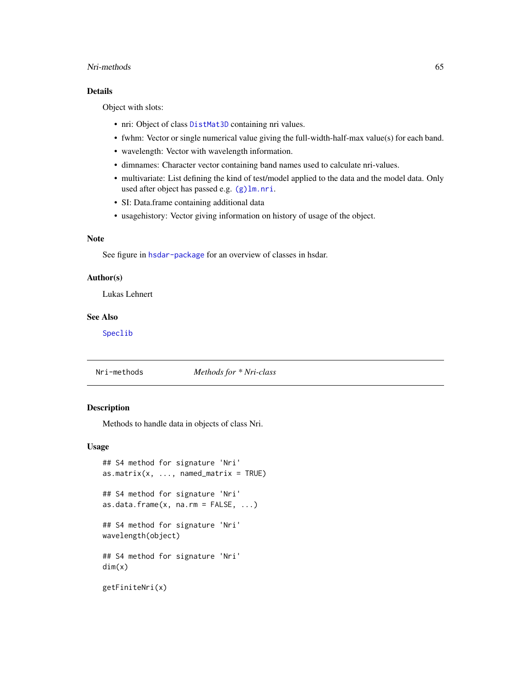#### Nri-methods 65

# Details

Object with slots:

- nri: Object of class [DistMat3D](#page-38-0) containing nri values.
- fwhm: Vector or single numerical value giving the full-width-half-max value(s) for each band.
- wavelength: Vector with wavelength information.
- dimnames: Character vector containing band names used to calculate nri-values.
- multivariate: List defining the kind of test/model applied to the data and the model data. Only used after object has passed e.g. [\(g\)lm.nri](#page-48-0).
- SI: Data.frame containing additional data
- usagehistory: Vector giving information on history of usage of the object.

# Note

See figure in [hsdar-package](#page-2-0) for an overview of classes in hsdar.

## Author(s)

Lukas Lehnert

# See Also

[Speclib](#page-96-0)

# Nri-methods *Methods for \* Nri-class*

## Description

Methods to handle data in objects of class Nri.

## Usage

```
## S4 method for signature 'Nri'
as.matrix(x, ..., named_matrix = TRUE)## S4 method for signature 'Nri'
as.data frame(x, na.rm = FALSE, ...)## S4 method for signature 'Nri'
wavelength(object)
## S4 method for signature 'Nri'
dim(x)
getFiniteNri(x)
```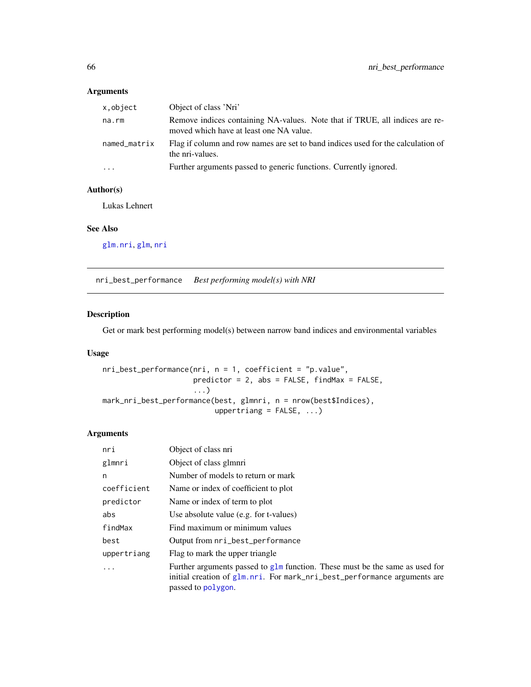# Arguments

| x,object     | Object of class 'Nri'                                                                                                  |
|--------------|------------------------------------------------------------------------------------------------------------------------|
| na.rm        | Remove indices containing NA-values. Note that if TRUE, all indices are re-<br>moved which have at least one NA value. |
| named_matrix | Flag if column and row names are set to band indices used for the calculation of<br>the nri-values.                    |
| $\cdots$     | Further arguments passed to generic functions. Currently ignored.                                                      |

# Author(s)

Lukas Lehnert

# See Also

[glm.nri](#page-48-0), [glm](#page-0-0), [nri](#page-62-0)

<span id="page-65-0"></span>nri\_best\_performance *Best performing model(s) with NRI*

# Description

Get or mark best performing model(s) between narrow band indices and environmental variables

# Usage

```
nri_best_performance(nri, n = 1, coefficient = "p.value",
                     predictor = 2, abs = FALSE, findMax = FALSE,
                     ...)
mark_nri_best_performance(best, glmnri, n = nrow(best$Indices),
                          uppertriang = FALSE, ...)
```
# Arguments

| nri         | Object of class nri                                                                                                                                                               |
|-------------|-----------------------------------------------------------------------------------------------------------------------------------------------------------------------------------|
| glmnri      | Object of class glmnri                                                                                                                                                            |
| n           | Number of models to return or mark                                                                                                                                                |
| coefficient | Name or index of coefficient to plot                                                                                                                                              |
| predictor   | Name or index of term to plot                                                                                                                                                     |
| abs         | Use absolute value (e.g. for t-values)                                                                                                                                            |
| findMax     | Find maximum or minimum values                                                                                                                                                    |
| best        | Output from nri_best_performance                                                                                                                                                  |
| uppertriang | Flag to mark the upper triangle                                                                                                                                                   |
| $\cdot$     | Further arguments passed to $g\ln$ function. These must be the same as used for<br>initial creation of glm.nri. For mark_nri_best_performance arguments are<br>passed to polygon. |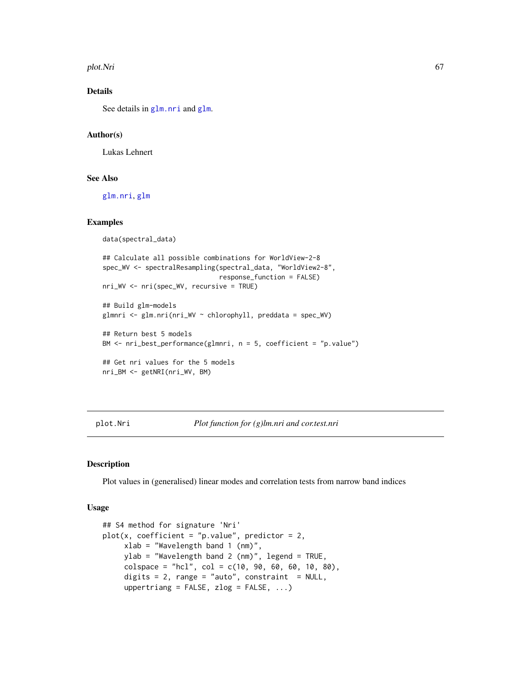plot.Nri 67

# Details

See details in [glm.nri](#page-48-0) and [glm](#page-0-0).

## Author(s)

Lukas Lehnert

#### See Also

[glm.nri](#page-48-0), [glm](#page-0-0)

# Examples

```
data(spectral_data)
## Calculate all possible combinations for WorldView-2-8
spec_WV <- spectralResampling(spectral_data, "WorldView2-8",
                              response_function = FALSE)
nri_WV <- nri(spec_WV, recursive = TRUE)
## Build glm-models
glmnri <- glm.nri(nri_WV ~ chlorophyll, preddata = spec_WV)
## Return best 5 models
BM <- nri_best_performance(glmnri, n = 5, coefficient = "p.value")
## Get nri values for the 5 models
nri_BM <- getNRI(nri_WV, BM)
```
#### <span id="page-66-0"></span>plot.Nri *Plot function for (g)lm.nri and cor.test.nri*

# Description

Plot values in (generalised) linear modes and correlation tests from narrow band indices

#### Usage

```
## S4 method for signature 'Nri'
plot(x, coefficient = "p.value", predictor = 2,xlab = "Wavelength band 1 (nm)",
    ylab = "Wavelength band 2 (nm)", legend = TRUE,
    colspace = "hcl", col = c(10, 90, 60, 60, 10, 80),digits = 2, range = "auto", constraint = NULL,
    uppertriang = FALSE, zlog = FALSE, ...
```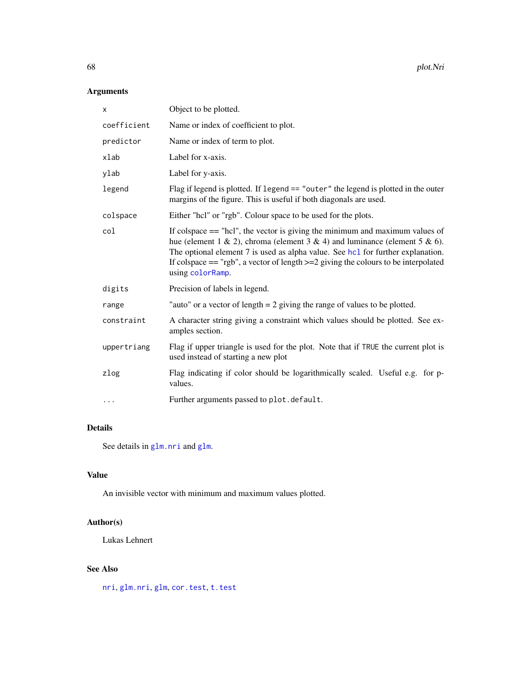# Arguments

| X           | Object to be plotted.                                                                                                                                                                                                                                                                                                                                          |
|-------------|----------------------------------------------------------------------------------------------------------------------------------------------------------------------------------------------------------------------------------------------------------------------------------------------------------------------------------------------------------------|
| coefficient | Name or index of coefficient to plot.                                                                                                                                                                                                                                                                                                                          |
| predictor   | Name or index of term to plot.                                                                                                                                                                                                                                                                                                                                 |
| xlab        | Label for x-axis.                                                                                                                                                                                                                                                                                                                                              |
| ylab        | Label for y-axis.                                                                                                                                                                                                                                                                                                                                              |
| legend      | Flag if legend is plotted. If legend $==$ "outer" the legend is plotted in the outer<br>margins of the figure. This is useful if both diagonals are used.                                                                                                                                                                                                      |
| colspace    | Either "hcl" or "rgb". Colour space to be used for the plots.                                                                                                                                                                                                                                                                                                  |
| col         | If colspace $==$ "hcl", the vector is giving the minimum and maximum values of<br>hue (element 1 & 2), chroma (element 3 & 4) and luminance (element 5 & 6).<br>The optional element 7 is used as alpha value. See hcl for further explanation.<br>If colspace $==$ "rgb", a vector of length $>=$ 2 giving the colours to be interpolated<br>using colorRamp. |
| digits      | Precision of labels in legend.                                                                                                                                                                                                                                                                                                                                 |
| range       | "auto" or a vector of length $= 2$ giving the range of values to be plotted.                                                                                                                                                                                                                                                                                   |
| constraint  | A character string giving a constraint which values should be plotted. See ex-<br>amples section.                                                                                                                                                                                                                                                              |
| uppertriang | Flag if upper triangle is used for the plot. Note that if TRUE the current plot is<br>used instead of starting a new plot                                                                                                                                                                                                                                      |
| zlog        | Flag indicating if color should be logarithmically scaled. Useful e.g. for p-<br>values.                                                                                                                                                                                                                                                                       |
| $\cdots$    | Further arguments passed to plot.default.                                                                                                                                                                                                                                                                                                                      |

# Details

See details in [glm.nri](#page-48-0) and [glm](#page-0-0).

# Value

An invisible vector with minimum and maximum values plotted.

# Author(s)

Lukas Lehnert

# See Also

[nri](#page-62-0), [glm.nri](#page-48-0), [glm](#page-0-0), [cor.test](#page-27-0), [t.test](#page-109-0)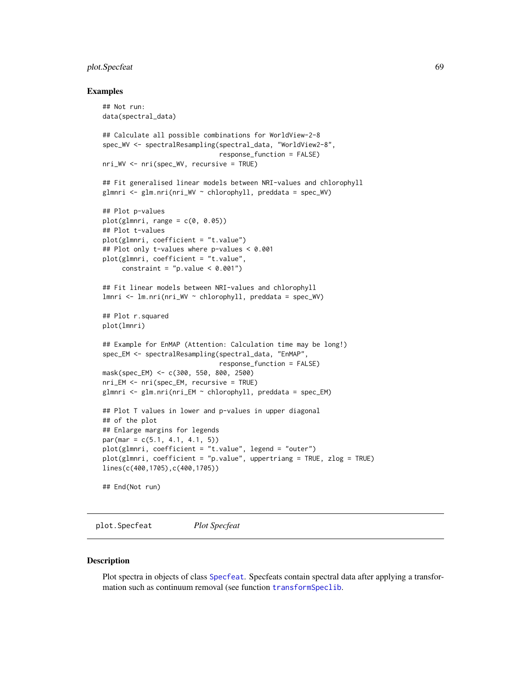# plot.Specfeat 69

#### Examples

```
## Not run:
data(spectral_data)
## Calculate all possible combinations for WorldView-2-8
spec_WV <- spectralResampling(spectral_data, "WorldView2-8",
                              response_function = FALSE)
nri_WV <- nri(spec_WV, recursive = TRUE)
## Fit generalised linear models between NRI-values and chlorophyll
glmnri <- glm.nri(nri_WV ~ chlorophyll, preddata = spec_WV)
## Plot p-values
plot(glmnri, range = c(0, 0.05))## Plot t-values
plot(glmnri, coefficient = "t.value")
## Plot only t-values where p-values < 0.001
plot(glmnri, coefficient = "t.value",
     constraint = "p.value < 0.001")
## Fit linear models between NRI-values and chlorophyll
lmnri <- lm.nri(nri_WV ~ chlorophyll, preddata = spec_WV)
## Plot r.squared
plot(lmnri)
## Example for EnMAP (Attention: Calculation time may be long!)
spec_EM <- spectralResampling(spectral_data, "EnMAP",
                              response_function = FALSE)
mask(spec_EM) <- c(300, 550, 800, 2500)
nri_EM <- nri(spec_EM, recursive = TRUE)
glmnri <- glm.nri(nri_EM ~ chlorophyll, preddata = spec_EM)
## Plot T values in lower and p-values in upper diagonal
## of the plot
## Enlarge margins for legends
par(max = c(5.1, 4.1, 4.1, 5))plot(glmnri, coefficient = "t.value", legend = "outer")
plot(glmnri, coefficient = "p.value", uppertriang = TRUE, zlog = TRUE)
lines(c(400,1705),c(400,1705))
## End(Not run)
```
plot.Specfeat *Plot Specfeat*

#### Description

Plot spectra in objects of class [Specfeat](#page-92-0). Specfeats contain spectral data after applying a transformation such as continuum removal (see function [transformSpeclib](#page-110-0).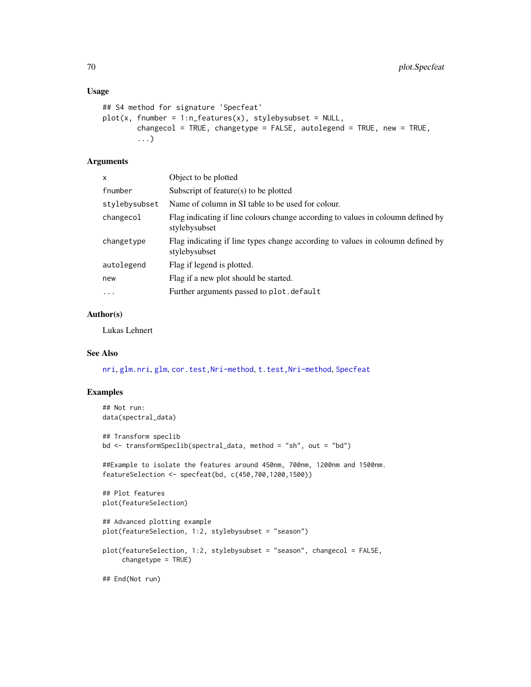#### Usage

```
## S4 method for signature 'Specfeat'
plot(x, fnumber = 1:n_features(x), style by subset = NULL,changecol = TRUE, changetype = FALSE, autolegend = TRUE, new = TRUE,
        ...)
```
# Arguments

| x             | Object to be plotted                                                                              |
|---------------|---------------------------------------------------------------------------------------------------|
| fnumber       | Subscript of feature( $s$ ) to be plotted                                                         |
| stylebysubset | Name of column in SI table to be used for colour.                                                 |
| changecol     | Flag indicating if line colours change according to values in coloumn defined by<br>stylebysubset |
| changetype    | Flag indicating if line types change according to values in coloumn defined by<br>stylebysubset   |
| autolegend    | Flag if legend is plotted.                                                                        |
| new           | Flag if a new plot should be started.                                                             |
| $\ddots$      | Further arguments passed to plot. default                                                         |

# Author(s)

Lukas Lehnert

# See Also

[nri](#page-62-0), [glm.nri](#page-48-0), [glm](#page-0-0), [cor.test,Nri-method](#page-0-0), [t.test,Nri-method](#page-0-0), [Specfeat](#page-92-0)

# Examples

```
## Not run:
data(spectral_data)
## Transform speclib
bd <- transformSpeclib(spectral_data, method = "sh", out = "bd")
##Example to isolate the features around 450nm, 700nm, 1200nm and 1500nm.
featureSelection <- specfeat(bd, c(450,700,1200,1500))
## Plot features
plot(featureSelection)
## Advanced plotting example
plot(featureSelection, 1:2, stylebysubset = "season")
plot(featureSelection, 1:2, stylebysubset = "season", changecol = FALSE,
     changetype = TRUE)
## End(Not run)
```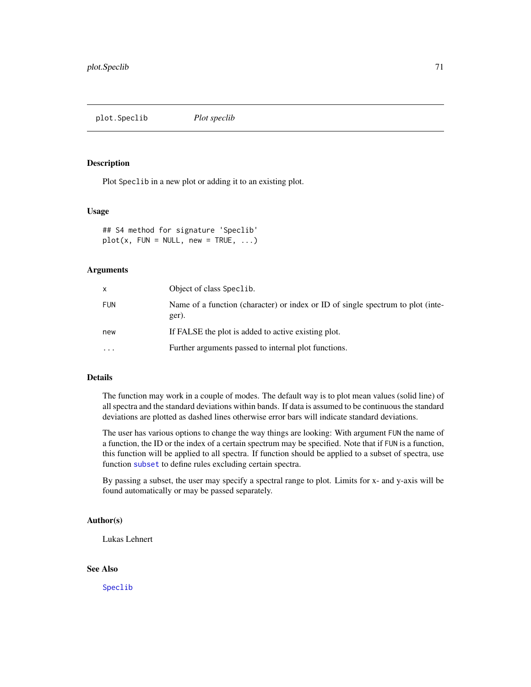plot.Speclib *Plot speclib*

## Description

Plot Speclib in a new plot or adding it to an existing plot.

# Usage

## S4 method for signature 'Speclib'  $plot(x, FUN = NULL, new = TRUE, ...)$ 

#### Arguments

| X          | Object of class Speclib.                                                                 |
|------------|------------------------------------------------------------------------------------------|
| <b>FUN</b> | Name of a function (character) or index or ID of single spectrum to plot (inte-<br>ger). |
| new        | If FALSE the plot is added to active existing plot.                                      |
| $\cdots$   | Further arguments passed to internal plot functions.                                     |

#### Details

The function may work in a couple of modes. The default way is to plot mean values (solid line) of all spectra and the standard deviations within bands. If data is assumed to be continuous the standard deviations are plotted as dashed lines otherwise error bars will indicate standard deviations.

The user has various options to change the way things are looking: With argument FUN the name of a function, the ID or the index of a certain spectrum may be specified. Note that if FUN is a function, this function will be applied to all spectra. If function should be applied to a subset of spectra, use function [subset](#page-108-0) to define rules excluding certain spectra.

By passing a subset, the user may specify a spectral range to plot. Limits for x- and y-axis will be found automatically or may be passed separately.

# Author(s)

Lukas Lehnert

# See Also

[Speclib](#page-96-0)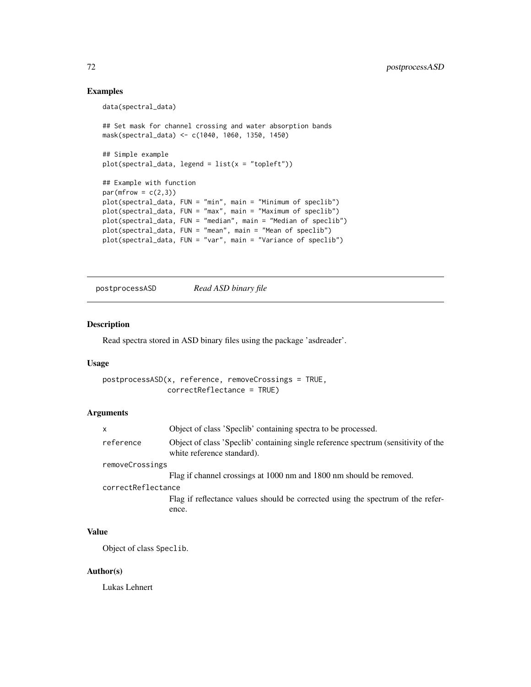# Examples

```
data(spectral_data)
## Set mask for channel crossing and water absorption bands
mask(spectral_data) <- c(1040, 1060, 1350, 1450)
## Simple example
plot(spectral_data, legend = list(x = "topleft"))## Example with function
par(mfrow = c(2,3))plot(spectral_data, FUN = "min", main = "Minimum of speclib")
plot(spectral_data, FUN = "max", main = "Maximum of speclib")
plot(spectral_data, FUN = "median", main = "Median of speclib")
plot(spectral_data, FUN = "mean", main = "Mean of speclib")
plot(spectral_data, FUN = "var", main = "Variance of speclib")
```
postprocessASD *Read ASD binary file*

# Description

Read spectra stored in ASD binary files using the package 'asdreader'.

#### Usage

```
postprocessASD(x, reference, removeCrossings = TRUE,
               correctReflectance = TRUE)
```
# Arguments

|                    | x         | Object of class 'Speclib' containing spectra to be processed.                                                    |
|--------------------|-----------|------------------------------------------------------------------------------------------------------------------|
|                    | reference | Object of class 'Speclib' containing single reference spectrum (sensitivity of the<br>white reference standard). |
| removeCrossings    |           |                                                                                                                  |
|                    |           | Flag if channel crossings at 1000 nm and 1800 nm should be removed.                                              |
| correctReflectance |           |                                                                                                                  |
|                    |           | Flag if reflectance values should be corrected using the spectrum of the refer-                                  |
|                    |           | ence.                                                                                                            |
|                    |           |                                                                                                                  |

# Value

Object of class Speclib.

#### Author(s)

Lukas Lehnert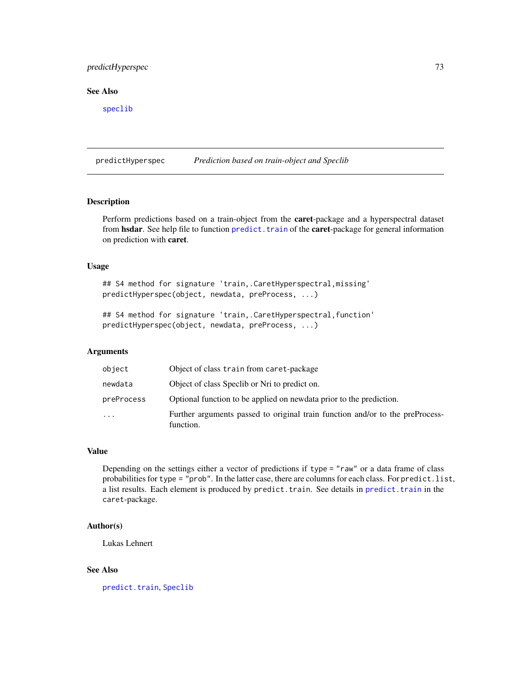# predictHyperspec 73

# See Also

[speclib](#page-93-0)

predictHyperspec *Prediction based on train-object and Speclib*

#### Description

Perform predictions based on a train-object from the caret-package and a hyperspectral dataset from hsdar. See help file to function predict. train of the caret-package for general information on prediction with caret.

# Usage

## S4 method for signature 'train, . CaretHyperspectral, missing' predictHyperspec(object, newdata, preProcess, ...)

## S4 method for signature 'train, .CaretHyperspectral, function' predictHyperspec(object, newdata, preProcess, ...)

## Arguments

| object     | Object of class train from caret-package                                                   |
|------------|--------------------------------------------------------------------------------------------|
| newdata    | Object of class Specib or Nri to predict on.                                               |
| preProcess | Optional function to be applied on newdata prior to the prediction.                        |
| $\cdot$    | Further arguments passed to original train function and/or to the preProcess-<br>function. |

#### Value

Depending on the settings either a vector of predictions if type = "raw" or a data frame of class probabilities for type = "prob". In the latter case, there are columns for each class. For predict.list, a list results. Each element is produced by predict.train. See details in [predict.train](#page-0-0) in the caret-package.

#### Author(s)

Lukas Lehnert

#### See Also

[predict.train](#page-0-0), [Speclib](#page-96-0)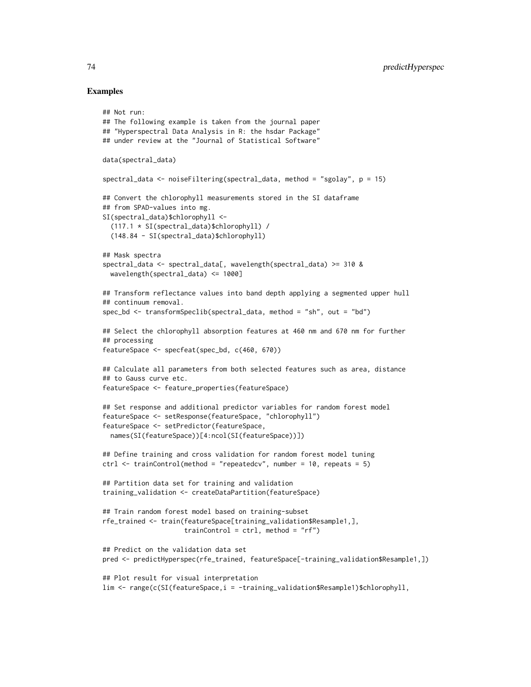## Examples

## Not run:

```
## The following example is taken from the journal paper
## "Hyperspectral Data Analysis in R: the hsdar Package"
## under review at the "Journal of Statistical Software"
data(spectral_data)
spectral_data <- noiseFiltering(spectral_data, method = "sgolay", p = 15)
## Convert the chlorophyll measurements stored in the SI dataframe
## from SPAD-values into mg.
SI(spectral_data)$chlorophyll <-
  (117.1 * SI(spectral_data)$chlorophyll) /
  (148.84 - SI(spectral_data)$chlorophyll)
## Mask spectra
spectral_data <- spectral_data[, wavelength(spectral_data) >= 310 &
  wavelength(spectral_data) <= 1000]
## Transform reflectance values into band depth applying a segmented upper hull
## continuum removal.
spec_bd <- transformSpeclib(spectral_data, method = "sh", out = "bd")
## Select the chlorophyll absorption features at 460 nm and 670 nm for further
## processing
featureSpace <- specfeat(spec_bd, c(460, 670))
## Calculate all parameters from both selected features such as area, distance
## to Gauss curve etc.
featureSpace <- feature_properties(featureSpace)
## Set response and additional predictor variables for random forest model
featureSpace <- setResponse(featureSpace, "chlorophyll")
featureSpace <- setPredictor(featureSpace,
  names(SI(featureSpace))[4:ncol(SI(featureSpace))])
## Define training and cross validation for random forest model tuning
ctrl \le trainControl(method = "repeatedcv", number = 10, repeats = 5)
## Partition data set for training and validation
training_validation <- createDataPartition(featureSpace)
## Train random forest model based on training-subset
rfe_trained <- train(featureSpace[training_validation$Resample1,],
                     trainControl = ctrl, method = "rf")
## Predict on the validation data set
pred <- predictHyperspec(rfe_trained, featureSpace[-training_validation$Resample1,])
## Plot result for visual interpretation
lim <- range(c(SI(featureSpace,i = -training_validation$Resample1)$chlorophyll,
```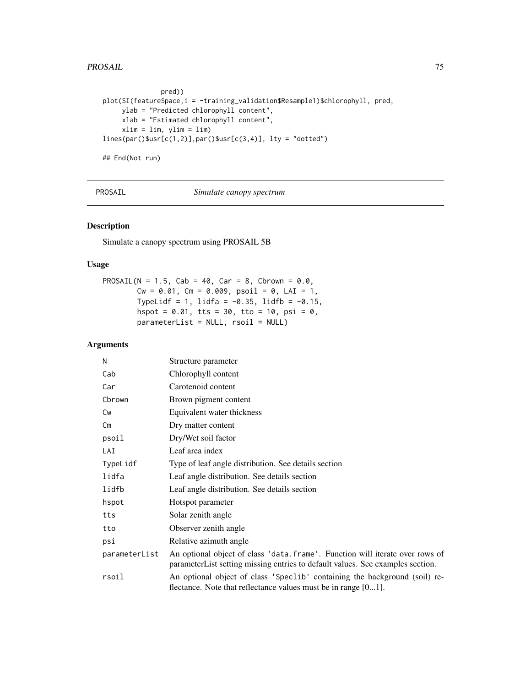#### PROSAIL 25 No. 2014 12:30 12:30 12:30 12:30 12:30 12:30 12:30 12:30 12:30 12:30 12:30 12:30 12:30 12:30 12:30

```
pred))
plot(SI(featureSpace,i = -training_validation$Resample1)$chlorophyll, pred,
     ylab = "Predicted chlorophyll content",
     xlab = "Estimated chlorophyll content",
     xlim = lim, ylim = lim)
lines(par()$usr[c(1,2)],par()$usr[c(3,4)], lty = "dotted")
```
## End(Not run)

<span id="page-74-0"></span>PROSAIL *Simulate canopy spectrum*

# Description

Simulate a canopy spectrum using PROSAIL 5B

# Usage

PROSAIL(N = 1.5, Cab = 40, Car = 8, Cbrown =  $0.0$ ,  $Cw = 0.01$ ,  $Cm = 0.009$ ,  $psoil = 0$ ,  $LAI = 1$ , TypeLidf = 1, lidfa = -0.35, lidfb = -0.15, hspot =  $0.01$ , tts =  $30$ , tto =  $10$ , psi =  $0$ , parameterList = NULL, rsoil = NULL)

# Arguments

| N             | Structure parameter                                                                                                                                            |
|---------------|----------------------------------------------------------------------------------------------------------------------------------------------------------------|
| Cab           | Chlorophyll content                                                                                                                                            |
| Car           | Carotenoid content                                                                                                                                             |
| Cbrown        | Brown pigment content                                                                                                                                          |
| Cw            | Equivalent water thickness                                                                                                                                     |
| Cm            | Dry matter content                                                                                                                                             |
| psoil         | Dry/Wet soil factor                                                                                                                                            |
| LAI           | Leaf area index                                                                                                                                                |
| TypeLidf      | Type of leaf angle distribution. See details section                                                                                                           |
| lidfa         | Leaf angle distribution. See details section                                                                                                                   |
| lidfb         | Leaf angle distribution. See details section                                                                                                                   |
| hspot         | Hotspot parameter                                                                                                                                              |
| tts           | Solar zenith angle                                                                                                                                             |
| tto           | Observer zenith angle                                                                                                                                          |
| psi           | Relative azimuth angle                                                                                                                                         |
| parameterList | An optional object of class 'data.frame'. Function will iterate over rows of<br>parameterList setting missing entries to default values. See examples section. |
| rsoil         | An optional object of class 'Speclib' containing the background (soil) re-<br>flectance. Note that reflectance values must be in range [01].                   |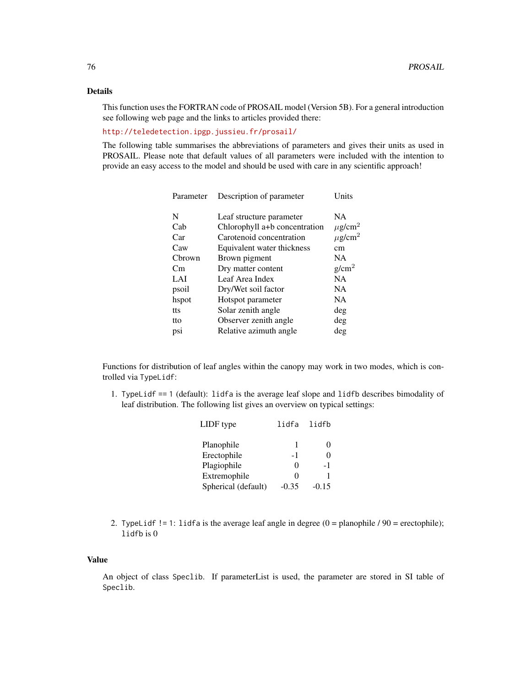# Details

This function uses the FORTRAN code of PROSAIL model (Version 5B). For a general introduction see following web page and the links to articles provided there:

# <http://teledetection.ipgp.jussieu.fr/prosail/>

The following table summarises the abbreviations of parameters and gives their units as used in PROSAIL. Please note that default values of all parameters were included with the intention to provide an easy access to the model and should be used with care in any scientific approach!

| Parameter | Description of parameter      | Units                   |
|-----------|-------------------------------|-------------------------|
| N         | Leaf structure parameter      | <b>NA</b>               |
| Cab       | Chlorophyll a+b concentration | $\mu$ g/cm <sup>2</sup> |
| Car       | Carotenoid concentration      | $\mu$ g/cm <sup>2</sup> |
| Caw       | Equivalent water thickness    | cm                      |
| Cbrown    | Brown pigment                 | NA                      |
| Cm        | Dry matter content            | g/cm <sup>2</sup>       |
| LAI       | Leaf Area Index               | <b>NA</b>               |
| psoil     | Dry/Wet soil factor           | <b>NA</b>               |
| hspot     | Hotspot parameter             | <b>NA</b>               |
| tts       | Solar zenith angle            | deg                     |
| tto       | Observer zenith angle         | deg                     |
| psi       | Relative azimuth angle        | deg                     |
|           |                               |                         |

Functions for distribution of leaf angles within the canopy may work in two modes, which is controlled via TypeLidf:

1. TypeLidf == 1 (default): lidfa is the average leaf slope and lidfb describes bimodality of leaf distribution. The following list gives an overview on typical settings:

| LIDF type           | lidfa lidfb |         |
|---------------------|-------------|---------|
| Planophile          | 1           | 0       |
| Erectophile         | - 1         | 0       |
| Plagiophile         | 0           | -1      |
| Extremophile        | 0           | 1       |
| Spherical (default) | $-0.35$     | $-0.15$ |

2. TypeLidf != 1: lidfa is the average leaf angle in degree  $(0 = \text{planophile} / 90 = \text{erectophile})$ ; lidfb is 0

# Value

An object of class Speclib. If parameterList is used, the parameter are stored in SI table of Speclib.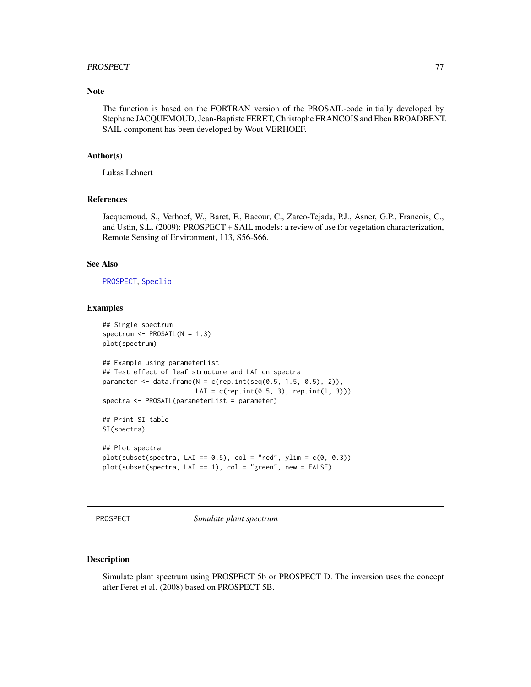#### PROSPECT 277

# Note

The function is based on the FORTRAN version of the PROSAIL-code initially developed by Stephane JACQUEMOUD, Jean-Baptiste FERET, Christophe FRANCOIS and Eben BROADBENT. SAIL component has been developed by Wout VERHOEF.

#### Author(s)

Lukas Lehnert

# References

Jacquemoud, S., Verhoef, W., Baret, F., Bacour, C., Zarco-Tejada, P.J., Asner, G.P., Francois, C., and Ustin, S.L. (2009): PROSPECT + SAIL models: a review of use for vegetation characterization, Remote Sensing of Environment, 113, S56-S66.

# See Also

[PROSPECT](#page-76-0), [Speclib](#page-96-0)

#### Examples

```
## Single spectrum
spectrum \leq PROSAIL(N = 1.3)
plot(spectrum)
## Example using parameterList
## Test effect of leaf structure and LAI on spectra
parameter \leq data.frame(N = c(rep.int(seq(0.5, 1.5, 0.5), 2)),
                        LAI = c(rep.int(0.5, 3), rep.int(1, 3)))spectra <- PROSAIL(parameterList = parameter)
## Print SI table
SI(spectra)
## Plot spectra
plot(subset(spectra, LAI == 0.5), col = "red", ylim = c(0, 0.3))plot(subset(spectra, LAI == 1), col = "green", new = FALSE)
```
<span id="page-76-0"></span>PROSPECT *Simulate plant spectrum*

# Description

Simulate plant spectrum using PROSPECT 5b or PROSPECT D. The inversion uses the concept after Feret et al. (2008) based on PROSPECT 5B.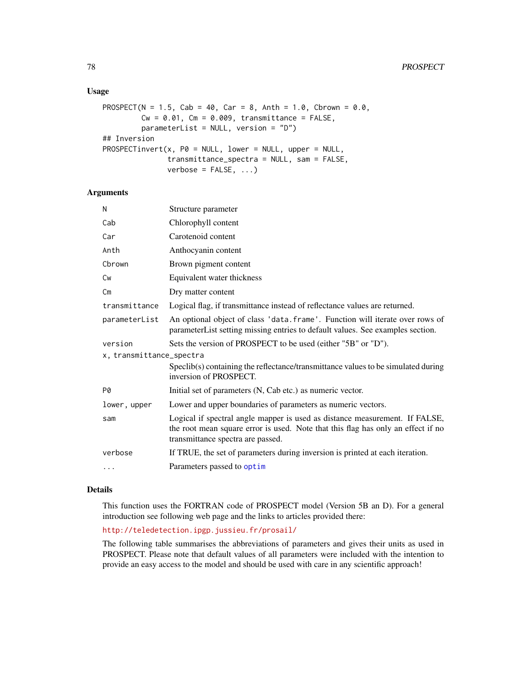# Usage

```
PROSPECT(N = 1.5, Cab = 40, Car = 8, Anth = 1.0, Cbrown = 0.0,
        Cw = 0.01, Cm = 0.009, transmittance = FALSE,
        parameterList = NULL, version = "D")
## Inversion
PROSPECTinvert(x, PØ = NULL, lower = NULL, upper = NULL,
               transmittance_spectra = NULL, sam = FALSE,
               verbose = FALSE, ...)
```
#### Arguments

| N                        | Structure parameter                                                                                                                                            |  |
|--------------------------|----------------------------------------------------------------------------------------------------------------------------------------------------------------|--|
| Cab                      | Chlorophyll content                                                                                                                                            |  |
| Car                      | Carotenoid content                                                                                                                                             |  |
| Anth                     | Anthocyanin content                                                                                                                                            |  |
| Cbrown                   | Brown pigment content                                                                                                                                          |  |
| <b>Cw</b>                | Equivalent water thickness                                                                                                                                     |  |
| Cm                       | Dry matter content                                                                                                                                             |  |
| transmittance            | Logical flag, if transmittance instead of reflectance values are returned.                                                                                     |  |
| parameterList            | An optional object of class 'data.frame'. Function will iterate over rows of<br>parameterList setting missing entries to default values. See examples section. |  |
| version                  | Sets the version of PROSPECT to be used (either "5B" or "D").                                                                                                  |  |
| x, transmittance_spectra |                                                                                                                                                                |  |
|                          | Specib(s) containing the reflectance/transmittance values to be simulated during<br>inversion of PROSPECT.                                                     |  |
| P0                       | Initial set of parameters (N, Cab etc.) as numeric vector.                                                                                                     |  |
| lower, upper             | Lower and upper boundaries of parameters as numeric vectors.                                                                                                   |  |
| sam                      | Logical if spectral angle mapper is used as distance measurement. If FALSE,                                                                                    |  |
|                          | the root mean square error is used. Note that this flag has only an effect if no<br>transmittance spectra are passed.                                          |  |
| verbose                  | If TRUE, the set of parameters during inversion is printed at each iteration.                                                                                  |  |

#### Details

This function uses the FORTRAN code of PROSPECT model (Version 5B an D). For a general introduction see following web page and the links to articles provided there:

# <http://teledetection.ipgp.jussieu.fr/prosail/>

The following table summarises the abbreviations of parameters and gives their units as used in PROSPECT. Please note that default values of all parameters were included with the intention to provide an easy access to the model and should be used with care in any scientific approach!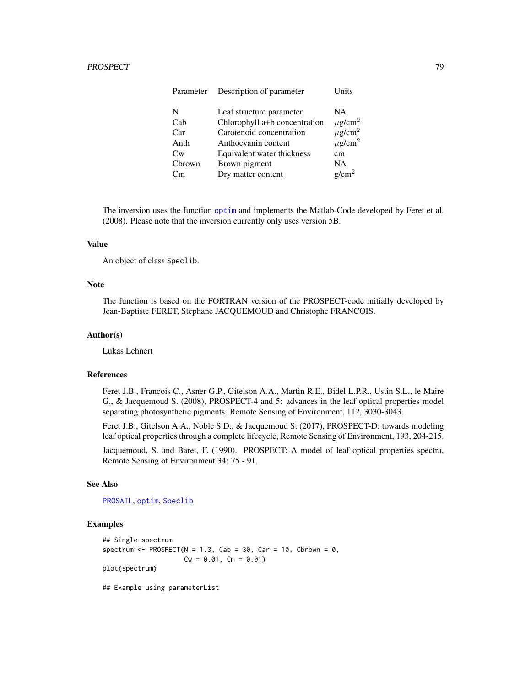| Parameter | Description of parameter      | Units                   |
|-----------|-------------------------------|-------------------------|
| N         | Leaf structure parameter      | NA.                     |
| Cab       | Chlorophyll a+b concentration | $\mu$ g/cm <sup>2</sup> |
| Car       | Carotenoid concentration      | $\mu$ g/cm <sup>2</sup> |
| Anth      | Anthocyanin content           | $\mu$ g/cm <sup>2</sup> |
| Cw        | Equivalent water thickness    | cm                      |
| Cbrown    | Brown pigment                 | <b>NA</b>               |
| Cm        | Dry matter content            | $g/cm^2$                |

The inversion uses the function [optim](#page-0-0) and implements the Matlab-Code developed by Feret et al. (2008). Please note that the inversion currently only uses version 5B.

# Value

An object of class Speclib.

#### Note

The function is based on the FORTRAN version of the PROSPECT-code initially developed by Jean-Baptiste FERET, Stephane JACQUEMOUD and Christophe FRANCOIS.

# Author(s)

Lukas Lehnert

# References

Feret J.B., Francois C., Asner G.P., Gitelson A.A., Martin R.E., Bidel L.P.R., Ustin S.L., le Maire G., & Jacquemoud S. (2008), PROSPECT-4 and 5: advances in the leaf optical properties model separating photosynthetic pigments. Remote Sensing of Environment, 112, 3030-3043.

Feret J.B., Gitelson A.A., Noble S.D., & Jacquemoud S. (2017), PROSPECT-D: towards modeling leaf optical properties through a complete lifecycle, Remote Sensing of Environment, 193, 204-215.

Jacquemoud, S. and Baret, F. (1990). PROSPECT: A model of leaf optical properties spectra, Remote Sensing of Environment 34: 75 - 91.

# See Also

[PROSAIL](#page-74-0), [optim](#page-0-0), [Speclib](#page-96-0)

#### Examples

```
## Single spectrum
spectrum <- PROSPECT(N = 1.3, Cab = 30, Car = 10, Cbrown = 0,
                    Cw = 0.01, Cm = 0.01plot(spectrum)
## Example using parameterList
```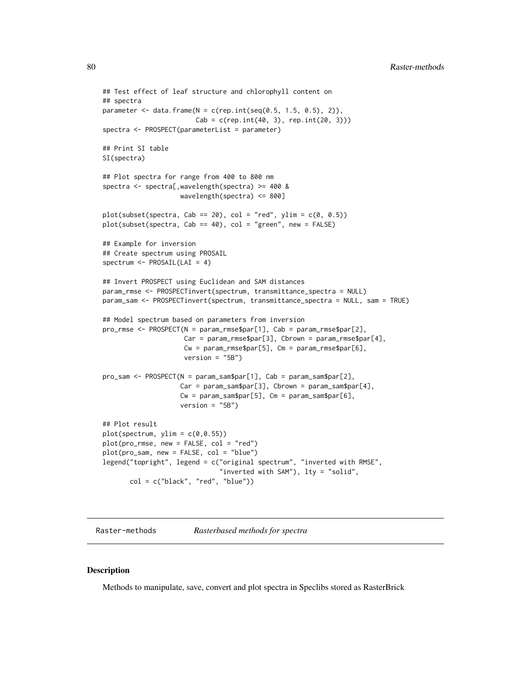```
## Test effect of leaf structure and chlorophyll content on
## spectra
parameter \leq data.frame(N = c(rep.int(seq(0.5, 1.5, 0.5), 2)),
                        Cab = c(rep.int(40, 3), rep.int(20, 3)))spectra <- PROSPECT(parameterList = parameter)
## Print SI table
SI(spectra)
## Plot spectra for range from 400 to 800 nm
spectra <- spectra[,wavelength(spectra) >= 400 &
                    wavelength(spectra) <= 800]
plot(subset(spectra, Cab == 20), col = "red", ylim = c(0, 0.5))plot(subset(spectra, Cab == 40), col = "green", new = FALSE)
## Example for inversion
## Create spectrum using PROSAIL
spectrum <- PROSAIL(LAI = 4)
## Invert PROSPECT using Euclidean and SAM distances
param_rmse <- PROSPECTinvert(spectrum, transmittance_spectra = NULL)
param_sam <- PROSPECTinvert(spectrum, transmittance_spectra = NULL, sam = TRUE)
## Model spectrum based on parameters from inversion
pro_rmse <- PROSPECT(N = param_rmse$par[1], Cab = param_rmse$par[2],
                     Car = param\_rmse$par[3], Chrown = param\_rmse$par[4],Cw = param\_rmse$par[5], Cm = param\_rmse$par[6],version = "5B")
pro_sam <- PROSPECT(N = param_sam$par[1], Cab = param_sam$par[2],
                    Car = param_sam$par[3], Cbrown = param_sam$par[4],
                    Cw = param\_sam\$par[5], Cm = param\_sam\$par[6],version = "5B")## Plot result
plot(spectrum, ylim = c(0, 0.55))plot(pro_rmse, new = FALSE, col = "red")
plot(pro_sam, new = FALSE, col = "blue")
legend("topright", legend = c("original spectrum", "inverted with RMSE",
                              "inverted with SAM"), lty = "solid",
      col = c("black", "red", "blue"))
```
Raster-methods *Rasterbased methods for spectra*

#### Description

Methods to manipulate, save, convert and plot spectra in Speclibs stored as RasterBrick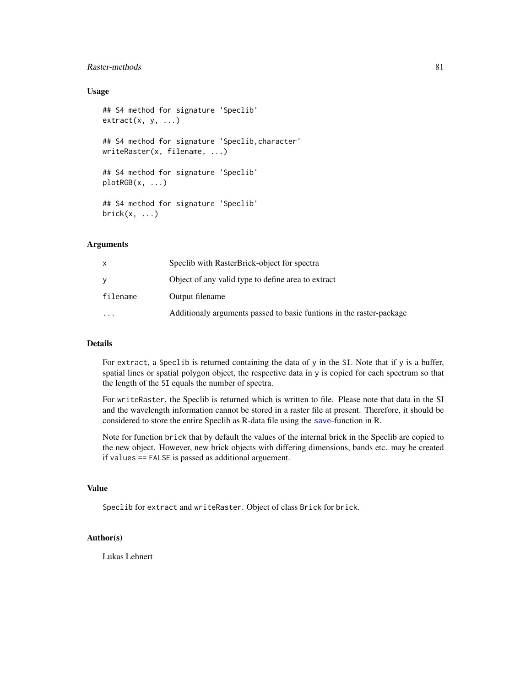# Raster-methods 81

# Usage

```
## S4 method for signature 'Speclib'
extract(x, y, ...)## S4 method for signature 'Speclib,character'
writeRaster(x, filename, ...)
## S4 method for signature 'Speclib'
plotRGB(x, \ldots)## S4 method for signature 'Speclib'
brick(x, \ldots)
```
# Arguments

|           | Specib with RasterBrick-object for spectra                           |
|-----------|----------------------------------------------------------------------|
|           | Object of any valid type to define area to extract                   |
| filename  | Output filename                                                      |
| $\ddotsc$ | Additionaly arguments passed to basic funtions in the raster-package |

#### Details

For extract, a Speclib is returned containing the data of y in the SI. Note that if y is a buffer, spatial lines or spatial polygon object, the respective data in y is copied for each spectrum so that the length of the SI equals the number of spectra.

For writeRaster, the Speclib is returned which is written to file. Please note that data in the SI and the wavelength information cannot be stored in a raster file at present. Therefore, it should be considered to store the entire Speclib as R-data file using the [save](#page-0-0)-function in R.

Note for function brick that by default the values of the internal brick in the Speclib are copied to the new object. However, new brick objects with differing dimensions, bands etc. may be created if values == FALSE is passed as additional arguement.

# Value

Speclib for extract and writeRaster. Object of class Brick for brick.

# Author(s)

Lukas Lehnert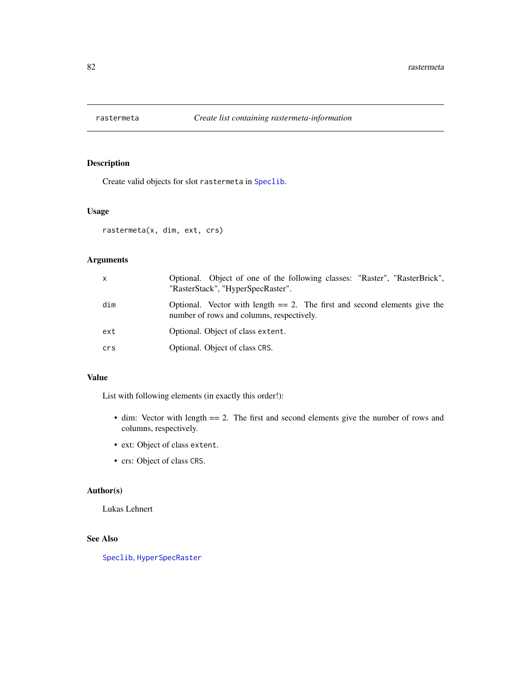<span id="page-81-0"></span>

# Description

Create valid objects for slot rastermeta in [Speclib](#page-96-0).

# Usage

rastermeta(x, dim, ext, crs)

# Arguments

| $\mathsf{x}$ | Optional. Object of one of the following classes: "Raster", "RasterBrick",<br>"RasterStack", "HyperSpecRaster".           |
|--------------|---------------------------------------------------------------------------------------------------------------------------|
| dim          | Optional. Vector with length $== 2$ . The first and second elements give the<br>number of rows and columns, respectively. |
| ext          | Optional. Object of class extent.                                                                                         |
| crs          | Optional. Object of class CRS.                                                                                            |

# Value

List with following elements (in exactly this order!):

- dim: Vector with length == 2. The first and second elements give the number of rows and columns, respectively.
- ext: Object of class extent.
- crs: Object of class CRS.

# Author(s)

Lukas Lehnert

# See Also

[Speclib](#page-96-0), [HyperSpecRaster](#page-53-0)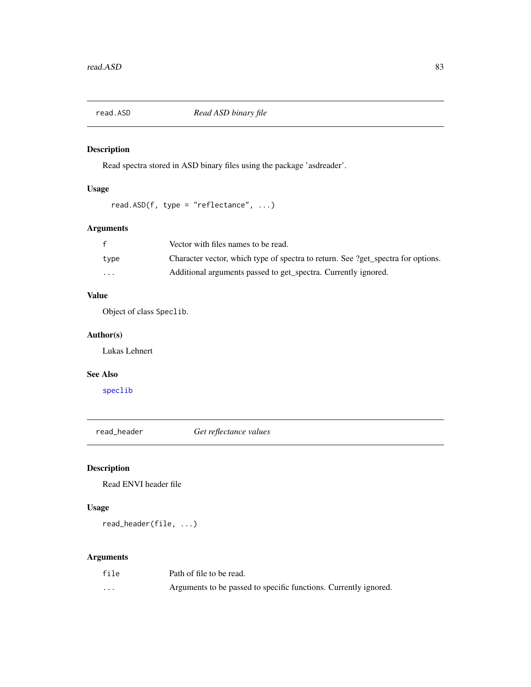# Description

Read spectra stored in ASD binary files using the package 'asdreader'.

# Usage

```
read.ASD(f, type = "reflectance", ...)
```
# Arguments

|                         | Vector with files names to be read.                                              |
|-------------------------|----------------------------------------------------------------------------------|
| type                    | Character vector, which type of spectra to return. See ?get_spectra for options. |
| $\cdot$ $\cdot$ $\cdot$ | Additional arguments passed to get spectra. Currently ignored.                   |

# Value

Object of class Speclib.

# Author(s)

Lukas Lehnert

# See Also

[speclib](#page-93-0)

read\_header *Get reflectance values*

# Description

Read ENVI header file

# Usage

read\_header(file, ...)

# Arguments

| file     | Path of file to be read.                                         |
|----------|------------------------------------------------------------------|
| $\cdots$ | Arguments to be passed to specific functions. Currently ignored. |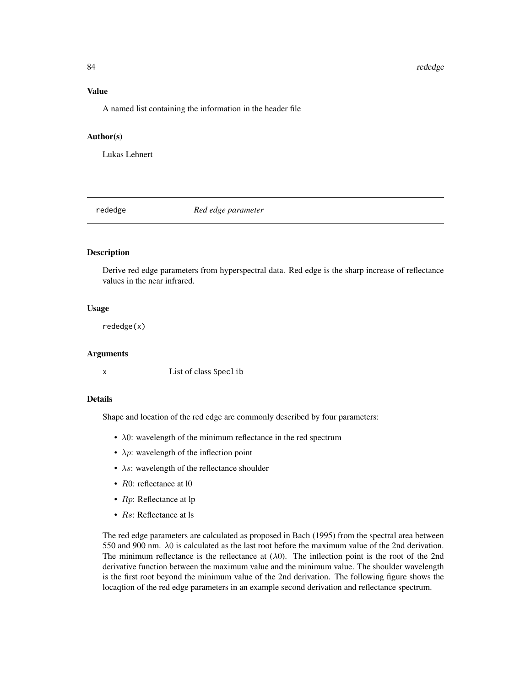#### 84 rededge

# Value

A named list containing the information in the header file

#### Author(s)

Lukas Lehnert

rededge *Red edge parameter*

# Description

Derive red edge parameters from hyperspectral data. Red edge is the sharp increase of reflectance values in the near infrared.

#### Usage

rededge(x)

#### Arguments

x List of class Speclib

#### Details

Shape and location of the red edge are commonly described by four parameters:

- $\lambda$ 0: wavelength of the minimum reflectance in the red spectrum
- $\lambda p$ : wavelength of the inflection point
- $\lambda s$ : wavelength of the reflectance shoulder
- R0: reflectance at 10
- *Rp*: Reflectance at lp
- *Rs*: Reflectance at ls

The red edge parameters are calculated as proposed in Bach (1995) from the spectral area between 550 and 900 nm.  $\lambda$ 0 is calculated as the last root before the maximum value of the 2nd derivation. The minimum reflectance is the reflectance at  $(\lambda 0)$ . The inflection point is the root of the 2nd derivative function between the maximum value and the minimum value. The shoulder wavelength is the first root beyond the minimum value of the 2nd derivation. The following figure shows the locaqtion of the red edge parameters in an example second derivation and reflectance spectrum.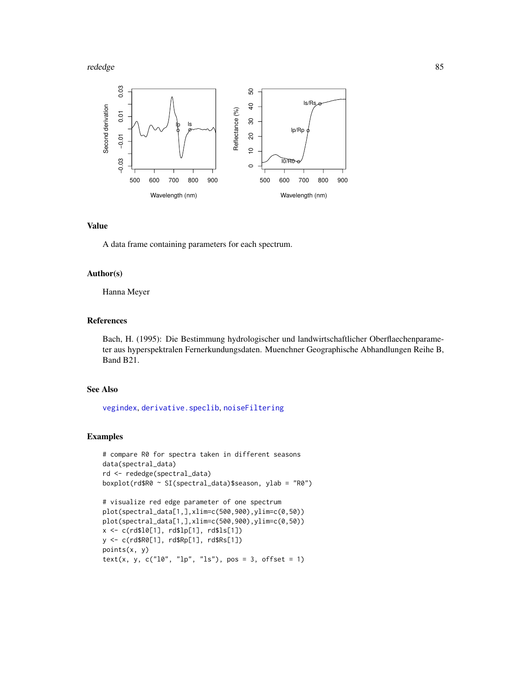#### rededge 85 and 85 and 86 and 86 and 86 and 86 and 86 and 86 and 86 and 86 and 86 and 86 and 86 and 86 and 86 and 86



## Value

A data frame containing parameters for each spectrum.

# Author(s)

Hanna Meyer

# References

Bach, H. (1995): Die Bestimmung hydrologischer und landwirtschaftlicher Oberflaechenparameter aus hyperspektralen Fernerkundungsdaten. Muenchner Geographische Abhandlungen Reihe B, Band B21.

#### See Also

[vegindex](#page-117-0), [derivative.speclib](#page-32-0), [noiseFiltering](#page-60-0)

#### Examples

```
# compare R0 for spectra taken in different seasons
data(spectral_data)
rd <- rededge(spectral_data)
boxplot(rd$R0 ~ SI(spectral_data)$season, ylab = "R0")
# visualize red edge parameter of one spectrum
```

```
plot(spectral_data[1,],xlim=c(500,900),ylim=c(0,50))
plot(spectral_data[1,],xlim=c(500,900),ylim=c(0,50))
x <- c(rd$l0[1], rd$lp[1], rd$ls[1])
y <- c(rd$R0[1], rd$Rp[1], rd$Rs[1])
points(x, y)
text(x, y, c("10", "1p", "1s"), pos = 3, offset = 1)
```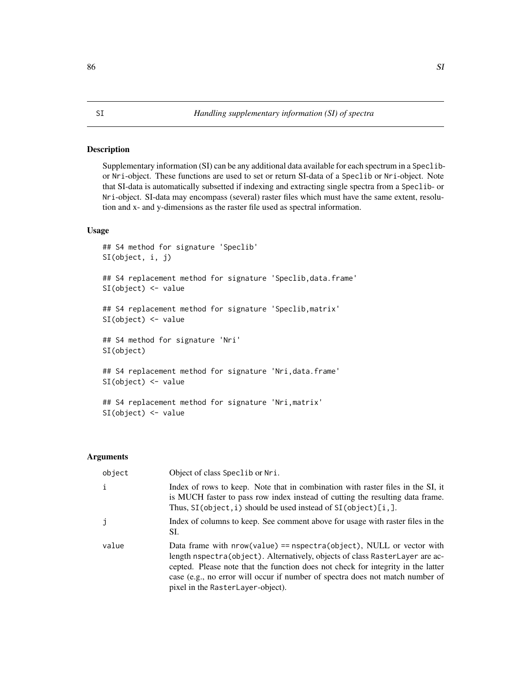### <span id="page-85-1"></span><span id="page-85-0"></span>Description

Supplementary information (SI) can be any additional data available for each spectrum in a Speclibor Nri-object. These functions are used to set or return SI-data of a Speclib or Nri-object. Note that SI-data is automatically subsetted if indexing and extracting single spectra from a Speclib- or Nri-object. SI-data may encompass (several) raster files which must have the same extent, resolution and x- and y-dimensions as the raster file used as spectral information.

#### Usage

```
## S4 method for signature 'Speclib'
SI(object, i, j)
## S4 replacement method for signature 'Speclib,data.frame'
SI(object) <- value
## S4 replacement method for signature 'Speclib,matrix'
SI(object) <- value
## S4 method for signature 'Nri'
SI(object)
## S4 replacement method for signature 'Nri, data.frame'
SI(object) <- value
## S4 replacement method for signature 'Nri,matrix'
SI(object) <- value
```
## **Arguments**

| object       | Object of class Speclib or Nri.                                                                                                                                                                                                                                                                                                                                   |
|--------------|-------------------------------------------------------------------------------------------------------------------------------------------------------------------------------------------------------------------------------------------------------------------------------------------------------------------------------------------------------------------|
| $\mathbf{i}$ | Index of rows to keep. Note that in combination with raster files in the SI, it<br>is MUCH faster to pass row index instead of cutting the resulting data frame.<br>Thus, $SI$ (object, i) should be used instead of $SI$ (object) $[i,].$                                                                                                                        |
| j            | Index of columns to keep. See comment above for usage with raster files in the<br>SI.                                                                                                                                                                                                                                                                             |
| value        | Data frame with $nrow(value) == nspectra(object)$ , NULL or vector with<br>length nspectra(object). Alternatively, objects of class RasterLayer are ac-<br>cepted. Please note that the function does not check for integrity in the latter<br>case (e.g., no error will occur if number of spectra does not match number of<br>pixel in the RasterLayer-object). |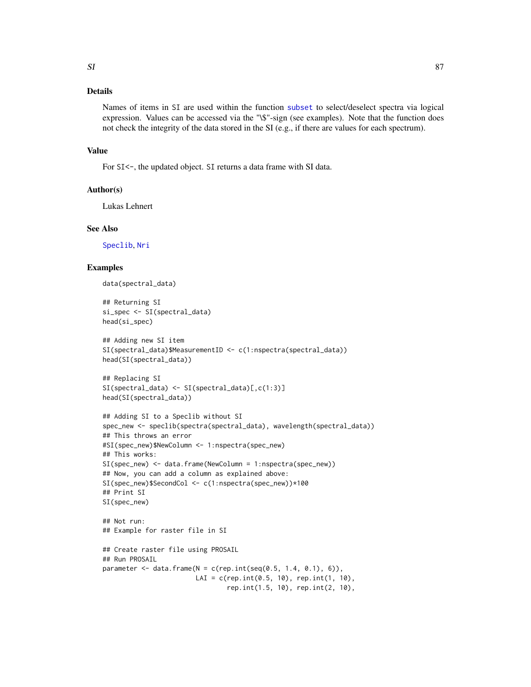# Details

Names of items in SI are used within the function [subset](#page-0-0) to select/deselect spectra via logical expression. Values can be accessed via the "\\$"-sign (see examples). Note that the function does not check the integrity of the data stored in the SI (e.g., if there are values for each spectrum).

#### Value

For SI<-, the updated object. SI returns a data frame with SI data.

#### Author(s)

Lukas Lehnert

#### See Also

[Speclib](#page-96-0), [Nri](#page-63-0)

# Examples

```
data(spectral_data)
```

```
## Returning SI
si_spec <- SI(spectral_data)
head(si_spec)
```

```
## Adding new SI item
SI(spectral_data)$MeasurementID <- c(1:nspectra(spectral_data))
head(SI(spectral_data))
```

```
## Replacing SI
SI(spectral_data) <- SI(spectral_data)[,c(1:3)]
head(SI(spectral_data))
```

```
## Adding SI to a Speclib without SI
spec_new <- speclib(spectra(spectral_data), wavelength(spectral_data))
## This throws an error
#SI(spec_new)$NewColumn <- 1:nspectra(spec_new)
## This works:
SI(spec_new) <- data.frame(NewColumn = 1:nspectra(spec_new))
## Now, you can add a column as explained above:
SI(spec_new)$SecondCol <- c(1:nspectra(spec_new))*100
## Print SI
SI(spec_new)
## Not run:
## Example for raster file in SI
## Create raster file using PROSAIL
## Run PROSAIL
parameter < - data frame(N = c(rep.int(seq(0.5, 1.4, 0.1), 6)),LAI = c(rep.int(0.5, 10), rep.int(1, 10),
```

```
rep.int(1.5, 10), rep.int(2, 10),
```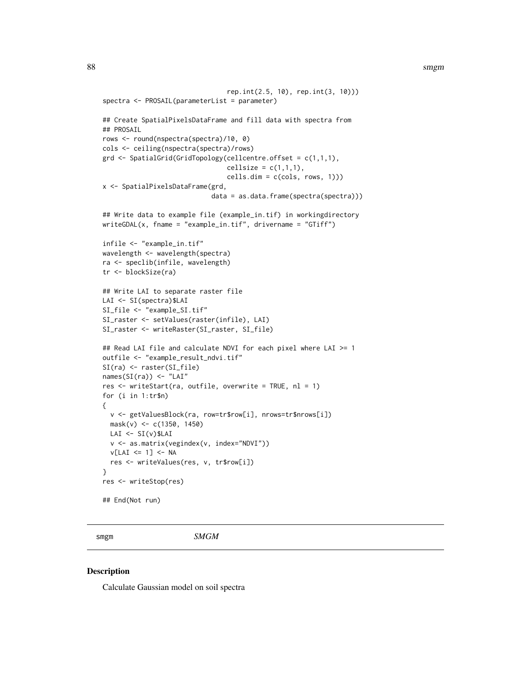#### 88 smgm

```
rep.int(2.5, 10), rep.int(3, 10)))
spectra <- PROSAIL(parameterList = parameter)
## Create SpatialPixelsDataFrame and fill data with spectra from
## PROSAIL
rows <- round(nspectra(spectra)/10, 0)
cols <- ceiling(nspectra(spectra)/rows)
grd <- SpatialGrid(GridTopology(cellcentre.offset = c(1,1,1),
                                cellsize = c(1,1,1),cells.dim = c(cols, rows, 1)))
x <- SpatialPixelsDataFrame(grd,
                            data = as.data.frame(spectra(spectra)))
## Write data to example file (example_in.tif) in workingdirectory
writeGDAL(x, fname = "example_in.tif", drivername = "GTiff")
infile <- "example_in.tif"
wavelength <- wavelength(spectra)
ra <- speclib(infile, wavelength)
tr <- blockSize(ra)
## Write LAI to separate raster file
LAI <- SI(spectra)$LAI
SI_file <- "example_SI.tif"
SI_raster <- setValues(raster(infile), LAI)
SI_raster <- writeRaster(SI_raster, SI_file)
## Read LAI file and calculate NDVI for each pixel where LAI >= 1
outfile <- "example_result_ndvi.tif"
SI(ra) <- raster(SI_file)
names(SI(ra)) <- "LAI"
res <- writeStart(ra, outfile, overwrite = TRUE, nl = 1)
for (i in 1:tr$n)
{
  v <- getValuesBlock(ra, row=tr$row[i], nrows=tr$nrows[i])
  mask(v) <- c(1350, 1450)
  LAI \leftarrow SI(v)$LAIv <- as.matrix(vegindex(v, index="NDVI"))
  v[LAI \leq 1] <- NA
  res <- writeValues(res, v, tr$row[i])
}
res <- writeStop(res)
## End(Not run)
```
smgm *SMGM*

#### **Description**

Calculate Gaussian model on soil spectra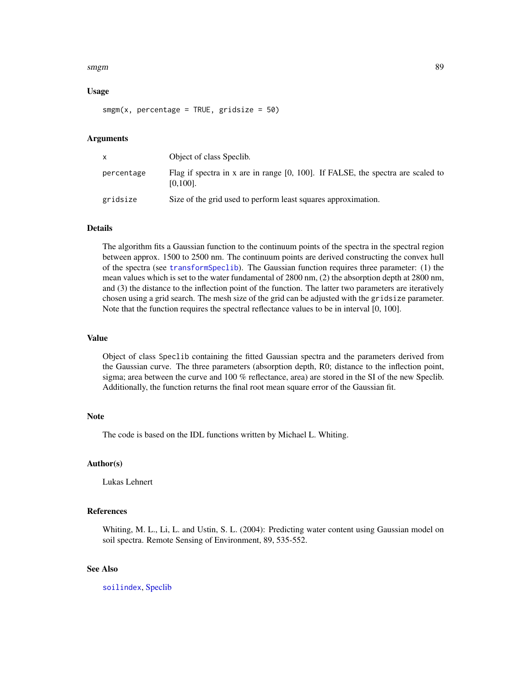#### smgm 89 and 89 and 89 and 89 and 89 and 89 and 89 and 89 and 89 and 89 and 89 and 89 and 89 and 89 and 89 and

# Usage

 $smgm(x, percentage = TRUE, gridsize = 50)$ 

#### Arguments

| $\mathsf{x}$ | Object of class Speclib.                                                                          |
|--------------|---------------------------------------------------------------------------------------------------|
| percentage   | Flag if spectra in x are in range $[0, 100]$ . If FALSE, the spectra are scaled to<br>$[0,100]$ . |
| gridsize     | Size of the grid used to perform least squares approximation.                                     |

# Details

The algorithm fits a Gaussian function to the continuum points of the spectra in the spectral region between approx. 1500 to 2500 nm. The continuum points are derived constructing the convex hull of the spectra (see [transformSpeclib](#page-110-0)). The Gaussian function requires three parameter: (1) the mean values which is set to the water fundamental of 2800 nm, (2) the absorption depth at 2800 nm, and (3) the distance to the inflection point of the function. The latter two parameters are iteratively chosen using a grid search. The mesh size of the grid can be adjusted with the gridsize parameter. Note that the function requires the spectral reflectance values to be in interval [0, 100].

### Value

Object of class Speclib containing the fitted Gaussian spectra and the parameters derived from the Gaussian curve. The three parameters (absorption depth, R0; distance to the inflection point, sigma; area between the curve and 100 % reflectance, area) are stored in the SI of the new Speclib. Additionally, the function returns the final root mean square error of the Gaussian fit.

#### Note

The code is based on the IDL functions written by Michael L. Whiting.

# Author(s)

Lukas Lehnert

# References

Whiting, M. L., Li, L. and Ustin, S. L. (2004): Predicting water content using Gaussian model on soil spectra. Remote Sensing of Environment, 89, 535-552.

# See Also

[soilindex](#page-89-0), [Speclib](#page-96-0)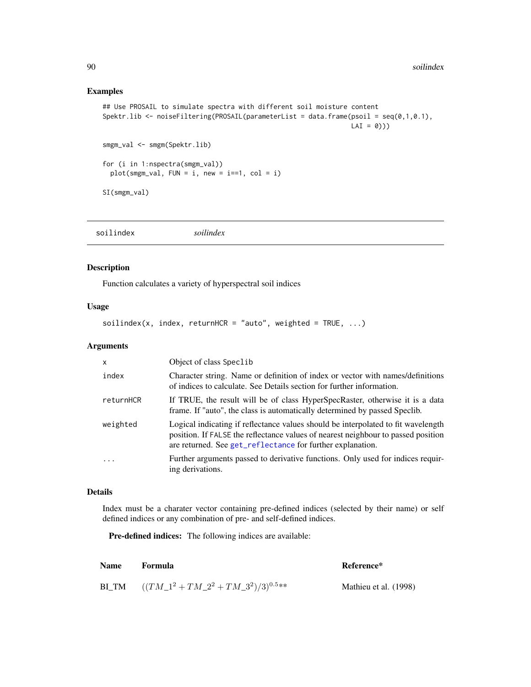# Examples

```
## Use PROSAIL to simulate spectra with different soil moisture content
Spektr.lib \leq noiseFiltering(PROSAIL(parameterList = data.frame(psoil = seq(0,1,0.1),
                                                                LAI = 0)))
smgm_val <- smgm(Spektr.lib)
for (i in 1:nspectra(smgm_val))
  plot(smgm_val, FUN = i, new = i==1, col = i)SI(smgm_val)
```
<span id="page-89-0"></span>

|  | soilindex | soilindex |
|--|-----------|-----------|
|--|-----------|-----------|

# Description

Function calculates a variety of hyperspectral soil indices

#### Usage

```
sointed(x, index, return HCR = "auto", weighted = TRUE, ...)
```
#### Arguments

| X         | Object of class Speclib                                                                                                                                                                                                              |
|-----------|--------------------------------------------------------------------------------------------------------------------------------------------------------------------------------------------------------------------------------------|
| index     | Character string. Name or definition of index or vector with names/definitions<br>of indices to calculate. See Details section for further information.                                                                              |
| returnHCR | If TRUE, the result will be of class HyperSpecRaster, otherwise it is a data<br>frame. If "auto", the class is automatically determined by passed Speclib.                                                                           |
| weighted  | Logical indicating if reflectance values should be interpolated to fit wavelength<br>position. If FALSE the reflectance values of nearest neighbour to passed position<br>are returned. See get_reflectance for further explanation. |
| .         | Further arguments passed to derivative functions. Only used for indices requir-<br>ing derivations.                                                                                                                                  |

# Details

Index must be a charater vector containing pre-defined indices (selected by their name) or self defined indices or any combination of pre- and self-defined indices.

Pre-defined indices: The following indices are available:

| <b>Name</b> | Formula                                        | Reference*            |
|-------------|------------------------------------------------|-----------------------|
|             | BI_TM $((TM_1^2 + TM_2^2 + TM_3^2)/3)^{0.5**}$ | Mathieu et al. (1998) |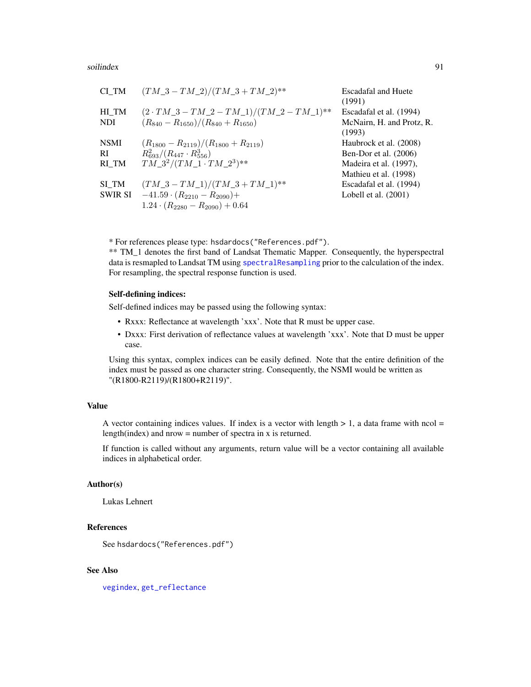#### soilindex 91

| CI TM          | $(TM_3 - TM_2)/(TM_3 + TM_2)^{**}$                         | <b>Escadafal and Huete</b><br>(1991) |
|----------------|------------------------------------------------------------|--------------------------------------|
| HI TM          | $(2 \cdot TM_3 - TM_2 - TM_1)/(TM_2 - TM_1)$ <sup>**</sup> | Escadafal et al. (1994)              |
| <b>NDI</b>     | $(R_{840}-R_{1650})/(R_{840}+R_{1650})$                    | McNairn, H. and Protz, R.<br>(1993)  |
| <b>NSMI</b>    | $(R_{1800} - R_{2119})/(R_{1800} + R_{2119})$              | Haubrock et al. (2008)               |
| RI             | $R_{693}^2/(R_{447}\cdot R_{556}^3)$                       | Ben-Dor et al. $(2006)$              |
| RI TM          | $TM_3^2/(TM_1\cdot TM_2^3)^{**}$                           | Madeira et al. (1997),               |
|                |                                                            | Mathieu et al. (1998)                |
| SI TM          | $(TM_3 - TM_1)/(TM_3 + TM_1)$ <sup>**</sup>                | Escadafal et al. (1994)              |
| <b>SWIR SI</b> | $-41.59 \cdot (R_{2210} - R_{2090}) +$                     | Lobell et al. $(2001)$               |
|                | $1.24 \cdot (R_{2280} - R_{2090}) + 0.64$                  |                                      |

\* For references please type: hsdardocs("References.pdf").

\*\* TM\_1 denotes the first band of Landsat Thematic Mapper. Consequently, the hyperspectral data is resmapled to Landsat TM using [spectralResampling](#page-102-0) prior to the calculation of the index. For resampling, the spectral response function is used.

# Self-defining indices:

Self-defined indices may be passed using the following syntax:

- Rxxx: Reflectance at wavelength 'xxx'. Note that R must be upper case.
- Dxxx: First derivation of reflectance values at wavelength 'xxx'. Note that D must be upper case.

Using this syntax, complex indices can be easily defined. Note that the entire definition of the index must be passed as one character string. Consequently, the NSMI would be written as "(R1800-R2119)/(R1800+R2119)".

# Value

A vector containing indices values. If index is a vector with length  $> 1$ , a data frame with ncol = length(index) and nrow = number of spectra in x is returned.

If function is called without any arguments, return value will be a vector containing all available indices in alphabetical order.

# Author(s)

Lukas Lehnert

# References

See hsdardocs("References.pdf")

#### See Also

[vegindex](#page-117-0), [get\\_reflectance](#page-47-0)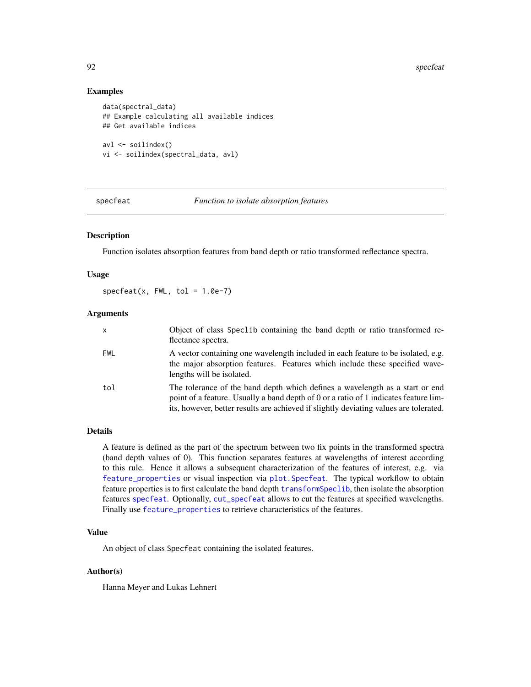## Examples

```
data(spectral_data)
## Example calculating all available indices
## Get available indices
avl <- soilindex()
vi <- soilindex(spectral_data, avl)
```
<span id="page-91-0"></span>specfeat *Function to isolate absorption features*

## Description

Function isolates absorption features from band depth or ratio transformed reflectance spectra.

#### Usage

 $spect(x, FW, tol = 1.0e-7)$ 

## Arguments

| X          | Object of class Spec1ib containing the band depth or ratio transformed re-<br>flectance spectra.                                                                                                                                                              |
|------------|---------------------------------------------------------------------------------------------------------------------------------------------------------------------------------------------------------------------------------------------------------------|
| <b>FWL</b> | A vector containing one wavelength included in each feature to be isolated, e.g.<br>the major absorption features. Features which include these specified wave-<br>lengths will be isolated.                                                                  |
| tol        | The tolerance of the band depth which defines a wavelength as a start or end<br>point of a feature. Usually a band depth of 0 or a ratio of 1 indicates feature lim-<br>its, however, better results are achieved if slightly deviating values are tolerated. |

# Details

A feature is defined as the part of the spectrum between two fix points in the transformed spectra (band depth values of 0). This function separates features at wavelengths of interest according to this rule. Hence it allows a subsequent characterization of the features of interest, e.g. via [feature\\_properties](#page-40-0) or visual inspection via [plot.Specfeat](#page-68-0). The typical workflow to obtain feature properties is to first calculate the band depth [transformSpeclib](#page-110-0), then isolate the absorption features [specfeat](#page-91-0). Optionally, [cut\\_specfeat](#page-30-0) allows to cut the features at specified wavelengths. Finally use [feature\\_properties](#page-40-0) to retrieve characteristics of the features.

# Value

An object of class Specfeat containing the isolated features.

#### Author(s)

Hanna Meyer and Lukas Lehnert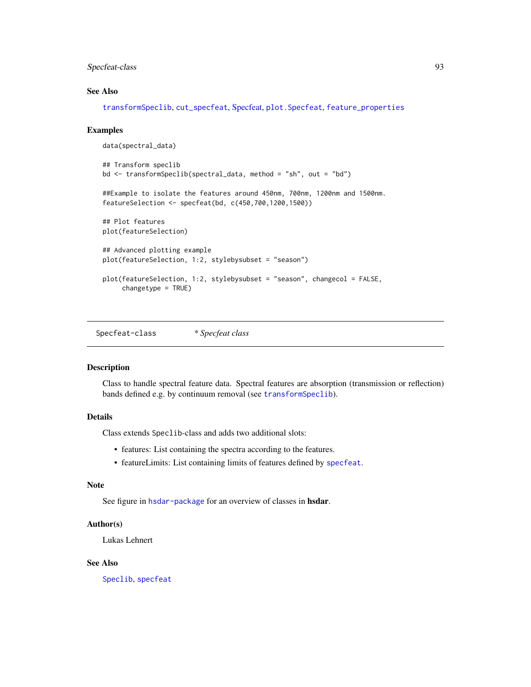# Specfeat-class 93

#### See Also

[transformSpeclib](#page-110-0), [cut\\_specfeat](#page-30-0), [Specfeat,](#page-92-0) [plot.Specfeat](#page-68-0), [feature\\_properties](#page-40-0)

#### Examples

```
data(spectral_data)
## Transform speclib
bd <- transformSpeclib(spectral_data, method = "sh", out = "bd")
##Example to isolate the features around 450nm, 700nm, 1200nm and 1500nm.
featureSelection <- specfeat(bd, c(450,700,1200,1500))
## Plot features
plot(featureSelection)
## Advanced plotting example
plot(featureSelection, 1:2, stylebysubset = "season")
plot(featureSelection, 1:2, stylebysubset = "season", changecol = FALSE,
     changetype = TRUE)
```
<span id="page-92-0"></span>Specfeat-class *\* Specfeat class*

# Description

Class to handle spectral feature data. Spectral features are absorption (transmission or reflection) bands defined e.g. by continuum removal (see [transformSpeclib](#page-110-0)).

#### Details

Class extends Speclib-class and adds two additional slots:

- features: List containing the spectra according to the features.
- featureLimits: List containing limits of features defined by [specfeat](#page-91-0).

#### Note

See figure in [hsdar-package](#page-2-0) for an overview of classes in hsdar.

#### Author(s)

Lukas Lehnert

#### See Also

[Speclib](#page-96-0), [specfeat](#page-91-0)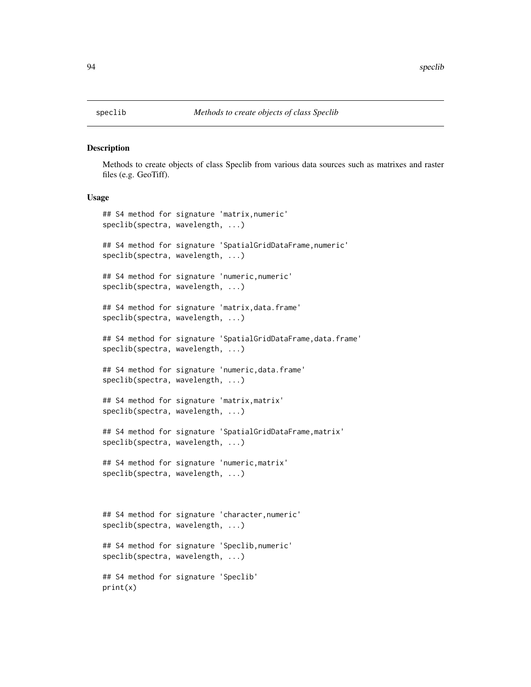#### **Description**

Methods to create objects of class Speclib from various data sources such as matrixes and raster files (e.g. GeoTiff).

#### Usage

```
## S4 method for signature 'matrix,numeric'
speclib(spectra, wavelength, ...)
## S4 method for signature 'SpatialGridDataFrame,numeric'
speclib(spectra, wavelength, ...)
## S4 method for signature 'numeric,numeric'
speclib(spectra, wavelength, ...)
## S4 method for signature 'matrix,data.frame'
speclib(spectra, wavelength, ...)
## S4 method for signature 'SpatialGridDataFrame,data.frame'
speclib(spectra, wavelength, ...)
## S4 method for signature 'numeric,data.frame'
speclib(spectra, wavelength, ...)
## S4 method for signature 'matrix,matrix'
speclib(spectra, wavelength, ...)
## S4 method for signature 'SpatialGridDataFrame,matrix'
speclib(spectra, wavelength, ...)
## S4 method for signature 'numeric,matrix'
speclib(spectra, wavelength, ...)
## S4 method for signature 'character,numeric'
speclib(spectra, wavelength, ...)
## S4 method for signature 'Speclib,numeric'
speclib(spectra, wavelength, ...)
## S4 method for signature 'Speclib'
print(x)
```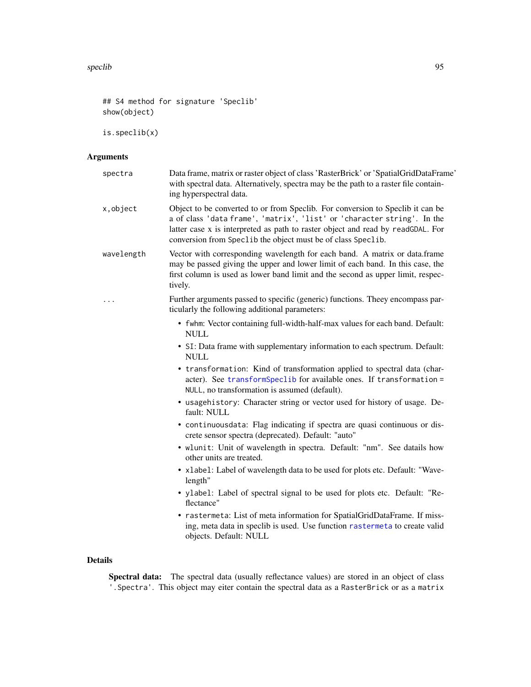## S4 method for signature 'Speclib' show(object)

is.speclib(x)

# Arguments

| spectra    | Data frame, matrix or raster object of class 'RasterBrick' or 'SpatialGridDataFrame'<br>with spectral data. Alternatively, spectra may be the path to a raster file contain-<br>ing hyperspectral data.                                                                                                      |
|------------|--------------------------------------------------------------------------------------------------------------------------------------------------------------------------------------------------------------------------------------------------------------------------------------------------------------|
| x, object  | Object to be converted to or from Speclib. For conversion to Speclib it can be<br>a of class 'data frame', 'matrix', 'list' or 'character string'. In the<br>latter case x is interpreted as path to raster object and read by readGDAL. For<br>conversion from Speclib the object must be of class Speclib. |
| wavelength | Vector with corresponding wavelength for each band. A matrix or data.frame<br>may be passed giving the upper and lower limit of each band. In this case, the<br>first column is used as lower band limit and the second as upper limit, respec-<br>tively.                                                   |
| .          | Further arguments passed to specific (generic) functions. Theey encompass par-<br>ticularly the following additional parameters:                                                                                                                                                                             |
|            | • fwhm: Vector containing full-width-half-max values for each band. Default:<br><b>NULL</b>                                                                                                                                                                                                                  |
|            | • SI: Data frame with supplementary information to each spectrum. Default:<br><b>NULL</b>                                                                                                                                                                                                                    |
|            | • transformation: Kind of transformation applied to spectral data (char-<br>acter). See transformSpeclib for available ones. If transformation =<br>NULL, no transformation is assumed (default).                                                                                                            |
|            | • usagehistory: Character string or vector used for history of usage. De-<br>fault: NULL                                                                                                                                                                                                                     |
|            | • continuousdata: Flag indicating if spectra are quasi continuous or dis-<br>crete sensor spectra (deprecated). Default: "auto"                                                                                                                                                                              |
|            | • wlunit: Unit of wavelength in spectra. Default: "nm". See datails how<br>other units are treated.                                                                                                                                                                                                          |
|            | • xlabel: Label of wavelength data to be used for plots etc. Default: "Wave-<br>length"                                                                                                                                                                                                                      |
|            | • ylabel: Label of spectral signal to be used for plots etc. Default: "Re-<br>flectance"                                                                                                                                                                                                                     |
|            | • rastermeta: List of meta information for SpatialGridDataFrame. If miss-<br>ing, meta data in speclib is used. Use function rastermeta to create valid<br>objects. Default: NULL                                                                                                                            |

# Details

Spectral data: The spectral data (usually reflectance values) are stored in an object of class '.Spectra'. This object may eiter contain the spectral data as a RasterBrick or as a matrix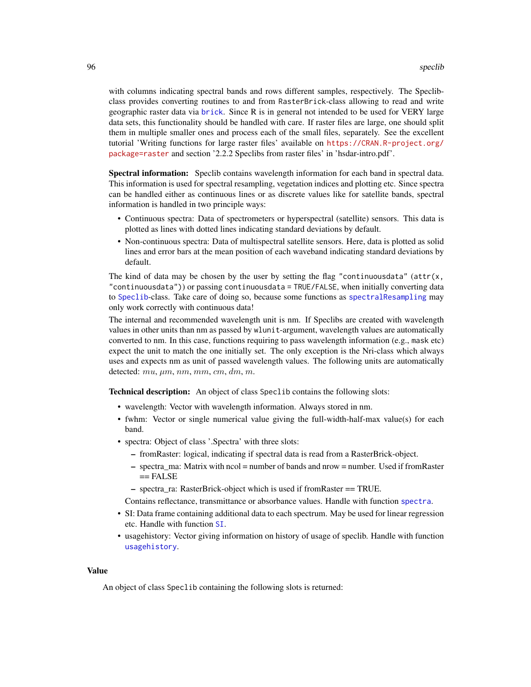with columns indicating spectral bands and rows different samples, respectively. The Speclibclass provides converting routines to and from RasterBrick-class allowing to read and write geographic raster data via [brick](#page-0-0). Since R is in general not intended to be used for VERY large data sets, this functionality should be handled with care. If raster files are large, one should split them in multiple smaller ones and process each of the small files, separately. See the excellent tutorial 'Writing functions for large raster files' available on [https://CRAN.R-project.org/](https://CRAN.R-project.org/package=raster) [package=raster](https://CRAN.R-project.org/package=raster) and section '2.2.2 Speclibs from raster files' in 'hsdar-intro.pdf'.

Spectral information: Speclib contains wavelength information for each band in spectral data. This information is used for spectral resampling, vegetation indices and plotting etc. Since spectra can be handled either as continuous lines or as discrete values like for satellite bands, spectral information is handled in two principle ways:

- Continuous spectra: Data of spectrometers or hyperspectral (satellite) sensors. This data is plotted as lines with dotted lines indicating standard deviations by default.
- Non-continuous spectra: Data of multispectral satellite sensors. Here, data is plotted as solid lines and error bars at the mean position of each waveband indicating standard deviations by default.

The kind of data may be chosen by the user by setting the flag "continuousdata" (attr $(x,$ "continuousdata")) or passing continuousdata = TRUE/FALSE, when initially converting data to [Speclib](#page-96-0)-class. Take care of doing so, because some functions as [spectralResampling](#page-102-0) may only work correctly with continuous data!

The internal and recommended wavelength unit is nm. If Speclibs are created with wavelength values in other units than nm as passed by wlunit-argument, wavelength values are automatically converted to nm. In this case, functions requiring to pass wavelength information (e.g., mask etc) expect the unit to match the one initially set. The only exception is the Nri-class which always uses and expects nm as unit of passed wavelength values. The following units are automatically detected: mu,  $\mu$ m, nm, mm, cm, dm, m.

Technical description: An object of class Speclib contains the following slots:

- wavelength: Vector with wavelength information. Always stored in nm.
- fwhm: Vector or single numerical value giving the full-width-half-max value(s) for each band.
- spectra: Object of class '.Spectra' with three slots:
	- fromRaster: logical, indicating if spectral data is read from a RasterBrick-object.
	- $-$  spectra ma: Matrix with ncol = number of bands and nrow = number. Used if from Raster  $==$  FALSE
	- spectra\_ra: RasterBrick-object which is used if fromRaster == TRUE.
	- Contains reflectance, transmittance or absorbance values. Handle with function [spectra](#page-100-0).
- SI: Data frame containing additional data to each spectrum. May be used for linear regression etc. Handle with function [SI](#page-85-0).
- usagehistory: Vector giving information on history of usage of speclib. Handle with function [usagehistory](#page-116-0).

#### Value

An object of class Speclib containing the following slots is returned: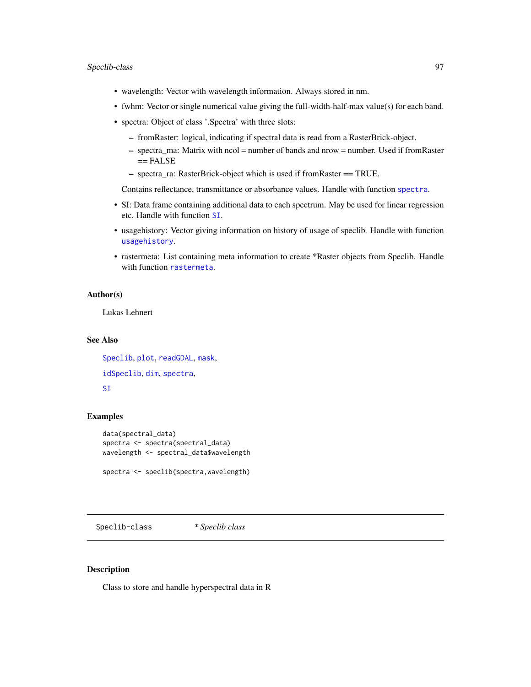## Speclib-class 97

- wavelength: Vector with wavelength information. Always stored in nm.
- fwhm: Vector or single numerical value giving the full-width-half-max value(s) for each band.
- spectra: Object of class '.Spectra' with three slots:
	- fromRaster: logical, indicating if spectral data is read from a RasterBrick-object.
	- spectra\_ma: Matrix with ncol = number of bands and nrow = number. Used if fromRaster == FALSE
	- spectra\_ra: RasterBrick-object which is used if fromRaster == TRUE.

Contains reflectance, transmittance or absorbance values. Handle with function [spectra](#page-100-0).

- SI: Data frame containing additional data to each spectrum. May be used for linear regression etc. Handle with function [SI](#page-85-0).
- usagehistory: Vector giving information on history of usage of speclib. Handle with function [usagehistory](#page-116-0).
- rastermeta: List containing meta information to create \*Raster objects from Speclib. Handle with function [rastermeta](#page-81-0).

### Author(s)

Lukas Lehnert

# See Also

[Speclib](#page-96-0), [plot](#page-70-0), [readGDAL](#page-0-0), [mask](#page-57-0), [idSpeclib](#page-53-1), [dim](#page-34-0), [spectra](#page-100-0), [SI](#page-85-0)

## Examples

```
data(spectral_data)
spectra <- spectra(spectral_data)
wavelength <- spectral_data$wavelength
```
spectra <- speclib(spectra,wavelength)

<span id="page-96-0"></span>Speclib-class *\* Speclib class*

#### Description

Class to store and handle hyperspectral data in R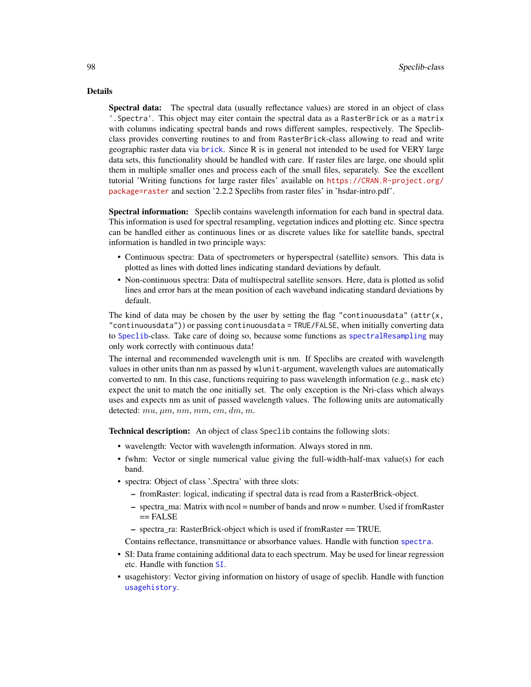#### Details

Spectral data: The spectral data (usually reflectance values) are stored in an object of class '.Spectra'. This object may eiter contain the spectral data as a RasterBrick or as a matrix with columns indicating spectral bands and rows different samples, respectively. The Speclibclass provides converting routines to and from RasterBrick-class allowing to read and write geographic raster data via [brick](#page-0-0). Since R is in general not intended to be used for VERY large data sets, this functionality should be handled with care. If raster files are large, one should split them in multiple smaller ones and process each of the small files, separately. See the excellent tutorial 'Writing functions for large raster files' available on [https://CRAN.R-project.org/](https://CRAN.R-project.org/package=raster) [package=raster](https://CRAN.R-project.org/package=raster) and section '2.2.2 Speclibs from raster files' in 'hsdar-intro.pdf'.

Spectral information: Speclib contains wavelength information for each band in spectral data. This information is used for spectral resampling, vegetation indices and plotting etc. Since spectra can be handled either as continuous lines or as discrete values like for satellite bands, spectral information is handled in two principle ways:

- Continuous spectra: Data of spectrometers or hyperspectral (satellite) sensors. This data is plotted as lines with dotted lines indicating standard deviations by default.
- Non-continuous spectra: Data of multispectral satellite sensors. Here, data is plotted as solid lines and error bars at the mean position of each waveband indicating standard deviations by default.

The kind of data may be chosen by the user by setting the flag "continuousdata" (attr $(x,$ "continuousdata")) or passing continuousdata = TRUE/FALSE, when initially converting data to [Speclib](#page-96-0)-class. Take care of doing so, because some functions as [spectralResampling](#page-102-0) may only work correctly with continuous data!

The internal and recommended wavelength unit is nm. If Speclibs are created with wavelength values in other units than nm as passed by wlunit-argument, wavelength values are automatically converted to nm. In this case, functions requiring to pass wavelength information (e.g., mask etc) expect the unit to match the one initially set. The only exception is the Nri-class which always uses and expects nm as unit of passed wavelength values. The following units are automatically detected:  $mu, \mu m, \, nm, \, mm, \, cm, \, dm, \, m.$ 

Technical description: An object of class Speclib contains the following slots:

- wavelength: Vector with wavelength information. Always stored in nm.
- fwhm: Vector or single numerical value giving the full-width-half-max value(s) for each band.
- spectra: Object of class '.Spectra' with three slots:
	- fromRaster: logical, indicating if spectral data is read from a RasterBrick-object.
	- spectra\_ma: Matrix with ncol = number of bands and nrow = number. Used if fromRaster  $==$  FALSE
	- spectra\_ra: RasterBrick-object which is used if fromRaster == TRUE.
	- Contains reflectance, transmittance or absorbance values. Handle with function [spectra](#page-100-0).
- SI: Data frame containing additional data to each spectrum. May be used for linear regression etc. Handle with function [SI](#page-85-0).
- usagehistory: Vector giving information on history of usage of speclib. Handle with function [usagehistory](#page-116-0).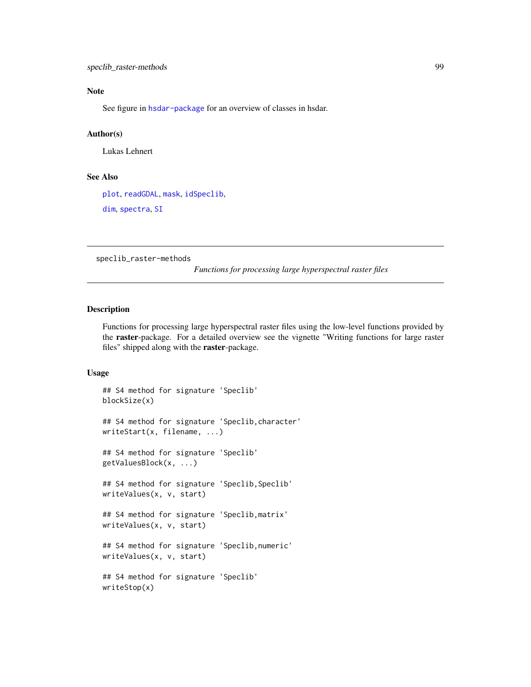# Note

See figure in [hsdar-package](#page-2-0) for an overview of classes in hsdar.

# Author(s)

Lukas Lehnert

# See Also

[plot](#page-70-0), [readGDAL](#page-0-0), [mask](#page-57-0), [idSpeclib](#page-53-1), [dim](#page-34-0), [spectra](#page-100-0), [SI](#page-85-0)

speclib\_raster-methods

*Functions for processing large hyperspectral raster files*

# Description

Functions for processing large hyperspectral raster files using the low-level functions provided by the raster-package. For a detailed overview see the vignette "Writing functions for large raster files" shipped along with the raster-package.

## Usage

```
## S4 method for signature 'Speclib'
blockSize(x)
## S4 method for signature 'Speclib,character'
writeStart(x, filename, ...)
## S4 method for signature 'Speclib'
getValuesBlock(x, ...)
## S4 method for signature 'Speclib, Speclib'
writeValues(x, v, start)
## S4 method for signature 'Speclib,matrix'
writeValues(x, v, start)
## S4 method for signature 'Speclib,numeric'
writeValues(x, v, start)
## S4 method for signature 'Speclib'
writeStop(x)
```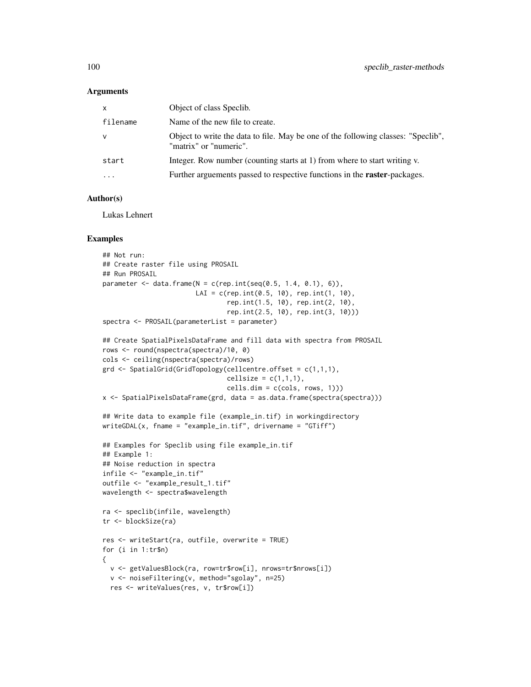#### Arguments

| filename<br>Name of the new file to create.<br>Object to write the data to file. May be one of the following classes: "Speclib",<br>v<br>"matrix" or "numeric".<br>Integer. Row number (counting starts at 1) from where to start writing v.<br>start<br>Further arguements passed to respective functions in the <b>raster</b> -packages.<br>$\cdot$ | X | Object of class Speclib. |
|-------------------------------------------------------------------------------------------------------------------------------------------------------------------------------------------------------------------------------------------------------------------------------------------------------------------------------------------------------|---|--------------------------|
|                                                                                                                                                                                                                                                                                                                                                       |   |                          |
|                                                                                                                                                                                                                                                                                                                                                       |   |                          |
|                                                                                                                                                                                                                                                                                                                                                       |   |                          |
|                                                                                                                                                                                                                                                                                                                                                       |   |                          |

# Author(s)

Lukas Lehnert

# Examples

```
## Not run:
## Create raster file using PROSAIL
## Run PROSAIL
parameter \leq data.frame(N = c(rep.int(seq(0.5, 1.4, 0.1), 6)),
                        LAI = c(rep.int(0.5, 10), rep.int(1, 10),rep.int(1.5, 10), rep.int(2, 10),
                                rep.int(2.5, 10), rep.int(3, 10)))
spectra <- PROSAIL(parameterList = parameter)
## Create SpatialPixelsDataFrame and fill data with spectra from PROSAIL
rows <- round(nspectra(spectra)/10, 0)
cols <- ceiling(nspectra(spectra)/rows)
grd \leq SpatialGrid(GridTopology(celleentre.offset = c(1,1,1)),cellsize = c(1,1,1),cells.dim = c(cols, rows, 1)))
x <- SpatialPixelsDataFrame(grd, data = as.data.frame(spectra(spectra)))
## Write data to example file (example_in.tif) in workingdirectory
writeGDAL(x, fname = "example_in.tif", drivername = "GTiff")
## Examples for Speclib using file example_in.tif
## Example 1:
## Noise reduction in spectra
infile <- "example_in.tif"
outfile <- "example_result_1.tif"
wavelength <- spectra$wavelength
ra <- speclib(infile, wavelength)
tr <- blockSize(ra)
res <- writeStart(ra, outfile, overwrite = TRUE)
for (i in 1:tr$n)
{
  v <- getValuesBlock(ra, row=tr$row[i], nrows=tr$nrows[i])
  v <- noiseFiltering(v, method="sgolay", n=25)
  res <- writeValues(res, v, tr$row[i])
```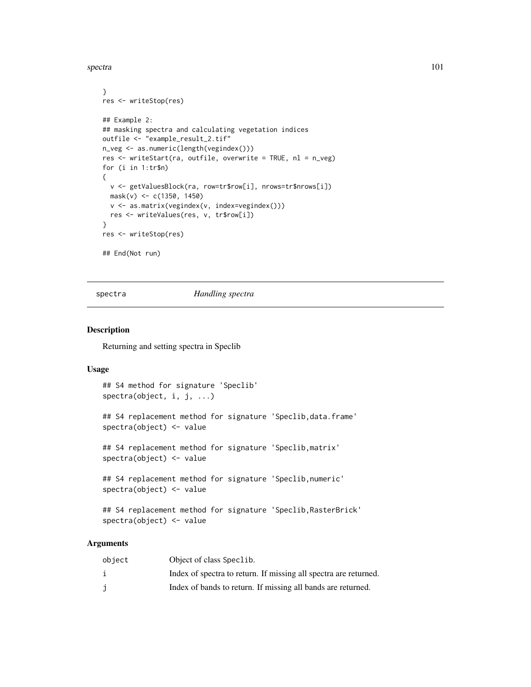spectra and the spectra in the spectra in the spectra in the spectra in the spectra in the spectra in the spectra in the spectra in the spectra in the spectra in the spectra in the spectra in the spectra in the spectra in

```
}
res <- writeStop(res)
## Example 2:
## masking spectra and calculating vegetation indices
outfile <- "example_result_2.tif"
n_veg <- as.numeric(length(vegindex()))
res <- writeStart(ra, outfile, overwrite = TRUE, nl = n_veg)
for (i in 1:tr$n)
{
  v <- getValuesBlock(ra, row=tr$row[i], nrows=tr$nrows[i])
  mask(v) <- c(1350, 1450)
  v <- as.matrix(vegindex(v, index=vegindex()))
  res <- writeValues(res, v, tr$row[i])
}
res <- writeStop(res)
## End(Not run)
```
spectra *Handling spectra*

# <span id="page-100-0"></span>Description

Returning and setting spectra in Speclib

#### Usage

```
## S4 method for signature 'Speclib'
spectra(object, i, j, ...)
## S4 replacement method for signature 'Speclib,data.frame'
spectra(object) <- value
## S4 replacement method for signature 'Speclib,matrix'
spectra(object) <- value
## S4 replacement method for signature 'Speclib,numeric'
spectra(object) <- value
## S4 replacement method for signature 'Speclib,RasterBrick'
spectra(object) <- value
```
# Arguments

| object | Object of class Speclib.                                         |
|--------|------------------------------------------------------------------|
|        | Index of spectra to return. If missing all spectra are returned. |
|        | Index of bands to return. If missing all bands are returned.     |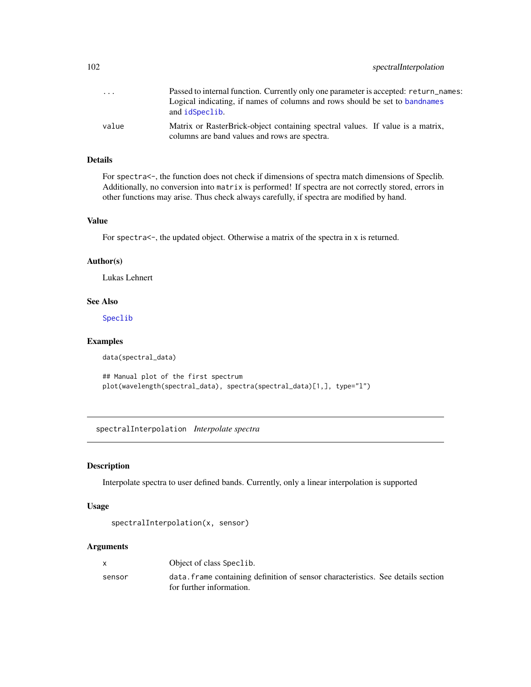| $\cdot$ | Passed to internal function. Currently only one parameter is accepted: return_names:<br>Logical indicating, if names of columns and rows should be set to bandnames<br>and idSpeclib. |
|---------|---------------------------------------------------------------------------------------------------------------------------------------------------------------------------------------|
| value   | Matrix or RasterBrick-object containing spectral values. If value is a matrix,<br>columns are band values and rows are spectra.                                                       |

#### Details

For spectra $\lt$ -, the function does not check if dimensions of spectra match dimensions of Speclib. Additionally, no conversion into matrix is performed! If spectra are not correctly stored, errors in other functions may arise. Thus check always carefully, if spectra are modified by hand.

## Value

For spectra<-, the updated object. Otherwise a matrix of the spectra in x is returned.

#### Author(s)

Lukas Lehnert

# See Also

[Speclib](#page-96-0)

#### Examples

```
data(spectral_data)
```
## Manual plot of the first spectrum plot(wavelength(spectral\_data), spectra(spectral\_data)[1,], type="l")

spectralInterpolation *Interpolate spectra*

# Description

Interpolate spectra to user defined bands. Currently, only a linear interpolation is supported

# Usage

```
spectralInterpolation(x, sensor)
```
## Arguments

| X      | Object of class Speclib.                                                                                     |
|--------|--------------------------------------------------------------------------------------------------------------|
| sensor | data, frame containing definition of sensor characteristics. See details section<br>for further information. |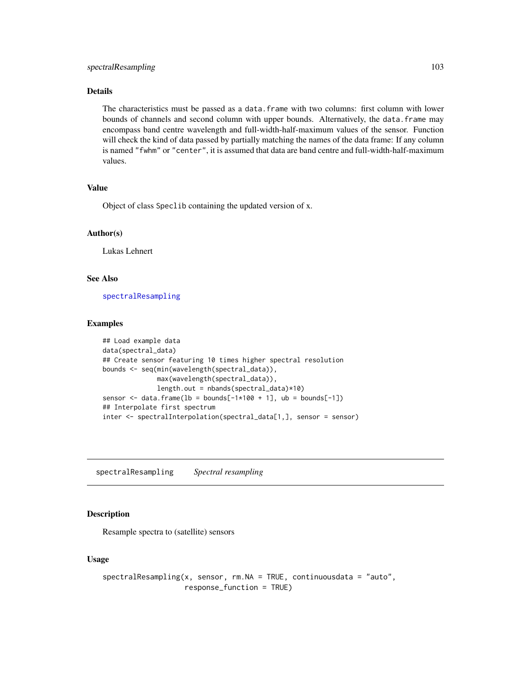# Details

The characteristics must be passed as a data.frame with two columns: first column with lower bounds of channels and second column with upper bounds. Alternatively, the data.frame may encompass band centre wavelength and full-width-half-maximum values of the sensor. Function will check the kind of data passed by partially matching the names of the data frame: If any column is named "fwhm" or "center", it is assumed that data are band centre and full-width-half-maximum values.

# Value

Object of class Speclib containing the updated version of x.

## Author(s)

Lukas Lehnert

# See Also

[spectralResampling](#page-102-0)

# Examples

```
## Load example data
data(spectral_data)
## Create sensor featuring 10 times higher spectral resolution
bounds <- seq(min(wavelength(spectral_data)),
             max(wavelength(spectral_data)),
              length.out = nbands(spectral_data)*10)
sensor \leq data.frame(lb = bounds[-1*100 + 1], ub = bounds[-1])
## Interpolate first spectrum
inter <- spectralInterpolation(spectral_data[1,], sensor = sensor)
```
<span id="page-102-0"></span>spectralResampling *Spectral resampling*

# Description

Resample spectra to (satellite) sensors

# Usage

```
spectralResampling(x, sensor, rm.NA = TRUE, continuous data = "auto",response_function = TRUE)
```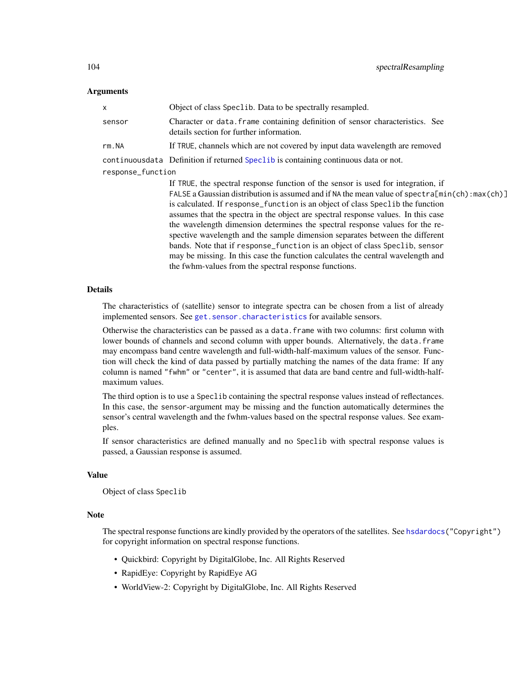#### Arguments

| x                 | Object of class Speclib. Data to be spectrally resampled.                                                                                                                                                                                                                                                                                                                                                                                                                                                                                                                                                                                                                                                                                                |
|-------------------|----------------------------------------------------------------------------------------------------------------------------------------------------------------------------------------------------------------------------------------------------------------------------------------------------------------------------------------------------------------------------------------------------------------------------------------------------------------------------------------------------------------------------------------------------------------------------------------------------------------------------------------------------------------------------------------------------------------------------------------------------------|
| sensor            | Character or data. frame containing definition of sensor characteristics. See<br>details section for further information.                                                                                                                                                                                                                                                                                                                                                                                                                                                                                                                                                                                                                                |
| rm.NA             | If TRUE, channels which are not covered by input data wavelength are removed                                                                                                                                                                                                                                                                                                                                                                                                                                                                                                                                                                                                                                                                             |
|                   | continuous data Definition if returned Special is containing continuous data or not.                                                                                                                                                                                                                                                                                                                                                                                                                                                                                                                                                                                                                                                                     |
| response_function |                                                                                                                                                                                                                                                                                                                                                                                                                                                                                                                                                                                                                                                                                                                                                          |
|                   | If TRUE, the spectral response function of the sensor is used for integration, if<br>FALSE a Gaussian distribution is assumed and if NA the mean value of $spectra[\min(ch):\max(ch)]$<br>is calculated. If response function is an object of class Speclib the function<br>assumes that the spectra in the object are spectral response values. In this case<br>the wavelength dimension determines the spectral response values for the re-<br>spective wavelength and the sample dimension separates between the different<br>bands. Note that if response_function is an object of class Speclib, sensor<br>may be missing. In this case the function calculates the central wavelength and<br>the fwhm-values from the spectral response functions. |

## Details

The characteristics of (satellite) sensor to integrate spectra can be chosen from a list of already implemented sensors. See [get.sensor.characteristics](#page-43-0) for available sensors.

Otherwise the characteristics can be passed as a data.frame with two columns: first column with lower bounds of channels and second column with upper bounds. Alternatively, the data.frame may encompass band centre wavelength and full-width-half-maximum values of the sensor. Function will check the kind of data passed by partially matching the names of the data frame: If any column is named "fwhm" or "center", it is assumed that data are band centre and full-width-halfmaximum values.

The third option is to use a Speclib containing the spectral response values instead of reflectances. In this case, the sensor-argument may be missing and the function automatically determines the sensor's central wavelength and the fwhm-values based on the spectral response values. See examples.

If sensor characteristics are defined manually and no Speclib with spectral response values is passed, a Gaussian response is assumed.

#### Value

Object of class Speclib

#### Note

The spectral response functions are kindly provided by the operators of the satellites. See [hsdardocs\(](#page-49-0)"Copyright") for copyright information on spectral response functions.

- Quickbird: Copyright by DigitalGlobe, Inc. All Rights Reserved
- RapidEye: Copyright by RapidEye AG
- WorldView-2: Copyright by DigitalGlobe, Inc. All Rights Reserved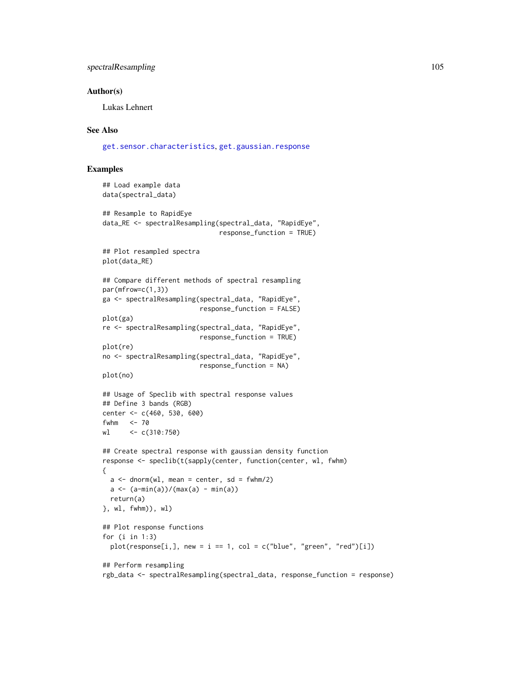# spectralResampling 105

#### Author(s)

Lukas Lehnert

## See Also

[get.sensor.characteristics](#page-43-0), [get.gaussian.response](#page-42-0)

## Examples

```
## Load example data
data(spectral_data)
## Resample to RapidEye
data_RE <- spectralResampling(spectral_data, "RapidEye",
                               response_function = TRUE)
## Plot resampled spectra
plot(data_RE)
## Compare different methods of spectral resampling
par(mfrow=c(1,3))
ga <- spectralResampling(spectral_data, "RapidEye",
                          response_function = FALSE)
plot(ga)
re <- spectralResampling(spectral_data, "RapidEye",
                         response_function = TRUE)
plot(re)
no <- spectralResampling(spectral_data, "RapidEye",
                         response_function = NA)
plot(no)
## Usage of Speclib with spectral response values
## Define 3 bands (RGB)
center <- c(460, 530, 600)
fwhm <-70wl <- c(310:750)
## Create spectral response with gaussian density function
response <- speclib(t(sapply(center, function(center, wl, fwhm)
{
 a \leq -\text{dnorm}(w1, \text{ mean} = \text{center}, \text{ sd} = \text{fwhm}/2)a \leq (a-min(a))/(max(a) - min(a))return(a)
}, wl, fwhm)), wl)
## Plot response functions
for (i in 1:3)
  plot(response[i,], new = i == 1, col = c("blue", "green", "red")[i])## Perform resampling
rgb_data <- spectralResampling(spectral_data, response_function = response)
```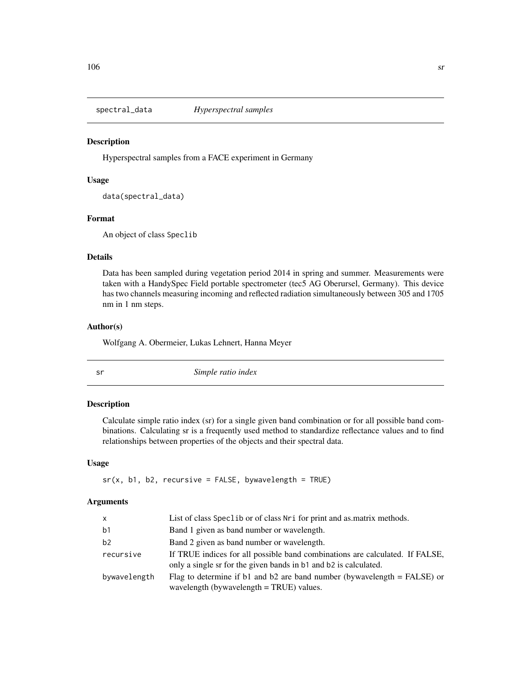#### **Description**

Hyperspectral samples from a FACE experiment in Germany

# Usage

```
data(spectral_data)
```
# Format

An object of class Speclib

# Details

Data has been sampled during vegetation period 2014 in spring and summer. Measurements were taken with a HandySpec Field portable spectrometer (tec5 AG Oberursel, Germany). This device has two channels measuring incoming and reflected radiation simultaneously between 305 and 1705 nm in 1 nm steps.

#### Author(s)

Wolfgang A. Obermeier, Lukas Lehnert, Hanna Meyer

sr *Simple ratio index*

# Description

Calculate simple ratio index (sr) for a single given band combination or for all possible band combinations. Calculating sr is a frequently used method to standardize reflectance values and to find relationships between properties of the objects and their spectral data.

# Usage

 $sr(x, b1, b2, recursive = FALSE, by wavelength = TRUE)$ 

# Arguments

| X            | List of class Speclib or of class Nri for print and as matrix methods.                                                                           |
|--------------|--------------------------------------------------------------------------------------------------------------------------------------------------|
| b1           | Band 1 given as band number or wavelength.                                                                                                       |
| b2           | Band 2 given as band number or wavelength.                                                                                                       |
| recursive    | If TRUE indices for all possible band combinations are calculated. If FALSE,<br>only a single sr for the given bands in b1 and b2 is calculated. |
| bywavelength | Flag to determine if b1 and b2 are band number (bywavelength $=$ FALSE) or<br>wavelength (bywavelength $=$ TRUE) values.                         |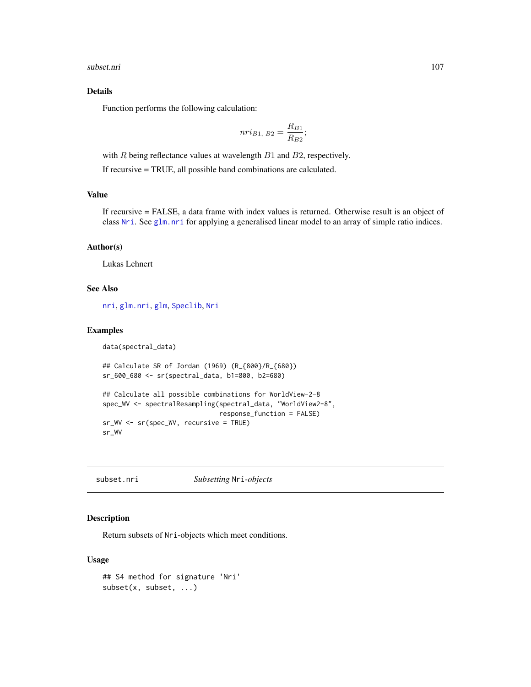subset.nri 107

# Details

Function performs the following calculation:

$$
nri_{B1, B2} = \frac{R_{B1}}{R_{B2}};
$$

with  $R$  being reflectance values at wavelength  $B1$  and  $B2$ , respectively.

If recursive = TRUE, all possible band combinations are calculated.

# Value

If recursive = FALSE, a data frame with index values is returned. Otherwise result is an object of class [Nri](#page-63-0). See [glm.nri](#page-48-0) for applying a generalised linear model to an array of simple ratio indices.

#### Author(s)

Lukas Lehnert

#### See Also

[nri](#page-62-0), [glm.nri](#page-48-0), [glm](#page-0-0), [Speclib](#page-96-0), [Nri](#page-63-0)

# Examples

```
data(spectral_data)
```

```
## Calculate SR of Jordan (1969) (R_{800}/R_{680})
sr_600_680 <- sr(spectral_data, b1=800, b2=680)
```

```
## Calculate all possible combinations for WorldView-2-8
spec_WV <- spectralResampling(spectral_data, "WorldView2-8",
                              response_function = FALSE)
sr_WV <- sr(spec_WV, recursive = TRUE)
sr_WV
```
subset.nri *Subsetting* Nri*-objects*

# Description

Return subsets of Nri-objects which meet conditions.

#### Usage

```
## S4 method for signature 'Nri'
subset(x, subset, ...)
```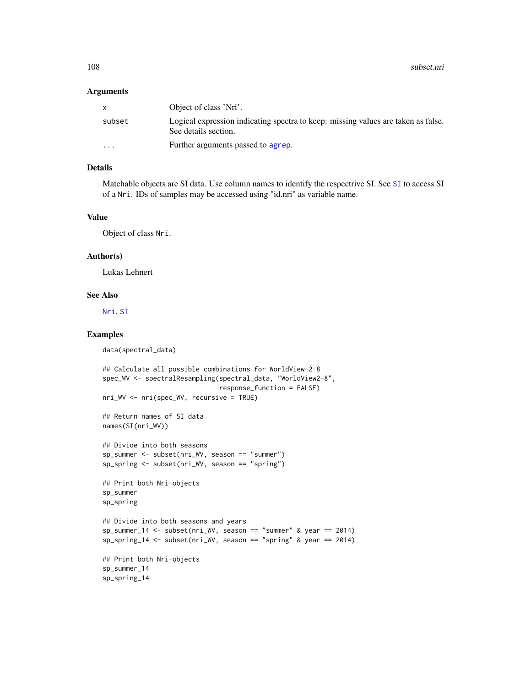108 subset.nri

#### **Arguments**

|          | Object of class 'Nri'.                                                                                    |
|----------|-----------------------------------------------------------------------------------------------------------|
| subset   | Logical expression indicating spectra to keep: missing values are taken as false.<br>See details section. |
| $\cdots$ | Further arguments passed to agrep.                                                                        |

# Details

Matchable objects are SI data. Use column names to identify the respectrive SI. See [SI](#page-85-1) to access SI of a Nri. IDs of samples may be accessed using "id.nri" as variable name.

#### Value

Object of class Nri.

#### Author(s)

Lukas Lehnert

# See Also

[Nri](#page-63-0), [SI](#page-85-1)

# Examples

```
data(spectral_data)
```

```
## Calculate all possible combinations for WorldView-2-8
spec_WV <- spectralResampling(spectral_data, "WorldView2-8",
                              response_function = FALSE)
nri_WV <- nri(spec_WV, recursive = TRUE)
## Return names of SI data
names(SI(nri_WV))
## Divide into both seasons
sp_summer <- subset(nri_WV, season == "summer")
sp_spring <- subset(nri_WV, season == "spring")
## Print both Nri-objects
sp_summer
sp_spring
## Divide into both seasons and years
sp_summer_14 <- subset(nri_WV, season == "summer" & year == 2014)
sp\_spring_14 \leftarrow subset(nri_WV, season == "spring" & year == 2014)## Print both Nri-objects
sp_summer_14
sp_spring_14
```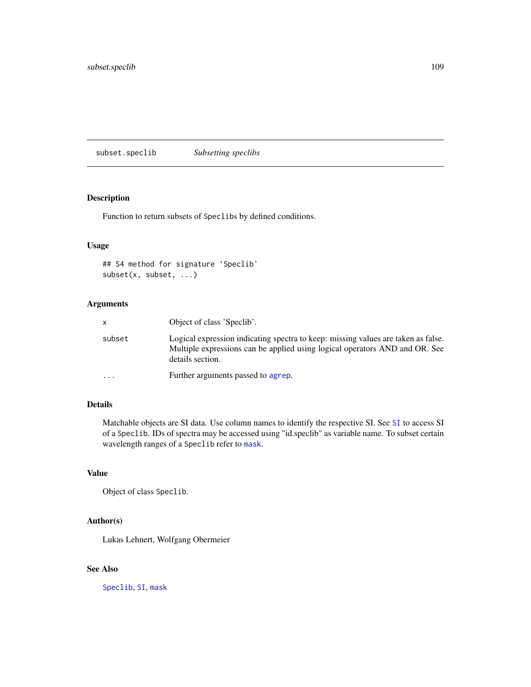<span id="page-108-0"></span>subset.speclib *Subsetting speclibs*

# Description

Function to return subsets of Speclibs by defined conditions.

# Usage

```
## S4 method for signature 'Speclib'
subset(x, subset, ...)
```
# Arguments

| X         | Object of class 'Speclib'.                                                                                                                                                           |
|-----------|--------------------------------------------------------------------------------------------------------------------------------------------------------------------------------------|
| subset    | Logical expression indicating spectra to keep: missing values are taken as false.<br>Multiple expressions can be applied using logical operators AND and OR. See<br>details section. |
| $\ddotsc$ | Further arguments passed to agrep.                                                                                                                                                   |

# Details

Matchable objects are SI data. Use column names to identify the respective SI. See [SI](#page-85-0) to access SI of a Speclib. IDs of spectra may be accessed using "id.speclib" as variable name. To subset certain wavelength ranges of a Speclib refer to [mask](#page-57-0).

# Value

Object of class Speclib.

# Author(s)

Lukas Lehnert, Wolfgang Obermeier

# See Also

[Speclib](#page-96-0), [SI](#page-85-0), [mask](#page-57-0)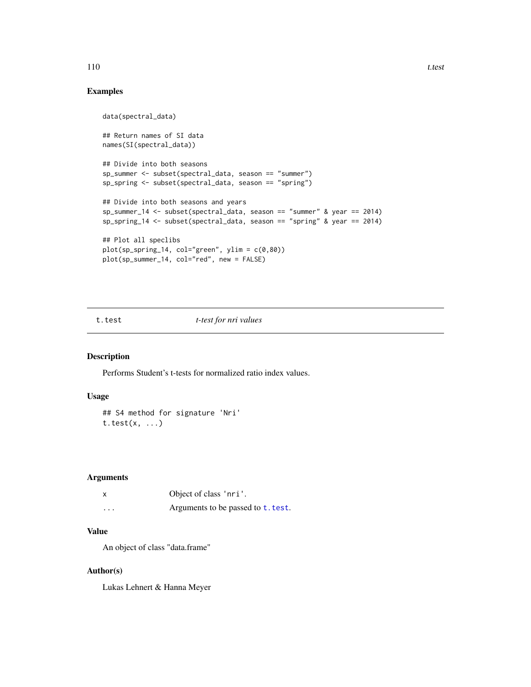# Examples

```
data(spectral_data)
## Return names of SI data
names(SI(spectral_data))
## Divide into both seasons
sp_summer <- subset(spectral_data, season == "summer")
sp_spring <- subset(spectral_data, season == "spring")
## Divide into both seasons and years
sp_summer_14 <- subset(spectral_data, season == "summer" & year == 2014)
sp_spring_14 <- subset(spectral_data, season == "spring" & year == 2014)
## Plot all speclibs
plot(sp_spring_14, col="green", ylim = c(0,80))plot(sp_summer_14, col="red", new = FALSE)
```
<span id="page-109-0"></span>t.test *t-test for nri values*

# Description

Performs Student's t-tests for normalized ratio index values.

# Usage

```
## S4 method for signature 'Nri'
t.test(x, \ldots)
```
# Arguments

|          | Object of class 'nri'.             |
|----------|------------------------------------|
| $\cdots$ | Arguments to be passed to t. test. |

# Value

An object of class "data.frame"

# Author(s)

Lukas Lehnert & Hanna Meyer

<span id="page-109-1"></span>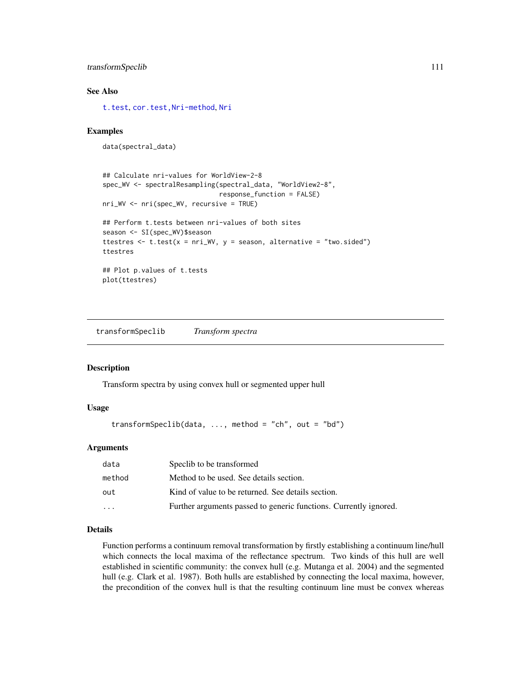# <span id="page-110-1"></span>transformSpeclib 111

# See Also

[t.test](#page-109-0), [cor.test,Nri-method](#page-0-0), [Nri](#page-63-0)

# Examples

```
data(spectral_data)
```

```
## Calculate nri-values for WorldView-2-8
spec_WV <- spectralResampling(spectral_data, "WorldView2-8",
                              response_function = FALSE)
nri_WV <- nri(spec_WV, recursive = TRUE)
## Perform t.tests between nri-values of both sites
season <- SI(spec_WV)$season
ttestres \le t.test(x = nri_WV, y = season, alternative = "two.sided")
ttestres
## Plot p.values of t.tests
plot(ttestres)
```
<span id="page-110-0"></span>transformSpeclib *Transform spectra*

#### Description

Transform spectra by using convex hull or segmented upper hull

#### Usage

```
transformSpeclib(data, ..., method = "ch", out = "bd")
```
# Arguments

| data      | Specib to be transformed                                          |
|-----------|-------------------------------------------------------------------|
| method    | Method to be used. See details section.                           |
| out       | Kind of value to be returned. See details section.                |
| $\ddotsc$ | Further arguments passed to generic functions. Currently ignored. |

# Details

Function performs a continuum removal transformation by firstly establishing a continuum line/hull which connects the local maxima of the reflectance spectrum. Two kinds of this hull are well established in scientific community: the convex hull (e.g. Mutanga et al. 2004) and the segmented hull (e.g. Clark et al. 1987). Both hulls are established by connecting the local maxima, however, the precondition of the convex hull is that the resulting continuum line must be convex whereas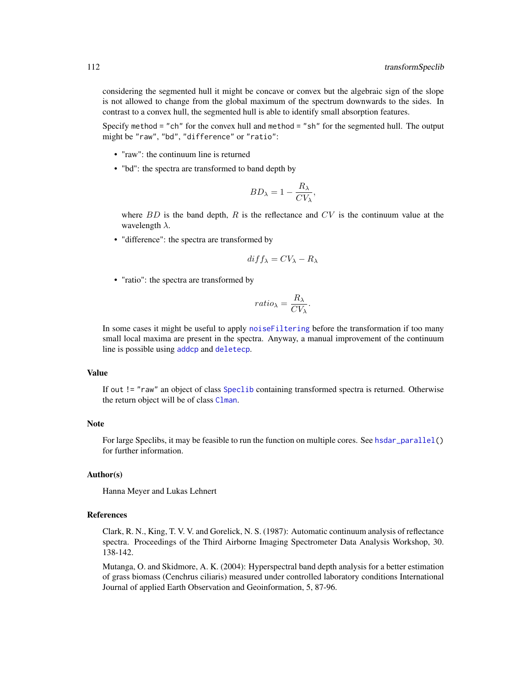<span id="page-111-0"></span>considering the segmented hull it might be concave or convex but the algebraic sign of the slope is not allowed to change from the global maximum of the spectrum downwards to the sides. In contrast to a convex hull, the segmented hull is able to identify small absorption features.

Specify method = "ch" for the convex hull and method = "sh" for the segmented hull. The output might be "raw", "bd", "difference" or "ratio":

- "raw": the continuum line is returned
- "bd": the spectra are transformed to band depth by

$$
BD_{\lambda} = 1 - \frac{R_{\lambda}}{CV_{\lambda}},
$$

where  $BD$  is the band depth,  $R$  is the reflectance and  $CV$  is the continuum value at the wavelength  $\lambda$ .

• "difference": the spectra are transformed by

$$
diff_{\lambda} = CV_{\lambda} - R_{\lambda}
$$

• "ratio": the spectra are transformed by

$$
ratio_{\lambda} = \frac{R_{\lambda}}{CV_{\lambda}}.
$$

In some cases it might be useful to apply [noiseFiltering](#page-60-0) before the transformation if too many small local maxima are present in the spectra. Anyway, a manual improvement of the continuum line is possible using [addcp](#page-4-0) and [deletecp](#page-31-0).

#### Value

If out != "raw" an object of class [Speclib](#page-96-0) containing transformed spectra is returned. Otherwise the return object will be of class [Clman](#page-26-0).

# Note

For large Speclibs, it may be feasible to run the function on multiple cores. See [hsdar\\_parallel\(](#page-50-0)) for further information.

# Author(s)

Hanna Meyer and Lukas Lehnert

#### References

Clark, R. N., King, T. V. V. and Gorelick, N. S. (1987): Automatic continuum analysis of reflectance spectra. Proceedings of the Third Airborne Imaging Spectrometer Data Analysis Workshop, 30. 138-142.

Mutanga, O. and Skidmore, A. K. (2004): Hyperspectral band depth analysis for a better estimation of grass biomass (Cenchrus ciliaris) measured under controlled laboratory conditions International Journal of applied Earth Observation and Geoinformation, 5, 87-96.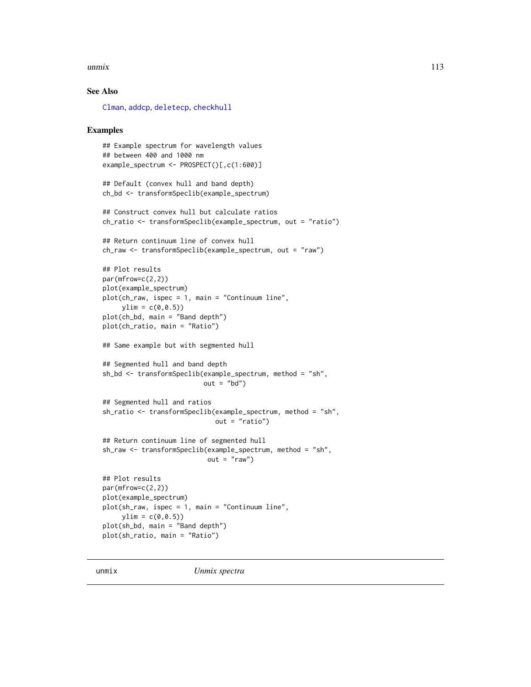#### <span id="page-112-0"></span> $\mu$ unmix  $\frac{113}{2}$

# See Also

[Clman](#page-26-0), [addcp](#page-4-0), [deletecp](#page-31-0), [checkhull](#page-23-0)

#### Examples

```
## Example spectrum for wavelength values
## between 400 and 1000 nm
example_spectrum <- PROSPECT()[,c(1:600)]
## Default (convex hull and band depth)
ch_bd <- transformSpeclib(example_spectrum)
## Construct convex hull but calculate ratios
ch_ratio <- transformSpeclib(example_spectrum, out = "ratio")
## Return continuum line of convex hull
ch_raw <- transformSpeclib(example_spectrum, out = "raw")
## Plot results
par(mfrow=c(2,2))
plot(example_spectrum)
plot(ch_raw, ispec = 1, main = "Continuum line",
     ylim = c(0, 0.5)plot(ch_bd, main = "Band depth")
plot(ch_ratio, main = "Ratio")
## Same example but with segmented hull
## Segmented hull and band depth
sh_bd <- transformSpeclib(example_spectrum, method = "sh",
                          out = "bd")## Segmented hull and ratios
sh_ratio <- transformSpeclib(example_spectrum, method = "sh",
                             out = "ratio")## Return continuum line of segmented hull
sh_raw <- transformSpeclib(example_spectrum, method = "sh",
                           out = "raw")## Plot results
par(mfrow=c(2,2))
plot(example_spectrum)
plot(sh_raw, ispec = 1, main = "Continuum line",
     ylim = c(0, 0.5)plot(sh_bd, main = "Band depth")
plot(sh_ratio, main = "Ratio")
```
unmix *Unmix spectra*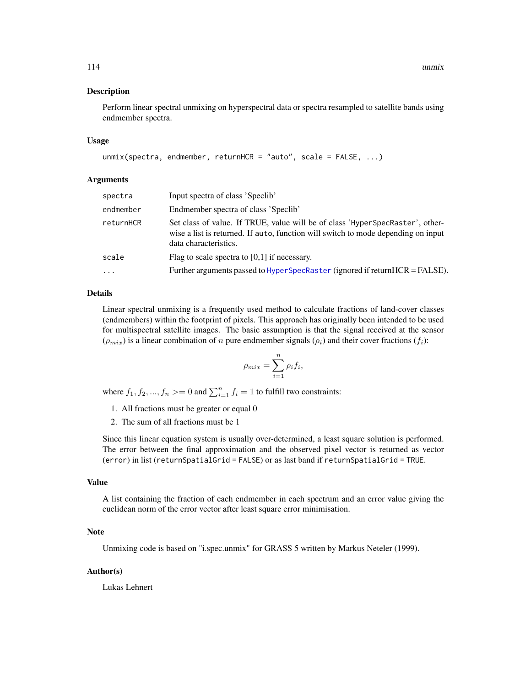#### <span id="page-113-0"></span>Description

Perform linear spectral unmixing on hyperspectral data or spectra resampled to satellite bands using endmember spectra.

#### Usage

```
unmix(spectra, endmember, returnHCR = "auto", scale = FALSE, ...)
```
#### **Arguments**

| spectra   | Input spectra of class 'Speclib'                                                                                                                                                            |
|-----------|---------------------------------------------------------------------------------------------------------------------------------------------------------------------------------------------|
| endmember | Endmember spectra of class 'Speclib'                                                                                                                                                        |
| returnHCR | Set class of value. If TRUE, value will be of class 'HyperSpecRaster', other-<br>wise a list is returned. If auto, function will switch to mode depending on input<br>data characteristics. |
| scale     | Flag to scale spectra to $[0,1]$ if necessary.                                                                                                                                              |
| $\cdots$  | Further arguments passed to $HyperspecRaster$ (ignored if return $HCR = FALSE$ ).                                                                                                           |

#### Details

Linear spectral unmixing is a frequently used method to calculate fractions of land-cover classes (endmembers) within the footprint of pixels. This approach has originally been intended to be used for multispectral satellite images. The basic assumption is that the signal received at the sensor  $(\rho_{mix})$  is a linear combination of n pure endmember signals  $(\rho_i)$  and their cover fractions  $(f_i)$ :

$$
\rho_{mix} = \sum_{i=1}^{n} \rho_i f_i,
$$

where  $f_1, f_2, ..., f_n >= 0$  and  $\sum_{i=1}^n f_i = 1$  to fulfill two constraints:

- 1. All fractions must be greater or equal 0
- 2. The sum of all fractions must be 1

Since this linear equation system is usually over-determined, a least square solution is performed. The error between the final approximation and the observed pixel vector is returned as vector (error) in list (returnSpatialGrid = FALSE) or as last band if returnSpatialGrid = TRUE.

# Value

A list containing the fraction of each endmember in each spectrum and an error value giving the euclidean norm of the error vector after least square error minimisation.

# Note

Unmixing code is based on "i.spec.unmix" for GRASS 5 written by Markus Neteler (1999).

#### Author(s)

Lukas Lehnert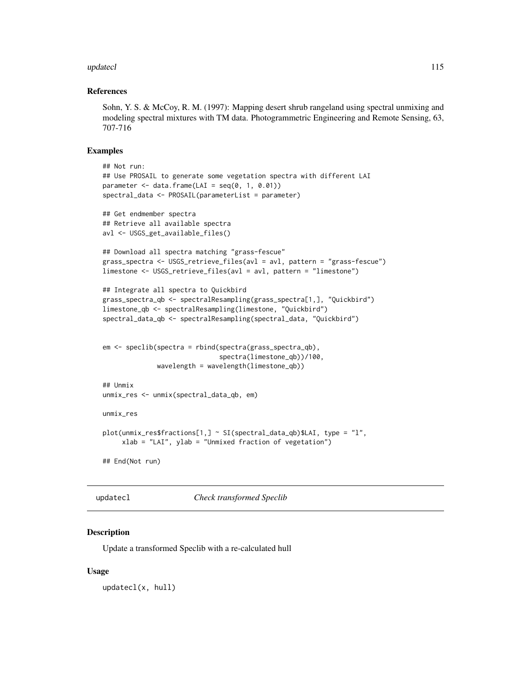#### <span id="page-114-1"></span>updatecl and the contract of the contract of the contract of the contract of the contract of the contract of the contract of the contract of the contract of the contract of the contract of the contract of the contract of t

#### References

Sohn, Y. S. & McCoy, R. M. (1997): Mapping desert shrub rangeland using spectral unmixing and modeling spectral mixtures with TM data. Photogrammetric Engineering and Remote Sensing, 63, 707-716

#### Examples

```
## Not run:
## Use PROSAIL to generate some vegetation spectra with different LAI
parameter \leq data.frame(LAI = seq(0, 1, 0.01))
spectral_data <- PROSAIL(parameterList = parameter)
## Get endmember spectra
## Retrieve all available spectra
avl <- USGS_get_available_files()
## Download all spectra matching "grass-fescue"
grass_spectra <- USGS_retrieve_files(avl = avl, pattern = "grass-fescue")
limestone <- USGS_retrieve_files(avl = avl, pattern = "limestone")
## Integrate all spectra to Quickbird
grass_spectra_qb <- spectralResampling(grass_spectra[1,], "Quickbird")
limestone_qb <- spectralResampling(limestone, "Quickbird")
spectral_data_qb <- spectralResampling(spectral_data, "Quickbird")
em <- speclib(spectra = rbind(spectra(grass_spectra_qb),
                              spectra(limestone_qb))/100,
             wavelength = wavelength(limestone_qb))
## Unmix
unmix_res <- unmix(spectral_data_qb, em)
unmix_res
plot(unmix_res$fractions[1,] ~ SI(spectral_data_qb)$LAI, type = "l",
     xlab = "LAI", ylab = "Unmixed fraction of vegetation")## End(Not run)
```
<span id="page-114-0"></span>

updatecl *Check transformed Speclib*

# Description

Update a transformed Speclib with a re-calculated hull

#### Usage

updatecl(x, hull)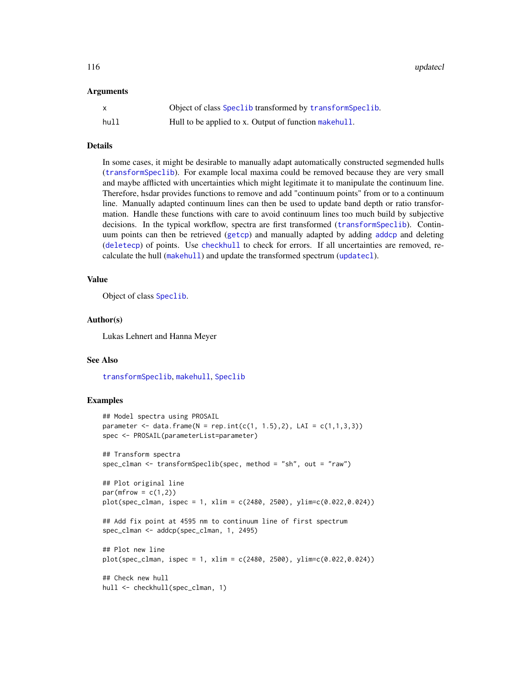<span id="page-115-0"></span>116 updatecle and the set of the set of the set of the set of the set of the set of the set of the set of the set of the set of the set of the set of the set of the set of the set of the set of the set of the set of the se

#### Arguments

| X    | Object of class Speclib transformed by transformSpeclib. |
|------|----------------------------------------------------------|
| hull | Hull to be applied to x. Output of function make hull.   |

#### Details

In some cases, it might be desirable to manually adapt automatically constructed segmended hulls ([transformSpeclib](#page-110-0)). For example local maxima could be removed because they are very small and maybe afflicted with uncertainties which might legitimate it to manipulate the continuum line. Therefore, hsdar provides functions to remove and add "continuum points" from or to a continuum line. Manually adapted continuum lines can then be used to update band depth or ratio transformation. Handle these functions with care to avoid continuum lines too much build by subjective decisions. In the typical workflow, spectra are first transformed ([transformSpeclib](#page-110-0)). Continuum points can then be retrieved ([getcp](#page-45-0)) and manually adapted by adding [addcp](#page-4-0) and deleting ([deletecp](#page-31-0)) of points. Use [checkhull](#page-23-0) to check for errors. If all uncertainties are removed, recalculate the hull ([makehull](#page-55-0)) and update the transformed spectrum ([updatecl](#page-114-0)).

#### Value

Object of class [Speclib](#page-96-0).

# Author(s)

Lukas Lehnert and Hanna Meyer

# See Also

[transformSpeclib](#page-110-0), [makehull](#page-55-0), [Speclib](#page-96-0)

#### Examples

```
## Model spectra using PROSAIL
parameter <- data.frame(N = rep.int(c(1, 1.5), 2), LAI = c(1, 1, 3, 3))
spec <- PROSAIL(parameterList=parameter)
## Transform spectra
spec_clman <- transformSpeclib(spec, method = "sh", out = "raw")
## Plot original line
par(mfrow = c(1,2))plot(spec_clman, ispec = 1, xlim = c(2480, 2500), ylim=c(0.022,0.024))
## Add fix point at 4595 nm to continuum line of first spectrum
spec_clman <- addcp(spec_clman, 1, 2495)
## Plot new line
plot(spec_clman, ispec = 1, xlim = c(2480, 2500), ylim = c(0.022, 0.024))## Check new hull
hull <- checkhull(spec_clman, 1)
```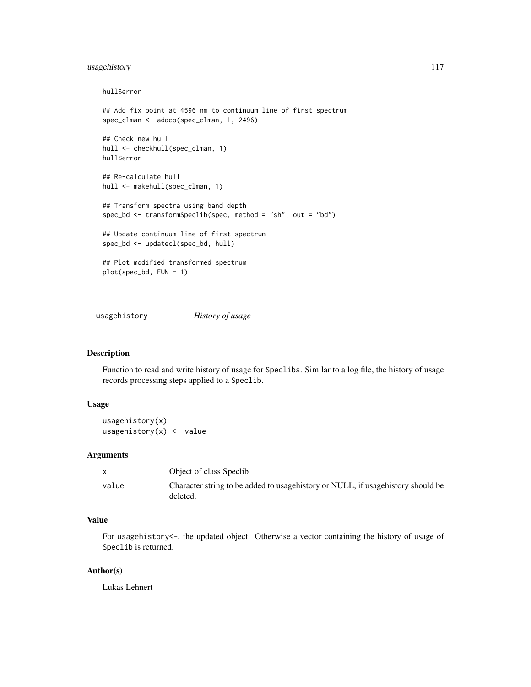# <span id="page-116-0"></span>usagehistory 117

```
hull$error
## Add fix point at 4596 nm to continuum line of first spectrum
spec_clman <- addcp(spec_clman, 1, 2496)
## Check new hull
hull <- checkhull(spec_clman, 1)
hull$error
## Re-calculate hull
hull <- makehull(spec_clman, 1)
## Transform spectra using band depth
spec_bd <- transformSpeclib(spec, method = "sh", out = "bd")
## Update continuum line of first spectrum
spec_bd <- updatecl(spec_bd, hull)
## Plot modified transformed spectrum
plot(spec_bd, FUN = 1)
```
usagehistory *History of usage*

# Description

Function to read and write history of usage for Speclibs. Similar to a log file, the history of usage records processing steps applied to a Speclib.

# Usage

```
usagehistory(x)
usagehistory(x) <- value
```
### Arguments

|       | Object of class Speclib                                                                       |
|-------|-----------------------------------------------------------------------------------------------|
| value | Character string to be added to usage history or NULL, if usage history should be<br>deleted. |

# Value

For usagehistory<-, the updated object. Otherwise a vector containing the history of usage of Speclib is returned.

#### Author(s)

Lukas Lehnert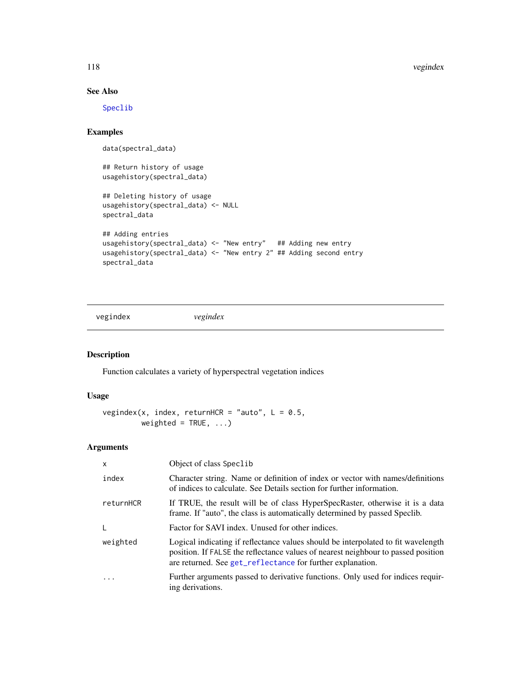118 vegindex vegindex vegindex vegindex vegindex vegindex vegindex vegindex vegindex vegindex vegindex vegindex vegindex vegindex vegindex vegindex vegindex vegindex vegindex vegindex vegindex vegindex vegindex vegindex ve

# See Also

[Speclib](#page-96-0)

# Examples

data(spectral\_data)

## Return history of usage usagehistory(spectral\_data)

```
## Deleting history of usage
usagehistory(spectral_data) <- NULL
spectral_data
```

```
## Adding entries
usagehistory(spectral_data) <- "New entry" ## Adding new entry
usagehistory(spectral_data) <- "New entry 2" ## Adding second entry
spectral_data
```
<span id="page-117-0"></span>vegindex *vegindex*

# Description

Function calculates a variety of hyperspectral vegetation indices

# Usage

```
vegindex(x, index, returnHCR = "auto", L = 0.5,
        weighted = TRUE, ...)
```
# Arguments

| $\mathsf{x}$            | Object of class Speclib                                                                                                                                                                                                              |
|-------------------------|--------------------------------------------------------------------------------------------------------------------------------------------------------------------------------------------------------------------------------------|
| index                   | Character string. Name or definition of index or vector with names/definitions<br>of indices to calculate. See Details section for further information.                                                                              |
| returnHCR               | If TRUE, the result will be of class HyperSpecRaster, otherwise it is a data<br>frame. If "auto", the class is automatically determined by passed Speclib.                                                                           |
| L                       | Factor for SAVI index. Unused for other indices.                                                                                                                                                                                     |
| weighted                | Logical indicating if reflectance values should be interpolated to fit wavelength<br>position. If FALSE the reflectance values of nearest neighbour to passed position<br>are returned. See get_reflectance for further explanation. |
| $\cdot$ $\cdot$ $\cdot$ | Further arguments passed to derivative functions. Only used for indices requir-<br>ing derivations.                                                                                                                                  |

<span id="page-117-1"></span>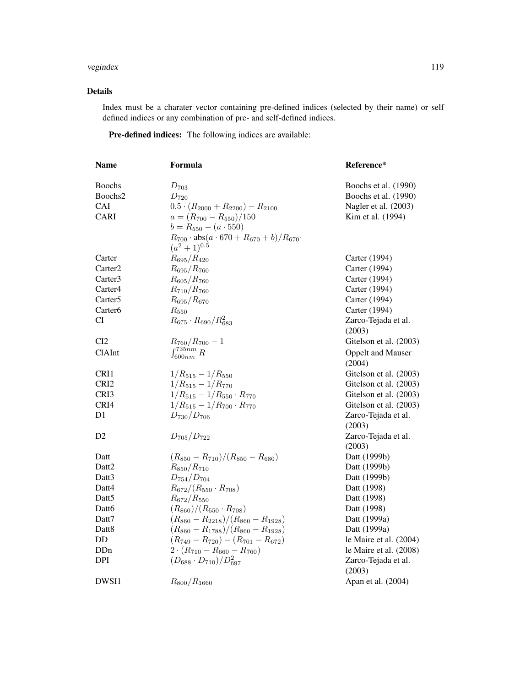#### vegindex 119

# Details

Index must be a charater vector containing pre-defined indices (selected by their name) or self defined indices or any combination of pre- and self-defined indices.

Pre-defined indices: The following indices are available:

| <b>Name</b>         | Formula                                                                                | Reference*                         |
|---------------------|----------------------------------------------------------------------------------------|------------------------------------|
| <b>Boochs</b>       | $D_{703}$                                                                              | Boochs et al. (1990)               |
| Boochs2             | $D_{720}$                                                                              | Boochs et al. (1990)               |
| CAI                 | $0.5 \cdot (R_{2000} + R_{2200}) - R_{2100}$                                           | Nagler et al. (2003)               |
| <b>CARI</b>         | $a = (R_{700} - R_{550})/150$                                                          | Kim et al. (1994)                  |
|                     | $b = R_{550} - (a \cdot 550)$                                                          |                                    |
|                     | $R_{700} \cdot \text{abs}(a \cdot 670 + R_{670} + b)/R_{670} \cdot$<br>$(a^2+1)^{0.5}$ |                                    |
| Carter              | $R_{695}/R_{420}$                                                                      | Carter (1994)                      |
| Carter <sub>2</sub> | $R_{695}/R_{760}$                                                                      | Carter (1994)                      |
| Carter <sub>3</sub> | $R_{605}/R_{760}$                                                                      | Carter (1994)                      |
| Carter <sub>4</sub> | $R_{710}/R_{760}$                                                                      | Carter (1994)                      |
| Carter <sub>5</sub> | $R_{695}/R_{670}$                                                                      | Carter (1994)                      |
| Carter <sub>6</sub> | $R_{550}$                                                                              | Carter (1994)                      |
| <b>CI</b>           | $R_{675} \cdot R_{690} / R_{683}^2$                                                    | Zarco-Tejada et al.                |
|                     |                                                                                        | (2003)                             |
| CI2                 | $R_{760}/R_{700}-1$                                                                    | Gitelson et al. (2003)             |
| ClAInt              | $\int_{600nm}^{735nm} R$                                                               | <b>Oppelt and Mauser</b><br>(2004) |
| CRI1                | $1/R_{515} - 1/R_{550}$                                                                | Gitelson et al. (2003)             |
| CRI <sub>2</sub>    | $1/R_{515} - 1/R_{770}$                                                                | Gitelson et al. (2003)             |
| CRI3                | $1/R_{515} - 1/R_{550} \cdot R_{770}$                                                  | Gitelson et al. (2003)             |
| CRI4                | $1/R_{515} - 1/R_{700} \cdot R_{770}$                                                  | Gitelson et al. (2003)             |
| D1                  | $D_{730}/D_{706}$                                                                      | Zarco-Tejada et al.                |
|                     |                                                                                        | (2003)                             |
| D <sub>2</sub>      | $D_{705}/D_{722}$                                                                      | Zarco-Tejada et al.                |
|                     |                                                                                        | (2003)                             |
| Datt                | $(R_{850}-R_{710})/(R_{850}-R_{680})$                                                  | Datt (1999b)                       |
| Datt <sub>2</sub>   | $R_{850}/R_{710}$                                                                      | Datt (1999b)                       |
| Datt3               | $D_{754}/D_{704}$                                                                      | Datt (1999b)                       |
| Datt4               | $R_{672}/(R_{550} \cdot R_{708})$                                                      | Datt (1998)                        |
| Datt <sub>5</sub>   | $R_{672}/R_{550}$                                                                      | Datt (1998)                        |
| Datt6               | $(R_{860})/(R_{550} \cdot R_{708})$                                                    | Datt (1998)                        |
| Datt7               | $(R_{860} - R_{2218})/(R_{860} - R_{1928})$                                            | Datt (1999a)                       |
| Datt <sub>8</sub>   | $(R_{860}-R_{1788})/(R_{860}-R_{1928})$                                                | Datt (1999a)                       |
| DD                  | $(R_{749} - R_{720}) - (R_{701} - R_{672})$                                            | le Maire et al. (2004)             |
| DDn                 | $2 \cdot (R_{710} - R_{660} - R_{760})$                                                | le Maire et al. (2008)             |
| <b>DPI</b>          | $(D_{688} \cdot D_{710})/D_{697}^2$                                                    | Zarco-Tejada et al.<br>(2003)      |
| DWSI1               | $R_{800}/R_{1660}$                                                                     | Apan et al. (2004)                 |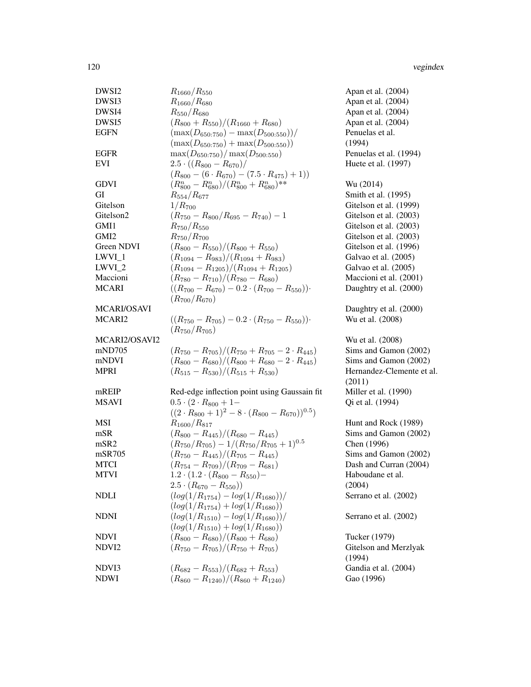| DWSI2             | $R_{1660}/R_{550}$                                               | Apan et al. (2004)        |
|-------------------|------------------------------------------------------------------|---------------------------|
| DWSI3             | $R_{1660}/R_{680}$                                               | Apan et al. (2004)        |
| DWSI4             | $R_{550}/R_{680}$                                                | Apan et al. (2004)        |
| DWSI5             | $(R_{800}+R_{550})/(R_{1660}+R_{680})$                           | Apan et al. (2004)        |
| <b>EGFN</b>       | $(\max(D_{650:750}) - \max(D_{500:550}))/$                       | Penuelas et al.           |
|                   | $(\max(D_{650:750}) + \max(D_{500:550}))$                        | (1994)                    |
| <b>EGFR</b>       | $\max(D_{650:750})/\max(D_{500:550})$                            | Penuelas et al. (1994)    |
| <b>EVI</b>        | $2.5 \cdot ((R_{800} - R_{670})/$                                | Huete et al. (1997)       |
|                   | $(R_{800} - (6 \cdot R_{670}) - (7.5 \cdot R_{475}) + 1))$       |                           |
| <b>GDVI</b>       | $(R_{800}^n - R_{680}^n)/(R_{800}^n + R_{680}^n)^{**}$           | Wu (2014)                 |
| GI                | $R_{554}/R_{677}$                                                | Smith et al. (1995)       |
| Gitelson          | $1/R_{700}$                                                      | Gitelson et al. (1999)    |
| Gitelson2         | $(R_{750} - R_{800}/R_{695} - R_{740}) - 1$                      | Gitelson et al. (2003)    |
| GMI1              | $R_{750}/R_{550}$                                                | Gitelson et al. (2003)    |
| GMI <sub>2</sub>  | $R_{750}/R_{700}$                                                | Gitelson et al. (2003)    |
| Green NDVI        | $(R_{800}-R_{550})/(R_{800}+R_{550})$                            | Gitelson et al. (1996)    |
| $LWVI_1$          | $(R_{1094}-R_{983})/(R_{1094}+R_{983})$                          | Galvao et al. (2005)      |
| LWVI_2            | $(R_{1094}-R_{1205})/(R_{1094}+R_{1205})$                        | Galvao et al. (2005)      |
| Maccioni          | $(R_{780}-R_{710})/(R_{780}-R_{680})$                            | Maccioni et al. (2001)    |
| <b>MCARI</b>      | $((R_{700}-R_{670})-0.2\cdot(R_{700}-R_{550}))\cdot$             | Daughtry et al. (2000)    |
|                   | $(R_{700}/R_{670})$                                              |                           |
| MCARI/OSAVI       |                                                                  | Daughtry et al. (2000)    |
| MCARI2            | $((R_{750} - R_{705}) - 0.2 \cdot (R_{750} - R_{550}))$          | Wu et al. (2008)          |
|                   | $(R_{750}/R_{705})$                                              |                           |
| MCARI2/OSAVI2     |                                                                  | Wu et al. (2008)          |
| mND705            | $(R_{750}-R_{705})/(R_{750}+R_{705}-2\cdot R_{445})$             | Sims and Gamon (2002)     |
| mNDVI             | $(R_{800} - R_{680})/(R_{800} + R_{680} - 2 \cdot R_{445})$      | Sims and Gamon (2002)     |
| <b>MPRI</b>       | $(R_{515}-R_{530})/(R_{515}+R_{530})$                            | Hernandez-Clemente et al. |
|                   |                                                                  | (2011)                    |
| mREIP             | Red-edge inflection point using Gaussain fit                     | Miller et al. (1990)      |
| <b>MSAVI</b>      | $0.5 \cdot (2 \cdot R_{800} + 1 -$                               | Qi et al. (1994)          |
|                   | $((2 \cdot R_{800} + 1)^2 - 8 \cdot (R_{800} - R_{670}))^{0.5})$ |                           |
| MSI               | $R_{1600}/R_{817}$                                               | Hunt and Rock (1989)      |
| mSR               | $(R_{800}-R_{445})/(R_{680}-R_{445})$                            | Sims and Gamon (2002)     |
| mSR <sub>2</sub>  | $(R_{750}/R_{705}) - 1/(R_{750}/R_{705} + 1)^{0.5}$              | Chen (1996)               |
| mSR705            | $(R_{750}-R_{445})/(R_{705}-R_{445})$                            | Sims and Gamon (2002)     |
| <b>MTCI</b>       | $(R_{754}-R_{709})/(R_{709}-R_{681})$                            | Dash and Curran (2004)    |
| <b>MTVI</b>       | $1.2 \cdot (1.2 \cdot (R_{800} - R_{550}) -$                     | Haboudane et al.          |
|                   | $2.5 \cdot (R_{670} - R_{550})$                                  | (2004)                    |
| <b>NDLI</b>       | $(log(1/R_{1754}) - log(1/R_{1680}))/$                           | Serrano et al. (2002)     |
|                   | $(log(1/R_{1754}) + log(1/R_{1680}))$                            |                           |
| <b>NDNI</b>       | $(log(1/R_{1510}) - log(1/R_{1680}))/$                           | Serrano et al. (2002)     |
|                   | $(log(1/R_{1510}) + log(1/R_{1680}))$                            |                           |
| <b>NDVI</b>       | $(R_{800} - R_{680})/(R_{800} + R_{680})$                        | Tucker (1979)             |
| NDVI <sub>2</sub> | $(R_{750}-R_{705})/(R_{750}+R_{705})$                            | Gitelson and Merzlyak     |
|                   |                                                                  | (1994)                    |
| NDVI3             | $(R_{682}-R_{553})/(R_{682}+R_{553})$                            | Gandia et al. (2004)      |
| <b>NDWI</b>       | $(R_{860} - R_{1240})/(R_{860} + R_{1240})$                      | Gao (1996)                |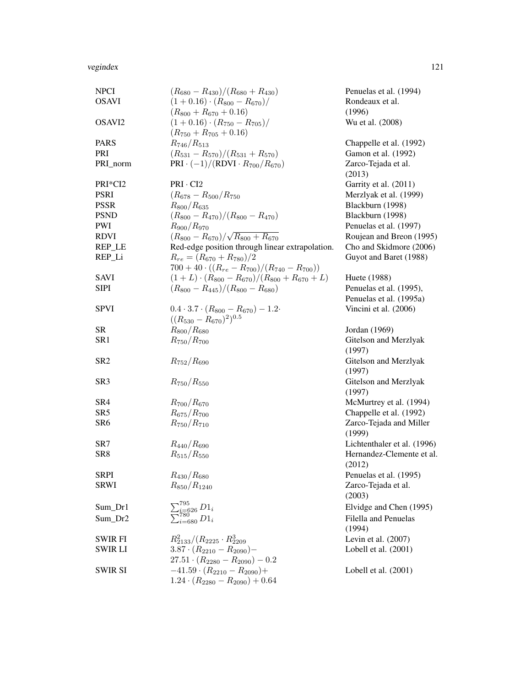#### vegindex 121

| <b>NPCI</b>        | $(R_{680}-R_{430})/(R_{680}+R_{430})$                     | Penuelas et al. (1994)        |
|--------------------|-----------------------------------------------------------|-------------------------------|
| <b>OSAVI</b>       | $(1+0.16) \cdot (R_{800}-R_{670})/$                       | Rondeaux et al.               |
|                    | $(R_{800} + R_{670} + 0.16)$                              | (1996)                        |
| OSAVI <sub>2</sub> | $(1+0.16) \cdot (R_{750}-R_{705})/$                       | Wu et al. (2008)              |
|                    | $(R_{750} + R_{705} + 0.16)$                              |                               |
| <b>PARS</b>        | $R_{746}/R_{513}$                                         | Chappelle et al. (1992)       |
| PRI                | $(R_{531}-R_{570})/(R_{531}+R_{570})$                     | Gamon et al. (1992)           |
| PRI_norm           | $PRI \cdot (-1)/(RDVI \cdot R_{700}/R_{670})$             | Zarco-Tejada et al.<br>(2013) |
| PRI*CI2            | $PRI \cdot CI2$                                           | Garrity et al. (2011)         |
| <b>PSRI</b>        | $(R_{678}-R_{500}/R_{750})$                               | Merzlyak et al. (1999)        |
| <b>PSSR</b>        | $R_{800}/R_{635}$                                         | Blackburn (1998)              |
| <b>PSND</b>        | $(R_{800}-R_{470})/(R_{800}-R_{470})$                     | Blackburn (1998)              |
| PWI                | $R_{900}/R_{970}$                                         | Penuelas et al. (1997)        |
| <b>RDVI</b>        | $(R_{800}-R_{670})/\sqrt{R_{800}+R_{670}}$                | Roujean and Breon (1995)      |
| REP_LE             | Red-edge position through linear extrapolation.           | Cho and Skidmore (2006)       |
| REP_Li             | $R_{re} = (R_{670} + R_{780})/2$                          | Guyot and Baret (1988)        |
|                    | $700 + 40 \cdot ((R_{re} - R_{700})/(R_{740} - R_{700}))$ |                               |
| <b>SAVI</b>        | $(1+L)\cdot (R_{800}-R_{670})/(R_{800}+R_{670}+L)$        | Huete (1988)                  |
| <b>SIPI</b>        | $(R_{800} - R_{445})/(R_{800} - R_{680})$                 | Penuelas et al. (1995),       |
|                    |                                                           | Penuelas et al. (1995a)       |
| <b>SPVI</b>        | $0.4 \cdot 3.7 \cdot (R_{800} - R_{670}) - 1.2 \cdot$     | Vincini et al. (2006)         |
|                    | $((R_{530}-R_{670})^2)^{0.5}$                             |                               |
| <b>SR</b>          | $R_{800}/R_{680}$                                         | Jordan (1969)                 |
| SR1                | $R_{750}/R_{700}$                                         | Gitelson and Merzlyak         |
|                    |                                                           | (1997)                        |
| SR <sub>2</sub>    | $R_{752}/R_{690}$                                         | Gitelson and Merzlyak         |
|                    |                                                           | (1997)                        |
| SR <sub>3</sub>    | $R_{750}/R_{550}$                                         | Gitelson and Merzlyak         |
|                    |                                                           | (1997)                        |
| SR <sub>4</sub>    | $R_{700}/R_{670}$                                         | McMurtrey et al. (1994)       |
| SR <sub>5</sub>    | $R_{675}/R_{700}$                                         | Chappelle et al. (1992)       |
| SR <sub>6</sub>    | $R_{750}/R_{710}$                                         | Zarco-Tejada and Miller       |
|                    |                                                           | (1999)                        |
| SR7                | $R_{440}/R_{690}$                                         | Lichtenthaler et al. (1996)   |
| SR <sub>8</sub>    | $R_{515}/R_{550}$                                         | Hernandez-Clemente et al.     |
|                    |                                                           | (2012)                        |
| <b>SRPI</b>        | $R_{430}/R_{680}$                                         | Penuelas et al. (1995)        |
| SRWI               | $R_{850}/R_{1240}$                                        | Zarco-Tejada et al.           |
|                    |                                                           | (2003)                        |
| Sum_Dr1            | $\sum_{i=626}^{795} D1_i \\ \sum_{i=680}^{780} D1_i$      | Elvidge and Chen (1995)       |
| $Sum_Dr2$          |                                                           | Filella and Penuelas          |
|                    |                                                           | (1994)                        |
| SWIR FI            | $R_{2133}^2/(R_{2225} \cdot R_{2209}^3)$                  | Levin et al. $(2007)$         |
| SWIR LI            | $3.87 \cdot (R_{2210} - R_{2090})$                        | Lobell et al. (2001)          |
|                    | $27.51 \cdot (R_{2280} - R_{2090}) - 0.2$                 |                               |
| <b>SWIR SI</b>     | $-41.59 \cdot (R_{2210} - R_{2090}) +$                    | Lobell et al. $(2001)$        |
|                    | $1.24 \cdot (R_{2280} - R_{2090}) + 0.64$                 |                               |
|                    |                                                           |                               |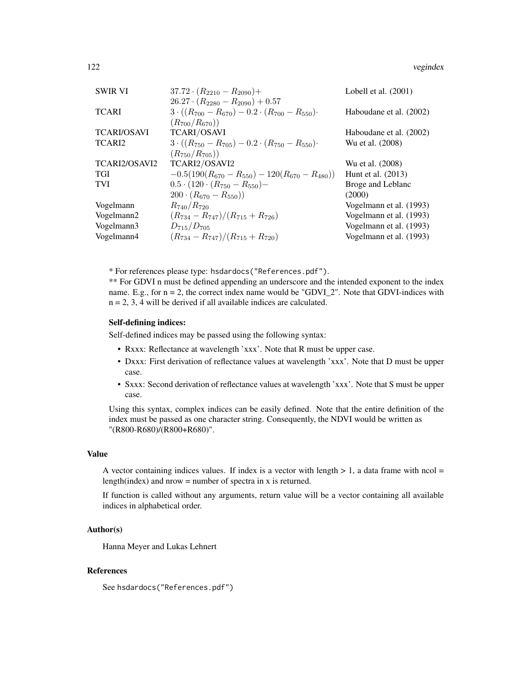| <b>SWIR VI</b>     | $37.72 \cdot (R_{2210} - R_{2090}) +$                                | Lobell et al. $(2001)$  |
|--------------------|----------------------------------------------------------------------|-------------------------|
|                    | $26.27 \cdot (R_{2280} - R_{2090}) + 0.57$                           |                         |
| TCARI              | $3 \cdot ((R_{700} - R_{670}) - 0.2 \cdot (R_{700} - R_{550}) \cdot$ | Haboudane et al. (2002) |
|                    | $(R_{700}/R_{670}))$                                                 |                         |
| <b>TCARI/OSAVI</b> | <b>TCARI/OSAVI</b>                                                   | Haboudane et al. (2002) |
| TCARI2             | $3 \cdot ((R_{750} - R_{705}) - 0.2 \cdot (R_{750} - R_{550}) \cdot$ | Wu et al. (2008)        |
|                    | $(R_{750}/R_{705}))$                                                 |                         |
| TCARI2/OSAVI2      | TCARI2/OSAVI2                                                        | Wu et al. (2008)        |
| TGI                | $-0.5(190(R_{670}-R_{550})-120(R_{670}-R_{480}))$                    | Hunt et al. (2013)      |
| TVI                | $0.5 \cdot (120 \cdot (R_{750} - R_{550}) -$                         | Broge and Leblanc       |
|                    | $(200 \cdot (R_{670} - R_{550}))$                                    | (2000)                  |
| Vogelmann          | $R_{740}/R_{720}$                                                    | Vogelmann et al. (1993) |
| Vogelmann2         | $(R_{734}-R_{747})/(R_{715}+R_{726})$                                | Vogelmann et al. (1993) |
| Vogelmann3         | $D_{715}/D_{705}$                                                    | Vogelmann et al. (1993) |
| Vogelmann4         | $(R_{734}-R_{747})/(R_{715}+R_{720})$                                | Vogelmann et al. (1993) |
|                    |                                                                      |                         |

\* For references please type: hsdardocs("References.pdf").

\*\* For GDVI n must be defined appending an underscore and the intended exponent to the index name. E.g., for  $n = 2$ , the correct index name would be "GDVI\_2". Note that GDVI-indices with  $n = 2, 3, 4$  will be derived if all available indices are calculated.

# Self-defining indices:

Self-defined indices may be passed using the following syntax:

- Rxxx: Reflectance at wavelength 'xxx'. Note that R must be upper case.
- Dxxx: First derivation of reflectance values at wavelength 'xxx'. Note that D must be upper case.
- Sxxx: Second derivation of reflectance values at wavelength 'xxx'. Note that S must be upper case.

Using this syntax, complex indices can be easily defined. Note that the entire definition of the index must be passed as one character string. Consequently, the NDVI would be written as "(R800-R680)/(R800+R680)".

# Value

A vector containing indices values. If index is a vector with length  $> 1$ , a data frame with ncol = length(index) and nrow = number of spectra in x is returned.

If function is called without any arguments, return value will be a vector containing all available indices in alphabetical order.

### Author(s)

Hanna Meyer and Lukas Lehnert

# References

See hsdardocs("References.pdf")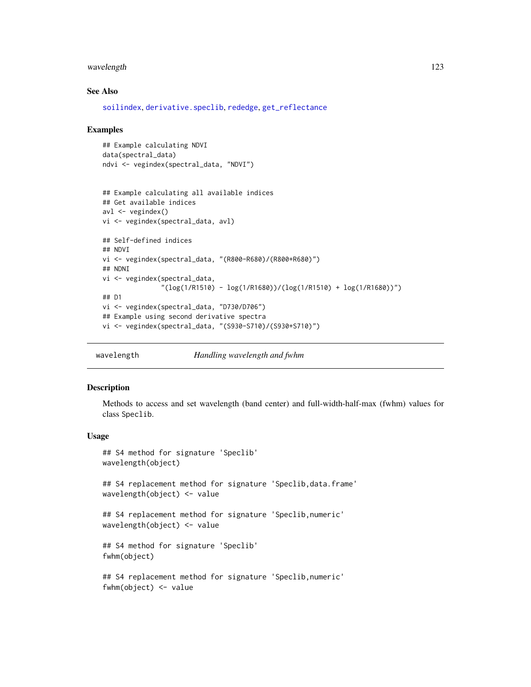# <span id="page-122-0"></span>wavelength 123

# See Also

[soilindex](#page-89-0), [derivative.speclib](#page-32-0), [rededge](#page-83-0), [get\\_reflectance](#page-47-0)

#### Examples

```
## Example calculating NDVI
data(spectral_data)
ndvi <- vegindex(spectral_data, "NDVI")
```

```
## Example calculating all available indices
## Get available indices
av1 \leftarrow \text{vegindex}()vi <- vegindex(spectral_data, avl)
## Self-defined indices
## NDVI
vi <- vegindex(spectral_data, "(R800-R680)/(R800+R680)")
## NDNI
vi <- vegindex(spectral_data,
               "(log(1/R1510) - log(1/R1680))/(log(1/R1510) + log(1/R1680))")
## D1
vi <- vegindex(spectral_data, "D730/D706")
## Example using second derivative spectra
vi <- vegindex(spectral_data, "(S930-S710)/(S930+S710)")
```
wavelength *Handling wavelength and fwhm*

#### Description

Methods to access and set wavelength (band center) and full-width-half-max (fwhm) values for class Speclib.

#### Usage

```
## S4 method for signature 'Speclib'
wavelength(object)
## S4 replacement method for signature 'Speclib,data.frame'
wavelength(object) <- value
## S4 replacement method for signature 'Speclib,numeric'
wavelength(object) <- value
## S4 method for signature 'Speclib'
fwhm(object)
## S4 replacement method for signature 'Speclib,numeric'
fwhm(object) <- value
```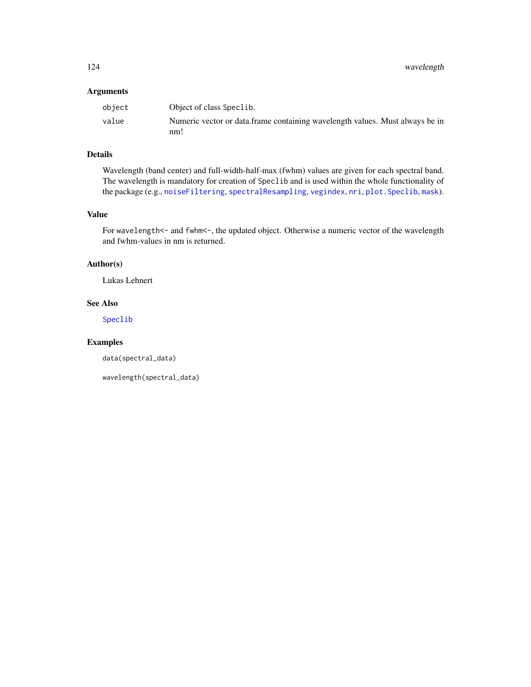# <span id="page-123-0"></span>Arguments

| obiect | Object of class Speclib.                                                     |
|--------|------------------------------------------------------------------------------|
| value  | Numeric vector or data.frame containing wavelength values. Must always be in |
|        | nm!                                                                          |

# Details

Wavelength (band center) and full-width-half-max (fwhm) values are given for each spectral band. The wavelength is mandatory for creation of Speclib and is used within the whole functionality of the package (e.g., [noiseFiltering](#page-60-0), [spectralResampling](#page-102-0), [vegindex](#page-117-0), [nri](#page-62-0), [plot.Speclib](#page-70-0), [mask](#page-57-0)).

# Value

For wavelength <- and fwhm <-, the updated object. Otherwise a numeric vector of the wavelength and fwhm-values in nm is returned.

# Author(s)

Lukas Lehnert

# See Also

[Speclib](#page-96-0)

# Examples

data(spectral\_data)

wavelength(spectral\_data)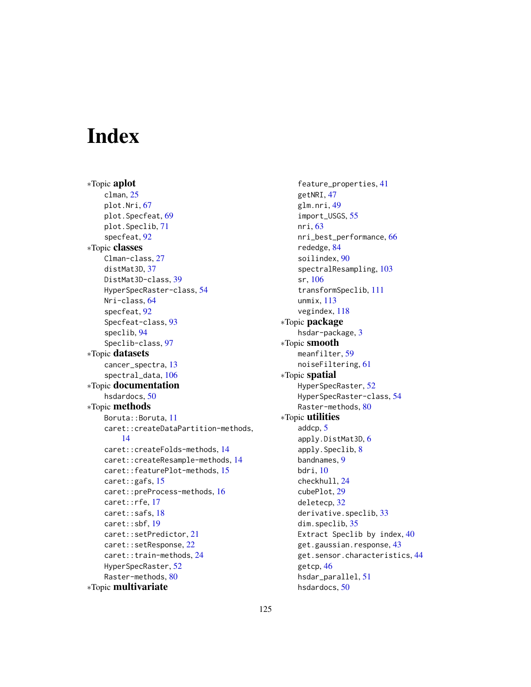# **Index**

∗Topic aplot clman, [25](#page-24-0) plot.Nri, [67](#page-66-0) plot.Specfeat, [69](#page-68-0) plot.Speclib, [71](#page-70-1) specfeat, [92](#page-91-0) ∗Topic classes Clman-class, [27](#page-26-1) distMat3D, [37](#page-36-0) DistMat3D-class, [39](#page-38-0) HyperSpecRaster-class, [54](#page-53-0) Nri-class, [64](#page-63-1) specfeat, [92](#page-91-0) Specfeat-class, [93](#page-92-0) speclib, [94](#page-93-0) Speclib-class, [97](#page-96-1) ∗Topic datasets cancer\_spectra, [13](#page-12-0) spectral\_data, [106](#page-105-0) ∗Topic documentation hsdardocs, [50](#page-49-0) ∗Topic methods Boruta::Boruta, [11](#page-10-0) caret::createDataPartition-methods, [14](#page-13-0) caret::createFolds-methods, [14](#page-13-0) caret::createResample-methods, [14](#page-13-0) caret::featurePlot-methods, [15](#page-14-0) caret::gafs, [15](#page-14-0) caret::preProcess-methods, [16](#page-15-0) caret::rfe, [17](#page-16-0) caret::safs, [18](#page-17-0) caret::sbf, [19](#page-18-0) caret::setPredictor, [21](#page-20-0) caret::setResponse, [22](#page-21-0) caret::train-methods, [24](#page-23-1) HyperSpecRaster, [52](#page-51-1) Raster-methods, [80](#page-79-0) ∗Topic multivariate

feature\_properties, [41](#page-40-0) getNRI, [47](#page-46-0) glm.nri, [49](#page-48-0) import\_USGS, [55](#page-54-0) nri, [63](#page-62-1) nri\_best\_performance, [66](#page-65-0) rededge, [84](#page-83-1) soilindex, [90](#page-89-1) spectralResampling, [103](#page-102-1) sr, [106](#page-105-0) transformSpeclib, [111](#page-110-1) unmix, [113](#page-112-0) vegindex, [118](#page-117-1) ∗Topic package hsdar-package, [3](#page-2-0) ∗Topic smooth meanfilter, [59](#page-58-0) noiseFiltering, [61](#page-60-1) ∗Topic spatial HyperSpecRaster, [52](#page-51-1) HyperSpecRaster-class, [54](#page-53-0) Raster-methods, [80](#page-79-0) ∗Topic utilities addcp, [5](#page-4-1) apply.DistMat3D, [6](#page-5-0) apply.Speclib, [8](#page-7-0) bandnames, [9](#page-8-0) bdri, [10](#page-9-0) checkhull, [24](#page-23-1) cubePlot, [29](#page-28-0) deletecp, [32](#page-31-1) derivative.speclib, [33](#page-32-1) dim.speclib, [35](#page-34-0) Extract Speclib by index, [40](#page-39-0) get.gaussian.response, [43](#page-42-0) get.sensor.characteristics, [44](#page-43-0) getcp, [46](#page-45-1) hsdar\_parallel, [51](#page-50-1) hsdardocs, [50](#page-49-0)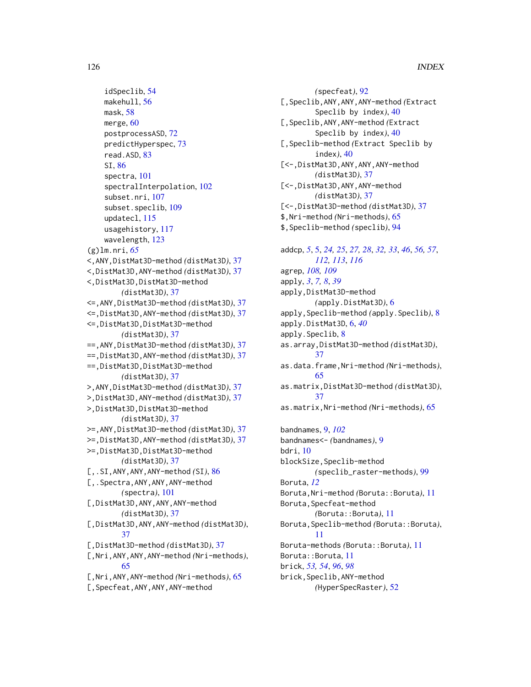```
idSpeclib, 54
    makehull, 56
    mask, 58
    merge, 60
    postprocessASD, 72
    predictHyperspec, 73
    read.ASD, 83
    SI, 86
    spectra, 101
    spectralInterpolation, 102
    subset.nri, 107
    subset.speclib, 109
    updatecl, 115
    usagehistory, 117
    wavelength, 123
(g)lm.nri, 65
<,ANY,DistMat3D-method (distMat3D), 37
<,DistMat3D,ANY-method (distMat3D), 37
<,DistMat3D,DistMat3D-method
        (distMat3D), 37
<=,ANY,DistMat3D-method (distMat3D), 37
<=,DistMat3D,ANY-method (distMat3D), 37
<=,DistMat3D,DistMat3D-method
        (distMat3D), 37
==,ANY,DistMat3D-method (distMat3D), 37
==,DistMat3D,ANY-method (distMat3D), 37
==,DistMat3D,DistMat3D-method
        (distMat3D), 37
>,ANY,DistMat3D-method (distMat3D), 37
>,DistMat3D,ANY-method (distMat3D), 37
>,DistMat3D,DistMat3D-method
        (distMat3D), 37
>=,ANY,DistMat3D-method (distMat3D), 37
>=,DistMat3D,ANY-method (distMat3D), 37
>=,DistMat3D,DistMat3D-method
        (distMat3D), 37
[,.SI,ANY,ANY,ANY-method (SI), 86
[,.Spectra,ANY,ANY,ANY-method
        (spectra), 101
[,DistMat3D,ANY,ANY,ANY-method
        (distMat3D), 37
[,DistMat3D,ANY,ANY-method (distMat3D),
        37
[,DistMat3D-method (distMat3D), 37
[,Nri,ANY,ANY,ANY-method (Nri-methods),
        65
[,Nri,ANY,ANY-method (Nri-methods), 65
[,Specfeat,ANY,ANY,ANY-method
```
*(*specfeat*)*, [92](#page-91-0) [,Speclib,ANY,ANY,ANY-method *(*Extract Speclib by index*)*, [40](#page-39-0) [,Speclib,ANY,ANY-method *(*Extract Speclib by index*)*, [40](#page-39-0) [,Speclib-method *(*Extract Speclib by index*)*, [40](#page-39-0) [<-,DistMat3D,ANY,ANY,ANY-method *(*distMat3D*)*, [37](#page-36-0) [<-,DistMat3D,ANY,ANY-method *(*distMat3D*)*, [37](#page-36-0) [<-,DistMat3D-method *(*distMat3D*)*, [37](#page-36-0) \$,Nri-method *(*Nri-methods*)*, [65](#page-64-0) \$,Speclib-method *(*speclib*)*, [94](#page-93-0)

addcp, *[5](#page-4-1)*, [5,](#page-4-1) *[24,](#page-23-1) [25](#page-24-0)*, *[27,](#page-26-1) [28](#page-27-0)*, *[32,](#page-31-1) [33](#page-32-1)*, *[46](#page-45-1)*, *[56,](#page-55-1) [57](#page-56-0)*, *[112,](#page-111-0) [113](#page-112-0)*, *[116](#page-115-0)* agrep, *[108,](#page-107-0) [109](#page-108-0)* apply, *[3](#page-2-0)*, *[7,](#page-6-0) [8](#page-7-0)*, *[39](#page-38-0)* apply,DistMat3D-method *(*apply.DistMat3D*)*, [6](#page-5-0) apply,Speclib-method *(*apply.Speclib*)*, [8](#page-7-0) apply.DistMat3D, [6,](#page-5-0) *[40](#page-39-0)* apply.Speclib, [8](#page-7-0) as.array,DistMat3D-method *(*distMat3D*)*, [37](#page-36-0) as.data.frame,Nri-method *(*Nri-methods*)*, [65](#page-64-0) as.matrix,DistMat3D-method *(*distMat3D*)*, [37](#page-36-0) as.matrix,Nri-method *(*Nri-methods*)*, [65](#page-64-0) bandnames, [9,](#page-8-0) *[102](#page-101-0)* bandnames<- *(*bandnames*)*, [9](#page-8-0) bdri, [10](#page-9-0) blockSize,Speclib-method

*(*speclib\_raster-methods*)*, [99](#page-98-0) Boruta, *[12](#page-11-0)* Boruta,Nri-method *(*Boruta::Boruta*)*, [11](#page-10-0) Boruta,Specfeat-method *(*Boruta::Boruta*)*, [11](#page-10-0) Boruta,Speclib-method *(*Boruta::Boruta*)*, [11](#page-10-0) Boruta-methods *(*Boruta::Boruta*)*, [11](#page-10-0) Boruta::Boruta, [11](#page-10-0) brick, *[53,](#page-52-0) [54](#page-53-0)*, *[96](#page-95-0)*, *[98](#page-97-0)* brick,Speclib,ANY-method

```
(HyperSpecRaster), 52
```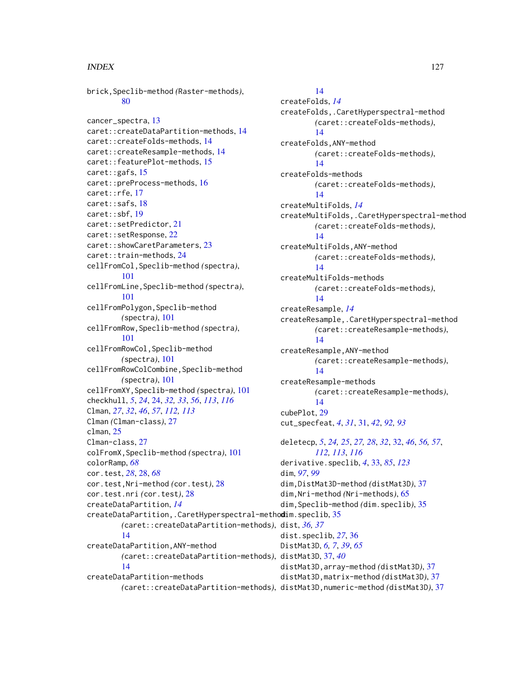brick,Speclib-method *(*Raster-methods*)*, [80](#page-79-0) cancer\_spectra, [13](#page-12-0) caret::createDataPartition-methods, [14](#page-13-0) caret::createFolds-methods, [14](#page-13-0) caret::createResample-methods, [14](#page-13-0) caret::featurePlot-methods, [15](#page-14-0) caret::gafs, [15](#page-14-0) caret::preProcess-methods, [16](#page-15-0) caret::rfe, [17](#page-16-0) caret::safs, [18](#page-17-0) caret::sbf, [19](#page-18-0) caret::setPredictor, [21](#page-20-0) caret::setResponse, [22](#page-21-0) caret::showCaretParameters, [23](#page-22-0) caret::train-methods, [24](#page-23-1) cellFromCol,Speclib-method *(*spectra*)*, [101](#page-100-0) cellFromLine,Speclib-method *(*spectra*)*, [101](#page-100-0) cellFromPolygon,Speclib-method *(*spectra*)*, [101](#page-100-0) cellFromRow,Speclib-method *(*spectra*)*, [101](#page-100-0) cellFromRowCol,Speclib-method *(*spectra*)*, [101](#page-100-0) cellFromRowColCombine,Speclib-method *(*spectra*)*, [101](#page-100-0) cellFromXY,Speclib-method *(*spectra*)*, [101](#page-100-0) checkhull, *[5](#page-4-1)*, *[24](#page-23-1)*, [24,](#page-23-1) *[32,](#page-31-1) [33](#page-32-1)*, *[56](#page-55-1)*, *[113](#page-112-0)*, *[116](#page-115-0)* Clman, *[27](#page-26-1)*, *[32](#page-31-1)*, *[46](#page-45-1)*, *[57](#page-56-0)*, *[112,](#page-111-0) [113](#page-112-0)* Clman *(*Clman-class*)*, [27](#page-26-1) clman, [25](#page-24-0) Clman-class, [27](#page-26-1) colFromX,Speclib-method *(*spectra*)*, [101](#page-100-0) colorRamp, *[68](#page-67-0)* cor.test, *[28](#page-27-0)*, [28,](#page-27-0) *[68](#page-67-0)* cor.test,Nri-method *(*cor.test*)*, [28](#page-27-0) cor.test.nri *(*cor.test*)*, [28](#page-27-0) createDataPartition, *[14](#page-13-0)* createDataPartition,.CaretHyperspectral-method dim.speclib, [35](#page-34-0) *(*caret::createDataPartition-methods*)*, dist, *[36,](#page-35-0) [37](#page-36-0)* [14](#page-13-0) createDataPartition,ANY-method *(*caret::createDataPartition-methods*)*, distMat3D, [37,](#page-36-0) *[40](#page-39-0)* [14](#page-13-0) createDataPartition-methods

[14](#page-13-0) createFolds, *[14](#page-13-0)* createFolds,.CaretHyperspectral-method *(*caret::createFolds-methods*)*, [14](#page-13-0) createFolds,ANY-method *(*caret::createFolds-methods*)*, [14](#page-13-0) createFolds-methods *(*caret::createFolds-methods*)*, [14](#page-13-0) createMultiFolds, *[14](#page-13-0)* createMultiFolds,.CaretHyperspectral-method *(*caret::createFolds-methods*)*, [14](#page-13-0) createMultiFolds,ANY-method *(*caret::createFolds-methods*)*, [14](#page-13-0) createMultiFolds-methods *(*caret::createFolds-methods*)*, [14](#page-13-0) createResample, *[14](#page-13-0)* createResample,.CaretHyperspectral-method *(*caret::createResample-methods*)*, [14](#page-13-0) createResample,ANY-method *(*caret::createResample-methods*)*, [14](#page-13-0) createResample-methods *(*caret::createResample-methods*)*, [14](#page-13-0) cubePlot, [29](#page-28-0) cut\_specfeat, *[4](#page-3-0)*, *[31](#page-30-0)*, [31,](#page-30-0) *[42](#page-41-0)*, *[92,](#page-91-0) [93](#page-92-0)* deletecp, *[5](#page-4-1)*, *[24,](#page-23-1) [25](#page-24-0)*, *[27,](#page-26-1) [28](#page-27-0)*, *[32](#page-31-1)*, [32,](#page-31-1) *[46](#page-45-1)*, *[56,](#page-55-1) [57](#page-56-0)*, *[112,](#page-111-0) [113](#page-112-0)*, *[116](#page-115-0)* derivative.speclib, *[4](#page-3-0)*, [33,](#page-32-1) *[85](#page-84-0)*, *[123](#page-122-0)* dim, *[97](#page-96-1)*, *[99](#page-98-0)* dim,DistMat3D-method *(*distMat3D*)*, [37](#page-36-0) dim,Nri-method *(*Nri-methods*)*, [65](#page-64-0) dim,Speclib-method *(*dim.speclib*)*, [35](#page-34-0) dist.speclib, *[27](#page-26-1)*, [36](#page-35-0) DistMat3D, *[6,](#page-5-0) [7](#page-6-0)*, *[39](#page-38-0)*, *[65](#page-64-0)* distMat3D,array-method *(*distMat3D*)*, [37](#page-36-0)

distMat3D,matrix-method *(*distMat3D*)*, [37](#page-36-0)

*(*caret::createDataPartition-methods*)*, distMat3D,numeric-method *(*distMat3D*)*, [37](#page-36-0)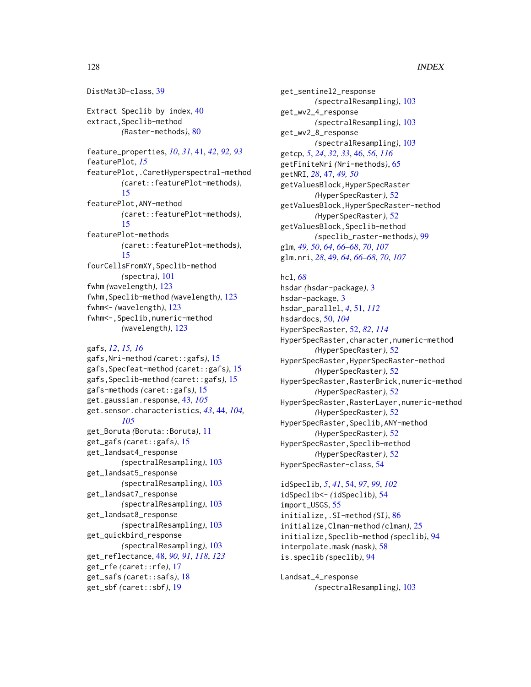DistMat3D-class, [39](#page-38-0) Extract Speclib by index, [40](#page-39-0) extract,Speclib-method *(*Raster-methods*)*, [80](#page-79-0) feature\_properties, *[10](#page-9-0)*, *[31](#page-30-0)*, [41,](#page-40-0) *[42](#page-41-0)*, *[92,](#page-91-0) [93](#page-92-0)* featurePlot, *[15](#page-14-0)* featurePlot,.CaretHyperspectral-method *(*caret::featurePlot-methods*)*, [15](#page-14-0) featurePlot,ANY-method *(*caret::featurePlot-methods*)*, [15](#page-14-0) featurePlot-methods *(*caret::featurePlot-methods*)*, [15](#page-14-0) fourCellsFromXY,Speclib-method *(*spectra*)*, [101](#page-100-0) fwhm *(*wavelength*)*, [123](#page-122-0) fwhm,Speclib-method *(*wavelength*)*, [123](#page-122-0) fwhm<- *(*wavelength*)*, [123](#page-122-0) fwhm<-,Speclib,numeric-method *(*wavelength*)*, [123](#page-122-0) gafs, *[12](#page-11-0)*, *[15,](#page-14-0) [16](#page-15-0)*

gafs,Nri-method *(*caret::gafs*)*, [15](#page-14-0) gafs,Specfeat-method *(*caret::gafs*)*, [15](#page-14-0) gafs,Speclib-method *(*caret::gafs*)*, [15](#page-14-0) gafs-methods *(*caret::gafs*)*, [15](#page-14-0) get.gaussian.response, [43,](#page-42-0) *[105](#page-104-0)* get.sensor.characteristics, *[43](#page-42-0)*, [44,](#page-43-0) *[104,](#page-103-0) [105](#page-104-0)* get\_Boruta *(*Boruta::Boruta*)*, [11](#page-10-0) get\_gafs *(*caret::gafs*)*, [15](#page-14-0) get\_landsat4\_response *(*spectralResampling*)*, [103](#page-102-1) get\_landsat5\_response *(*spectralResampling*)*, [103](#page-102-1) get\_landsat7\_response *(*spectralResampling*)*, [103](#page-102-1) get\_landsat8\_response *(*spectralResampling*)*, [103](#page-102-1) get\_quickbird\_response *(*spectralResampling*)*, [103](#page-102-1) get\_reflectance, [48,](#page-47-1) *[90,](#page-89-1) [91](#page-90-0)*, *[118](#page-117-1)*, *[123](#page-122-0)* get\_rfe *(*caret::rfe*)*, [17](#page-16-0) get\_safs *(*caret::safs*)*, [18](#page-17-0) get\_sbf *(*caret::sbf*)*, [19](#page-18-0)

get\_sentinel2\_response *(*spectralResampling*)*, [103](#page-102-1) get\_wv2\_4\_response *(*spectralResampling*)*, [103](#page-102-1) get\_wv2\_8\_response *(*spectralResampling*)*, [103](#page-102-1) getcp, *[5](#page-4-1)*, *[24](#page-23-1)*, *[32,](#page-31-1) [33](#page-32-1)*, [46,](#page-45-1) *[56](#page-55-1)*, *[116](#page-115-0)* getFiniteNri *(*Nri-methods*)*, [65](#page-64-0) getNRI, *[28](#page-27-0)*, [47,](#page-46-0) *[49,](#page-48-0) [50](#page-49-0)* getValuesBlock,HyperSpecRaster *(*HyperSpecRaster*)*, [52](#page-51-1) getValuesBlock,HyperSpecRaster-method *(*HyperSpecRaster*)*, [52](#page-51-1) getValuesBlock,Speclib-method *(*speclib\_raster-methods*)*, [99](#page-98-0) glm, *[49,](#page-48-0) [50](#page-49-0)*, *[64](#page-63-1)*, *[66](#page-65-0)[–68](#page-67-0)*, *[70](#page-69-0)*, *[107](#page-106-0)* glm.nri, *[28](#page-27-0)*, [49,](#page-48-0) *[64](#page-63-1)*, *[66](#page-65-0)[–68](#page-67-0)*, *[70](#page-69-0)*, *[107](#page-106-0)*

# hcl, *[68](#page-67-0)* hsdar *(*hsdar-package*)*, [3](#page-2-0) hsdar-package, [3](#page-2-0) hsdar\_parallel, *[4](#page-3-0)*, [51,](#page-50-1) *[112](#page-111-0)* hsdardocs, [50,](#page-49-0) *[104](#page-103-0)* HyperSpecRaster, [52,](#page-51-1) *[82](#page-81-0)*, *[114](#page-113-0)* HyperSpecRaster,character,numeric-method *(*HyperSpecRaster*)*, [52](#page-51-1) HyperSpecRaster,HyperSpecRaster-method *(*HyperSpecRaster*)*, [52](#page-51-1) HyperSpecRaster,RasterBrick,numeric-method *(*HyperSpecRaster*)*, [52](#page-51-1) HyperSpecRaster,RasterLayer,numeric-method *(*HyperSpecRaster*)*, [52](#page-51-1) HyperSpecRaster,Speclib,ANY-method *(*HyperSpecRaster*)*, [52](#page-51-1) HyperSpecRaster,Speclib-method *(*HyperSpecRaster*)*, [52](#page-51-1) HyperSpecRaster-class, [54](#page-53-0)

idSpeclib, *[5](#page-4-1)*, *[41](#page-40-0)*, [54,](#page-53-0) *[97](#page-96-1)*, *[99](#page-98-0)*, *[102](#page-101-0)* idSpeclib<- *(*idSpeclib*)*, [54](#page-53-0) import\_USGS, [55](#page-54-0) initialize,.SI-method *(*SI*)*, [86](#page-85-1) initialize,Clman-method *(*clman*)*, [25](#page-24-0) initialize,Speclib-method *(*speclib*)*, [94](#page-93-0) interpolate.mask *(*mask*)*, [58](#page-57-1) is.speclib *(*speclib*)*, [94](#page-93-0)

Landsat\_4\_response *(*spectralResampling*)*, [103](#page-102-1)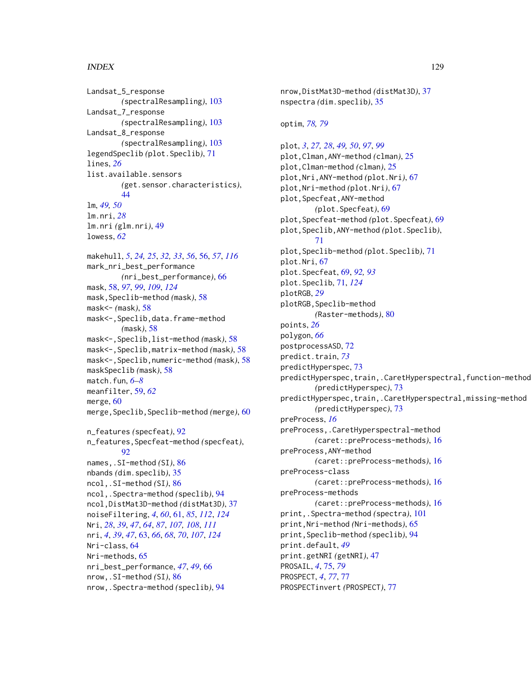Landsat\_5\_response *(*spectralResampling*)*, [103](#page-102-1) Landsat\_7\_response *(*spectralResampling*)*, [103](#page-102-1) Landsat\_8\_response *(*spectralResampling*)*, [103](#page-102-1) legendSpeclib *(*plot.Speclib*)*, [71](#page-70-1) lines, *[26](#page-25-0)* list.available.sensors *(*get.sensor.characteristics*)*, [44](#page-43-0) lm, *[49,](#page-48-0) [50](#page-49-0)* lm.nri, *[28](#page-27-0)* lm.nri *(*glm.nri*)*, [49](#page-48-0) lowess, *[62](#page-61-0)* makehull, *[5](#page-4-1)*, *[24,](#page-23-1) [25](#page-24-0)*, *[32,](#page-31-1) [33](#page-32-1)*, *[56](#page-55-1)*, [56,](#page-55-1) *[57](#page-56-0)*, *[116](#page-115-0)* mark\_nri\_best\_performance *(*nri\_best\_performance*)*, [66](#page-65-0) mask, [58,](#page-57-1) *[97](#page-96-1)*, *[99](#page-98-0)*, *[109](#page-108-0)*, *[124](#page-123-0)* mask,Speclib-method *(*mask*)*, [58](#page-57-1) mask<- *(*mask*)*, [58](#page-57-1) mask<-,Speclib,data.frame-method *(*mask*)*, [58](#page-57-1) mask<-,Speclib,list-method *(*mask*)*, [58](#page-57-1) mask<-,Speclib,matrix-method *(*mask*)*, [58](#page-57-1) mask<-,Speclib,numeric-method *(*mask*)*, [58](#page-57-1) maskSpeclib *(*mask*)*, [58](#page-57-1) match.fun, *[6](#page-5-0)[–8](#page-7-0)* meanfilter, [59,](#page-58-0) *[62](#page-61-0)* merge, [60](#page-59-0) merge,Speclib,Speclib-method *(*merge*)*, [60](#page-59-0) n\_features *(*specfeat*)*, [92](#page-91-0) n\_features,Specfeat-method *(*specfeat*)*,  $92$ names,.SI-method *(*SI*)*, [86](#page-85-1) nbands *(*dim.speclib*)*, [35](#page-34-0) ncol,.SI-method *(*SI*)*, [86](#page-85-1) ncol,.Spectra-method *(*speclib*)*, [94](#page-93-0) ncol,DistMat3D-method *(*distMat3D*)*, [37](#page-36-0) noiseFiltering, *[4](#page-3-0)*, *[60](#page-59-0)*, [61,](#page-60-1) *[85](#page-84-0)*, *[112](#page-111-0)*, *[124](#page-123-0)* Nri, *[28](#page-27-0)*, *[39](#page-38-0)*, *[47](#page-46-0)*, *[64](#page-63-1)*, *[87](#page-86-0)*, *[107,](#page-106-0) [108](#page-107-0)*, *[111](#page-110-1)* nri, *[4](#page-3-0)*, *[39](#page-38-0)*, *[47](#page-46-0)*, [63,](#page-62-1) *[66](#page-65-0)*, *[68](#page-67-0)*, *[70](#page-69-0)*, *[107](#page-106-0)*, *[124](#page-123-0)* Nri-class, [64](#page-63-1) Nri-methods, [65](#page-64-0) nri\_best\_performance, *[47](#page-46-0)*, *[49](#page-48-0)*, [66](#page-65-0) nrow,.SI-method *(*SI*)*, [86](#page-85-1) nrow,.Spectra-method *(*speclib*)*, [94](#page-93-0)

nrow,DistMat3D-method *(*distMat3D*)*, [37](#page-36-0) nspectra *(*dim.speclib*)*, [35](#page-34-0) optim, *[78,](#page-77-0) [79](#page-78-0)* plot, *[3](#page-2-0)*, *[27,](#page-26-1) [28](#page-27-0)*, *[49,](#page-48-0) [50](#page-49-0)*, *[97](#page-96-1)*, *[99](#page-98-0)* plot,Clman,ANY-method *(*clman*)*, [25](#page-24-0) plot,Clman-method *(*clman*)*, [25](#page-24-0) plot,Nri,ANY-method *(*plot.Nri*)*, [67](#page-66-0) plot,Nri-method *(*plot.Nri*)*, [67](#page-66-0) plot,Specfeat,ANY-method *(*plot.Specfeat*)*, [69](#page-68-0) plot,Specfeat-method *(*plot.Specfeat*)*, [69](#page-68-0) plot,Speclib,ANY-method *(*plot.Speclib*)*, [71](#page-70-1) plot,Speclib-method *(*plot.Speclib*)*, [71](#page-70-1) plot.Nri, [67](#page-66-0) plot.Specfeat, [69,](#page-68-0) *[92,](#page-91-0) [93](#page-92-0)* plot.Speclib, [71,](#page-70-1) *[124](#page-123-0)* plotRGB, *[29](#page-28-0)* plotRGB,Speclib-method *(*Raster-methods*)*, [80](#page-79-0) points, *[26](#page-25-0)* polygon, *[66](#page-65-0)* postprocessASD, [72](#page-71-0) predict.train, *[73](#page-72-0)* predictHyperspec, [73](#page-72-0) predictHyperspec,train,.CaretHyperspectral,function-method *(*predictHyperspec*)*, [73](#page-72-0) predictHyperspec,train,.CaretHyperspectral,missing-method *(*predictHyperspec*)*, [73](#page-72-0) preProcess, *[16](#page-15-0)* preProcess,.CaretHyperspectral-method *(*caret::preProcess-methods*)*, [16](#page-15-0) preProcess,ANY-method *(*caret::preProcess-methods*)*, [16](#page-15-0) preProcess-class *(*caret::preProcess-methods*)*, [16](#page-15-0) preProcess-methods *(*caret::preProcess-methods*)*, [16](#page-15-0) print,.Spectra-method *(*spectra*)*, [101](#page-100-0) print,Nri-method *(*Nri-methods*)*, [65](#page-64-0) print,Speclib-method *(*speclib*)*, [94](#page-93-0) print.default, *[49](#page-48-0)* print.getNRI *(*getNRI*)*, [47](#page-46-0) PROSAIL, *[4](#page-3-0)*, [75,](#page-74-0) *[79](#page-78-0)* PROSPECT, *[4](#page-3-0)*, *[77](#page-76-0)*, [77](#page-76-0) PROSPECTinvert *(*PROSPECT*)*, [77](#page-76-0)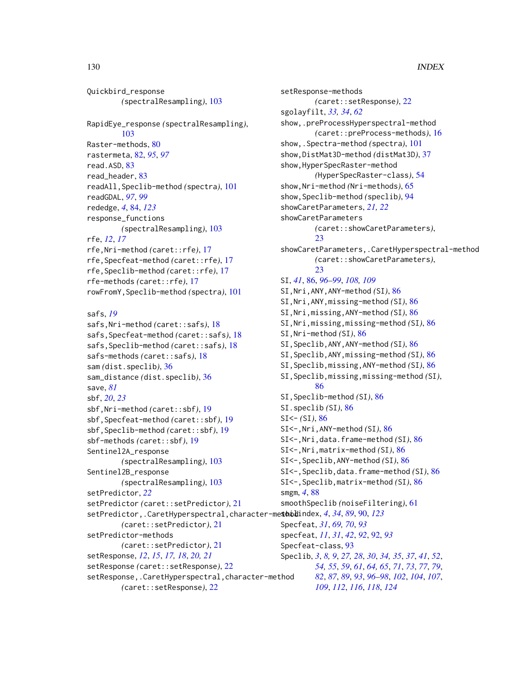Quickbird\_response *(*spectralResampling*)*, [103](#page-102-1) RapidEye\_response *(*spectralResampling*)*, [103](#page-102-1) Raster-methods, [80](#page-79-0) rastermeta, [82,](#page-81-0) *[95](#page-94-0)*, *[97](#page-96-1)* read.ASD, [83](#page-82-0) read\_header, [83](#page-82-0) readAll,Speclib-method *(*spectra*)*, [101](#page-100-0) readGDAL, *[97](#page-96-1)*, *[99](#page-98-0)* rededge, *[4](#page-3-0)*, [84,](#page-83-1) *[123](#page-122-0)* response\_functions *(*spectralResampling*)*, [103](#page-102-1) rfe, *[12](#page-11-0)*, *[17](#page-16-0)* rfe,Nri-method *(*caret::rfe*)*, [17](#page-16-0) rfe,Specfeat-method *(*caret::rfe*)*, [17](#page-16-0) rfe,Speclib-method *(*caret::rfe*)*, [17](#page-16-0) rfe-methods *(*caret::rfe*)*, [17](#page-16-0) rowFromY,Speclib-method *(*spectra*)*, [101](#page-100-0)

safs, *[19](#page-18-0)*

```
safs,Nri-method (caret::safs), 18
safs,Specfeat-method (caret::safs), 18
safs,Speclib-method (caret::safs), 18
safs-methods (caret::safs), 18
sam (dist.speclib), 36
sam_distance (dist.speclib), 36
save, 81
sbf, 20, 23
sbf,Nri-method (caret::sbf), 19
sbf,Specfeat-method (caret::sbf), 19
sbf,Speclib-method (caret::sbf), 19
sbf-methods (caret::sbf), 19
Sentinel2A_response
       (spectralResampling), 103
Sentinel2B_response
       (spectralResampling), 103
setPredictor, 22
setPredictor (caret::setPredictor), 21
4348990,123
       (caret::setPredictor), 21
setPredictor-methods
       (caret::setPredictor), 21
setResponse, 12, 15, 17, 18, 20, 21
setResponse (caret::setResponse), 22
setResponse,.CaretHyperspectral,character-method
       (caret::setResponse), 22
```
setResponse-methods *(*caret::setResponse*)*, [22](#page-21-0) sgolayfilt, *[33,](#page-32-1) [34](#page-33-0)*, *[62](#page-61-0)* show,.preProcessHyperspectral-method *(*caret::preProcess-methods*)*, [16](#page-15-0) show,.Spectra-method *(*spectra*)*, [101](#page-100-0) show,DistMat3D-method *(*distMat3D*)*, [37](#page-36-0) show,HyperSpecRaster-method *(*HyperSpecRaster-class*)*, [54](#page-53-0) show,Nri-method *(*Nri-methods*)*, [65](#page-64-0) show,Speclib-method *(*speclib*)*, [94](#page-93-0) showCaretParameters, *[21,](#page-20-0) [22](#page-21-0)* showCaretParameters *(*caret::showCaretParameters*)*, [23](#page-22-0) showCaretParameters,.CaretHyperspectral-method *(*caret::showCaretParameters*)*, [23](#page-22-0) SI, *[41](#page-40-0)*, [86,](#page-85-1) *[96](#page-95-0)[–99](#page-98-0)*, *[108,](#page-107-0) [109](#page-108-0)* SI,Nri,ANY,ANY-method *(*SI*)*, [86](#page-85-1) SI,Nri,ANY,missing-method *(*SI*)*, [86](#page-85-1) SI,Nri,missing,ANY-method *(*SI*)*, [86](#page-85-1) SI,Nri,missing,missing-method *(*SI*)*, [86](#page-85-1) SI,Nri-method *(*SI*)*, [86](#page-85-1) SI,Speclib,ANY,ANY-method *(*SI*)*, [86](#page-85-1) SI,Speclib,ANY,missing-method *(*SI*)*, [86](#page-85-1) SI,Speclib,missing,ANY-method *(*SI*)*, [86](#page-85-1) SI,Speclib,missing,missing-method *(*SI*)*, [86](#page-85-1) SI,Speclib-method *(*SI*)*, [86](#page-85-1) SI.speclib *(*SI*)*, [86](#page-85-1) SI<- *(*SI*)*, [86](#page-85-1) SI<-,Nri,ANY-method *(*SI*)*, [86](#page-85-1) SI<-,Nri,data.frame-method *(*SI*)*, [86](#page-85-1) SI<-,Nri,matrix-method *(*SI*)*, [86](#page-85-1) SI<-,Speclib,ANY-method *(*SI*)*, [86](#page-85-1) SI<-,Speclib,data.frame-method *(*SI*)*, [86](#page-85-1) SI<-,Speclib,matrix-method *(*SI*)*, [86](#page-85-1) smgm, *[4](#page-3-0)*, [88](#page-87-0) smoothSpeclib *(*noiseFiltering*)*, [61](#page-60-1) Specfeat, *[31](#page-30-0)*, *[69,](#page-68-0) [70](#page-69-0)*, *[93](#page-92-0)* specfeat, *[11](#page-10-0)*, *[31](#page-30-0)*, *[42](#page-41-0)*, *[92](#page-91-0)*, [92,](#page-91-0) *[93](#page-92-0)* Specfeat-class, [93](#page-92-0) Speclib, *[3](#page-2-0)*, *[8,](#page-7-0) [9](#page-8-0)*, *[27,](#page-26-1) [28](#page-27-0)*, *[30](#page-29-0)*, *[34,](#page-33-0) [35](#page-34-0)*, *[37](#page-36-0)*, *[41](#page-40-0)*, *[52](#page-51-1)*, *[54,](#page-53-0) [55](#page-54-0)*, *[59](#page-58-0)*, *[61](#page-60-1)*, *[64,](#page-63-1) [65](#page-64-0)*, *[71](#page-70-1)*, *[73](#page-72-0)*, *[77](#page-76-0)*, *[79](#page-78-0)*, *[82](#page-81-0)*, *[87](#page-86-0)*, *[89](#page-88-0)*, *[93](#page-92-0)*, *[96](#page-95-0)[–98](#page-97-0)*, *[102](#page-101-0)*, *[104](#page-103-0)*, *[107](#page-106-0)*, *[109](#page-108-0)*, *[112](#page-111-0)*, *[116](#page-115-0)*, *[118](#page-117-1)*, *[124](#page-123-0)*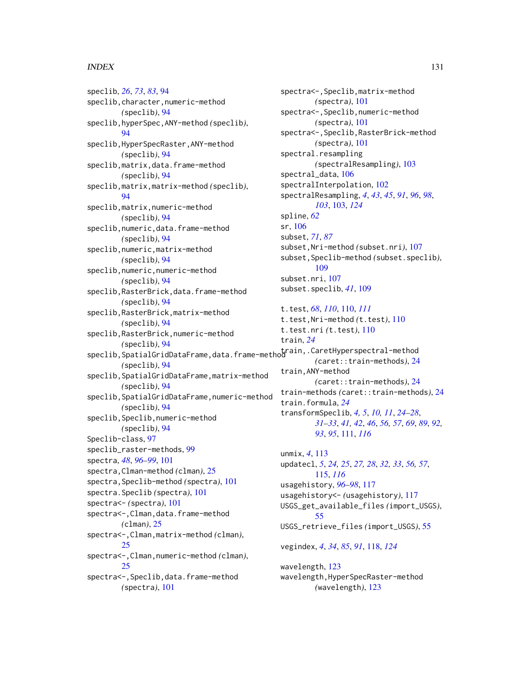#### $I<sub>31</sub>$  is a set of  $I<sub>31</sub>$  is a set of  $I<sub>31</sub>$  is a set of  $I<sub>31</sub>$  is a set of  $I<sub>31</sub>$  is a set of  $I<sub>31</sub>$  is a set of  $I<sub>31</sub>$  is a set of  $I<sub>31</sub>$  is a set of  $I<sub>31</sub>$  is a set of  $I$

speclib, *[26](#page-25-0)*, *[73](#page-72-0)*, *[83](#page-82-0)*, [94](#page-93-0) speclib,character,numeric-method *(*speclib*)*, [94](#page-93-0) speclib,hyperSpec,ANY-method *(*speclib*)*, [94](#page-93-0) speclib,HyperSpecRaster,ANY-method *(*speclib*)*, [94](#page-93-0) speclib,matrix,data.frame-method *(*speclib*)*, [94](#page-93-0) speclib,matrix,matrix-method *(*speclib*)*, [94](#page-93-0) speclib,matrix,numeric-method *(*speclib*)*, [94](#page-93-0) speclib,numeric,data.frame-method *(*speclib*)*, [94](#page-93-0) speclib,numeric,matrix-method *(*speclib*)*, [94](#page-93-0) speclib,numeric,numeric-method *(*speclib*)*, [94](#page-93-0) speclib,RasterBrick,data.frame-method *(*speclib*)*, [94](#page-93-0) speclib,RasterBrick,matrix-method *(*speclib*)*, [94](#page-93-0) speclib,RasterBrick,numeric-method *(*speclib*)*, [94](#page-93-0) speclib,SpatialGridDataFrame,data.frame-method train,.CaretHyperspectral-method *(*speclib*)*, [94](#page-93-0) speclib,SpatialGridDataFrame,matrix-method *(*speclib*)*, [94](#page-93-0) speclib,SpatialGridDataFrame,numeric-method *(*speclib*)*, [94](#page-93-0) speclib, Speclib, numeric-method *(*speclib*)*, [94](#page-93-0) Speclib-class, [97](#page-96-1) speclib\_raster-methods, [99](#page-98-0) spectra, *[48](#page-47-1)*, *[96](#page-95-0)[–99](#page-98-0)*, [101](#page-100-0) spectra,Clman-method *(*clman*)*, [25](#page-24-0) spectra,Speclib-method *(*spectra*)*, [101](#page-100-0) spectra.Speclib *(*spectra*)*, [101](#page-100-0) spectra<- *(*spectra*)*, [101](#page-100-0) spectra<-, Clman, data.frame-method *(*clman*)*, [25](#page-24-0) spectra<-,Clman,matrix-method *(*clman*)*, [25](#page-24-0) spectra<-,Clman,numeric-method *(*clman*)*, [25](#page-24-0) spectra<-,Speclib,data.frame-method *(*spectra*)*, [101](#page-100-0)

spectra<-,Speclib,matrix-method *(*spectra*)*, [101](#page-100-0) spectra<-,Speclib,numeric-method *(*spectra*)*, [101](#page-100-0) spectra<-,Speclib,RasterBrick-method *(*spectra*)*, [101](#page-100-0) spectral.resampling *(*spectralResampling*)*, [103](#page-102-1) spectral\_data, [106](#page-105-0) spectralInterpolation, [102](#page-101-0) spectralResampling, *[4](#page-3-0)*, *[43](#page-42-0)*, *[45](#page-44-0)*, *[91](#page-90-0)*, *[96](#page-95-0)*, *[98](#page-97-0)*, *[103](#page-102-1)*, [103,](#page-102-1) *[124](#page-123-0)* spline, *[62](#page-61-0)* sr, [106](#page-105-0) subset, *[71](#page-70-1)*, *[87](#page-86-0)* subset,Nri-method *(*subset.nri*)*, [107](#page-106-0) subset,Speclib-method *(*subset.speclib*)*, [109](#page-108-0) subset.nri, [107](#page-106-0) subset.speclib, *[41](#page-40-0)*, [109](#page-108-0) t.test, *[68](#page-67-0)*, *[110](#page-109-1)*, [110,](#page-109-1) *[111](#page-110-1)* t.test,Nri-method *(*t.test*)*, [110](#page-109-1) t.test.nri *(*t.test*)*, [110](#page-109-1) train, *[24](#page-23-1) (*caret::train-methods*)*, [24](#page-23-1) train,ANY-method *(*caret::train-methods*)*, [24](#page-23-1) train-methods *(*caret::train-methods*)*, [24](#page-23-1) train.formula, *[24](#page-23-1)* transformSpeclib, *[4,](#page-3-0) [5](#page-4-1)*, *[10,](#page-9-0) [11](#page-10-0)*, *[24](#page-23-1)[–28](#page-27-0)*, *[31](#page-30-0)[–33](#page-32-1)*, *[41,](#page-40-0) [42](#page-41-0)*, *[46](#page-45-1)*, *[56,](#page-55-1) [57](#page-56-0)*, *[69](#page-68-0)*, *[89](#page-88-0)*, *[92,](#page-91-0) [93](#page-92-0)*, *[95](#page-94-0)*, [111,](#page-110-1) *[116](#page-115-0)* unmix, *[4](#page-3-0)*, [113](#page-112-0) updatecl, *[5](#page-4-1)*, *[24,](#page-23-1) [25](#page-24-0)*, *[27,](#page-26-1) [28](#page-27-0)*, *[32,](#page-31-1) [33](#page-32-1)*, *[56,](#page-55-1) [57](#page-56-0)*, [115,](#page-114-1) *[116](#page-115-0)* usagehistory, *[96](#page-95-0)[–98](#page-97-0)*, [117](#page-116-0) usagehistory<- *(*usagehistory*)*, [117](#page-116-0) USGS\_get\_available\_files *(*import\_USGS*)*, [55](#page-54-0) USGS\_retrieve\_files *(*import\_USGS*)*, [55](#page-54-0) vegindex, *[4](#page-3-0)*, *[34](#page-33-0)*, *[85](#page-84-0)*, *[91](#page-90-0)*, [118,](#page-117-1) *[124](#page-123-0)*

wavelength, [123](#page-122-0) wavelength,HyperSpecRaster-method *(*wavelength*)*, [123](#page-122-0)